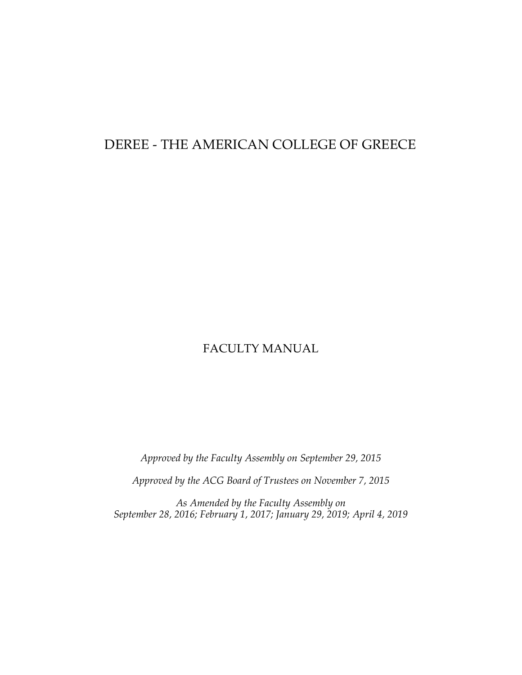# DEREE - THE AMERICAN COLLEGE OF GREECE

# FACULTY MANUAL

*Approved by the Faculty Assembly on September 29, 2015*

*Approved by the ACG Board of Trustees on November 7, 2015*

*As Amended by the Faculty Assembly on September 28, 2016; February 1, 2017; January 29, 2019; April 4, 2019*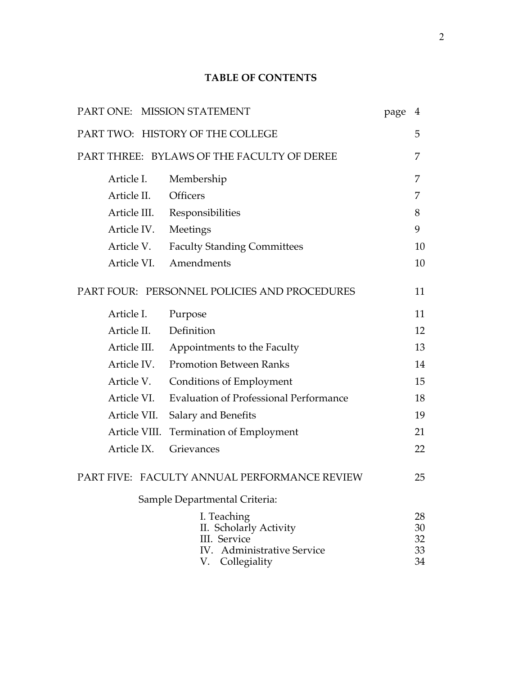## **TABLE OF CONTENTS**

|               | PART ONE: MISSION STATEMENT                                                                            | page | 4                          |
|---------------|--------------------------------------------------------------------------------------------------------|------|----------------------------|
|               | PART TWO: HISTORY OF THE COLLEGE                                                                       |      | 5                          |
|               | PART THREE: BYLAWS OF THE FACULTY OF DEREE                                                             |      | 7                          |
| Article I.    | Membership                                                                                             |      | 7                          |
| Article II.   | Officers                                                                                               |      | 7                          |
| Article III.  | Responsibilities                                                                                       |      | 8                          |
| Article IV.   | Meetings                                                                                               |      | 9                          |
| Article V.    | <b>Faculty Standing Committees</b>                                                                     |      | 10                         |
| Article VI.   | Amendments                                                                                             |      | 10                         |
|               | PART FOUR: PERSONNEL POLICIES AND PROCEDURES                                                           |      | 11                         |
| Article I.    | Purpose                                                                                                |      | 11                         |
| Article II.   | Definition                                                                                             |      | 12                         |
| Article III.  | Appointments to the Faculty                                                                            |      | 13                         |
| Article IV.   | <b>Promotion Between Ranks</b>                                                                         |      | 14                         |
| Article V.    | <b>Conditions of Employment</b>                                                                        |      | 15                         |
| Article VI.   | <b>Evaluation of Professional Performance</b>                                                          |      | 18                         |
| Article VII.  | Salary and Benefits                                                                                    |      | 19                         |
| Article VIII. | <b>Termination of Employment</b>                                                                       |      | 21                         |
| Article IX.   | Grievances                                                                                             |      | 22                         |
|               | PART FIVE: FACULTY ANNUAL PERFORMANCE REVIEW                                                           |      | 25                         |
|               | Sample Departmental Criteria:                                                                          |      |                            |
|               | I. Teaching<br>II. Scholarly Activity<br>III. Service<br>IV. Administrative Service<br>V. Collegiality |      | 28<br>30<br>32<br>33<br>34 |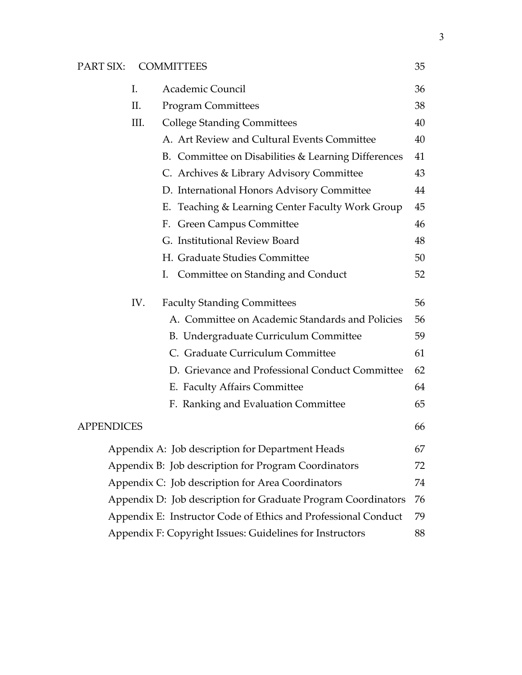## PART SIX: COMMITTEES 35

| I.                |                                                      | Academic Council                                               | 36 |  |
|-------------------|------------------------------------------------------|----------------------------------------------------------------|----|--|
| П.                |                                                      | <b>Program Committees</b>                                      | 38 |  |
|                   | III.                                                 | <b>College Standing Committees</b>                             | 40 |  |
|                   |                                                      | A. Art Review and Cultural Events Committee                    | 40 |  |
|                   |                                                      | B. Committee on Disabilities & Learning Differences            | 41 |  |
|                   |                                                      | C. Archives & Library Advisory Committee                       | 43 |  |
|                   |                                                      | D. International Honors Advisory Committee                     | 44 |  |
|                   |                                                      | E. Teaching & Learning Center Faculty Work Group               | 45 |  |
|                   |                                                      | F. Green Campus Committee                                      | 46 |  |
|                   |                                                      | G. Institutional Review Board                                  | 48 |  |
|                   |                                                      | H. Graduate Studies Committee                                  | 50 |  |
|                   |                                                      | Committee on Standing and Conduct<br>I.                        | 52 |  |
|                   | IV.                                                  | <b>Faculty Standing Committees</b>                             | 56 |  |
|                   |                                                      | A. Committee on Academic Standards and Policies                | 56 |  |
|                   |                                                      | B. Undergraduate Curriculum Committee                          | 59 |  |
|                   |                                                      | C. Graduate Curriculum Committee                               | 61 |  |
|                   |                                                      | D. Grievance and Professional Conduct Committee                | 62 |  |
|                   |                                                      | E. Faculty Affairs Committee                                   | 64 |  |
|                   |                                                      | F. Ranking and Evaluation Committee                            | 65 |  |
| <b>APPENDICES</b> |                                                      |                                                                | 66 |  |
|                   |                                                      | Appendix A: Job description for Department Heads               | 67 |  |
|                   | Appendix B: Job description for Program Coordinators |                                                                |    |  |
|                   |                                                      | Appendix C: Job description for Area Coordinators              | 74 |  |
|                   |                                                      | Appendix D: Job description for Graduate Program Coordinators  | 76 |  |
|                   |                                                      | Appendix E: Instructor Code of Ethics and Professional Conduct | 79 |  |
|                   |                                                      |                                                                |    |  |

Appendix F: Copyright Issues: Guidelines for Instructors 88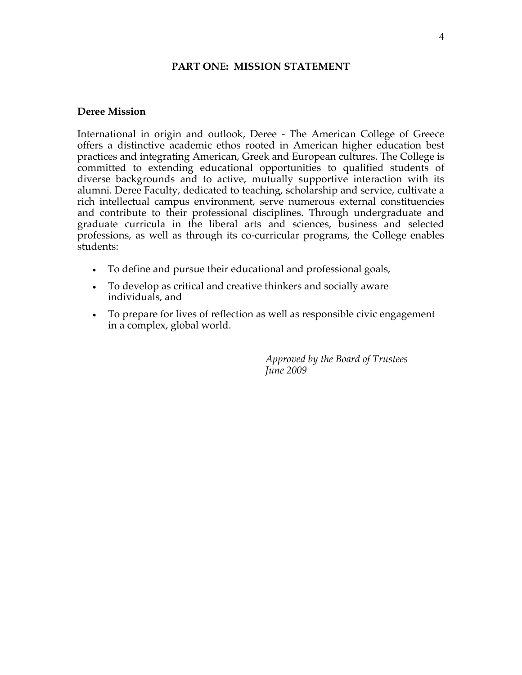#### **PART ONE: MISSION STATEMENT**

#### **Deree Mission**

International in origin and outlook, Deree - The American College of Greece offers a distinctive academic ethos rooted in American higher education best practices and integrating American, Greek and European cultures. The College is committed to extending educational opportunities to qualified students of diverse backgrounds and to active, mutually supportive interaction with its alumni. Deree Faculty, dedicated to teaching, scholarship and service, cultivate a rich intellectual campus environment, serve numerous external constituencies and contribute to their professional disciplines. Through undergraduate and graduate curricula in the liberal arts and sciences, business and selected professions, as well as through its co-curricular programs, the College enables students:

- To define and pursue their educational and professional goals,
- To develop as critical and creative thinkers and socially aware individuals, and
- To prepare for lives of reflection as well as responsible civic engagement in a complex, global world.

*Approved by the Board of Trustees June 2009*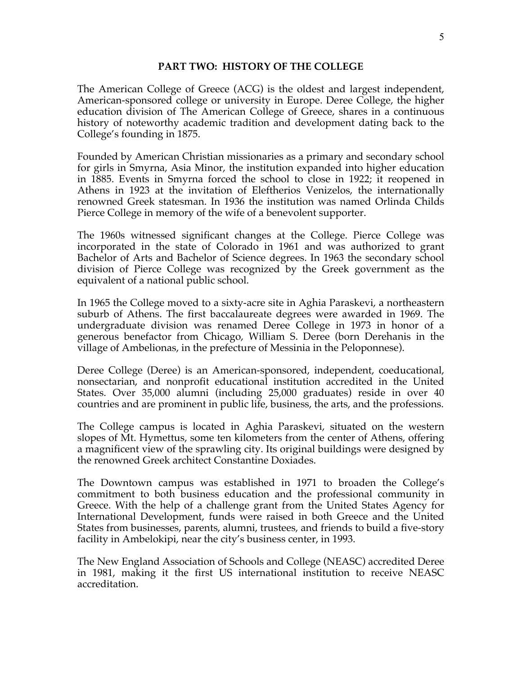#### **PART TWO: HISTORY OF THE COLLEGE**

The American College of Greece (ACG) is the oldest and largest independent, American-sponsored college or university in Europe. Deree College, the higher education division of The American College of Greece, shares in a continuous history of noteworthy academic tradition and development dating back to the College's founding in 1875.

Founded by American Christian missionaries as a primary and secondary school for girls in Smyrna, Asia Minor, the institution expanded into higher education in 1885. Events in Smyrna forced the school to close in 1922; it reopened in Athens in 1923 at the invitation of Eleftherios Venizelos, the internationally renowned Greek statesman. In 1936 the institution was named Orlinda Childs Pierce College in memory of the wife of a benevolent supporter.

The 1960s witnessed significant changes at the College. Pierce College was incorporated in the state of Colorado in 1961 and was authorized to grant Bachelor of Arts and Bachelor of Science degrees. In 1963 the secondary school division of Pierce College was recognized by the Greek government as the equivalent of a national public school.

In 1965 the College moved to a sixty-acre site in Aghia Paraskevi, a northeastern suburb of Athens. The first baccalaureate degrees were awarded in 1969. The undergraduate division was renamed Deree College in 1973 in honor of a generous benefactor from Chicago, William S. Deree (born Derehanis in the village of Ambelionas, in the prefecture of Messinia in the Peloponnese).

Deree College (Deree) is an American-sponsored, independent, coeducational, nonsectarian, and nonprofit educational institution accredited in the United States. Over 35,000 alumni (including 25,000 graduates) reside in over 40 countries and are prominent in public life, business, the arts, and the professions.

The College campus is located in Aghia Paraskevi, situated on the western slopes of Mt. Hymettus, some ten kilometers from the center of Athens, offering a magnificent view of the sprawling city. Its original buildings were designed by the renowned Greek architect Constantine Doxiades.

The Downtown campus was established in 1971 to broaden the College's commitment to both business education and the professional community in Greece. With the help of a challenge grant from the United States Agency for International Development, funds were raised in both Greece and the United States from businesses, parents, alumni, trustees, and friends to build a five-story facility in Ambelokipi, near the city's business center, in 1993.

The New England Association of Schools and College (NEASC) accredited Deree in 1981, making it the first US international institution to receive NEASC accreditation.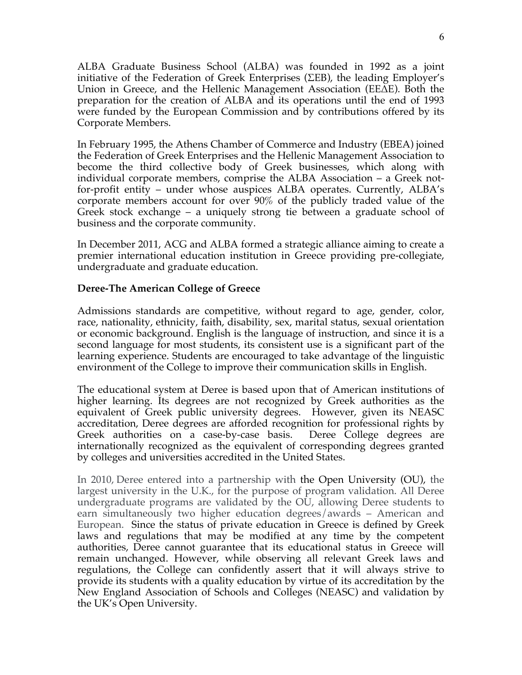ALBA Graduate Business School (ALBA) was founded in 1992 as a joint initiative of the Federation of Greek Enterprises (ΣΕΒ), the leading Employer's Union in Greece, and the Hellenic Management Association (ΕΕ∆Ε). Both the preparation for the creation of ALBA and its operations until the end of 1993 were funded by the European Commission and by contributions offered by its Corporate Members.

In February 1995, the Athens Chamber of Commerce and Industry (EBEA) joined the Federation of Greek Enterprises and the Hellenic Management Association to become the third collective body of Greek businesses, which along with individual corporate members, comprise the ALBA Association – a Greek notfor-profit entity – under whose auspices ALBA operates. Currently, ALBA's corporate members account for over 90% of the publicly traded value of the Greek stock exchange – a uniquely strong tie between a graduate school of business and the corporate community.

In December 2011, ACG and ALBA formed a strategic alliance aiming to create a premier international education institution in Greece providing pre-collegiate, undergraduate and graduate education.

## **Deree-The American College of Greece**

Admissions standards are competitive, without regard to age, gender, color, race, nationality, ethnicity, faith, disability, sex, marital status, sexual orientation or economic background. English is the language of instruction, and since it is a second language for most students, its consistent use is a significant part of the learning experience. Students are encouraged to take advantage of the linguistic environment of the College to improve their communication skills in English.

The educational system at Deree is based upon that of American institutions of higher learning. Its degrees are not recognized by Greek authorities as the equivalent of Greek public university degrees. However, given its NEASC accreditation, Deree degrees are afforded recognition for professional rights by Greek authorities on a case-by-case basis. Deree College degrees are internationally recognized as the equivalent of corresponding degrees granted by colleges and universities accredited in the United States.

In 2010, Deree entered into a partnership with the Open University (OU), the largest university in the U.K., for the purpose of program validation. All Deree undergraduate programs are validated by the OU, allowing Deree students to earn simultaneously two higher education degrees/awards – American and European. Since the status of private education in Greece is defined by Greek laws and regulations that may be modified at any time by the competent authorities, Deree cannot guarantee that its educational status in Greece will remain unchanged. However, while observing all relevant Greek laws and regulations, the College can confidently assert that it will always strive to provide its students with a quality education by virtue of its accreditation by the New England Association of Schools and Colleges (NEASC) and validation by the UK's Open University.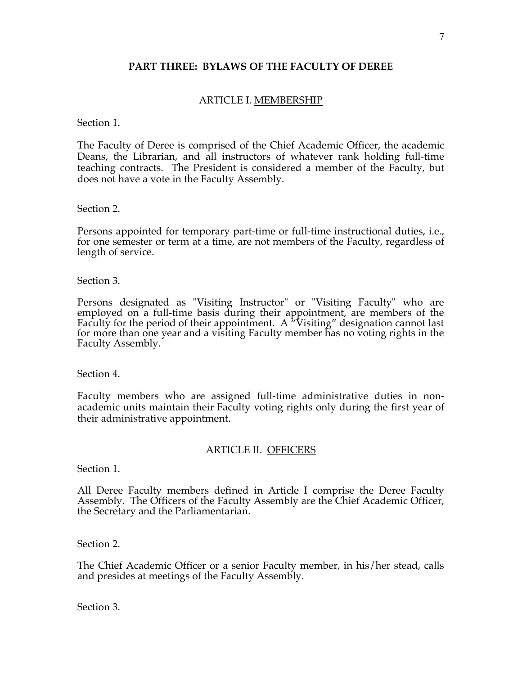#### **PART THREE: BYLAWS OF THE FACULTY OF DEREE**

## ARTICLE I. MEMBERSHIP

#### Section 1.

The Faculty of Deree is comprised of the Chief Academic Officer, the academic Deans, the Librarian, and all instructors of whatever rank holding full-time teaching contracts. The President is considered a member of the Faculty, but does not have a vote in the Faculty Assembly.

#### Section 2.

Persons appointed for temporary part-time or full-time instructional duties, i.e., for one semester or term at a time, are not members of the Faculty, regardless of length of service.

#### Section 3.

Persons designated as "Visiting Instructor" or "Visiting Faculty" who are employed on a full-time basis during their appointment, are members of the Faculty for the period of their appointment. A  $\sqrt[n]{t}$  Visiting" designation cannot last for more than one year and a visiting Faculty member has no voting rights in the Faculty Assembly.

Section 4.

Faculty members who are assigned full-time administrative duties in nonacademic units maintain their Faculty voting rights only during the first year of their administrative appointment.

#### ARTICLE II. OFFICERS

Section 1.

All Deree Faculty members defined in Article I comprise the Deree Faculty Assembly. The Officers of the Faculty Assembly are the Chief Academic Officer, the Secretary and the Parliamentarian.

Section 2.

The Chief Academic Officer or a senior Faculty member, in his/her stead, calls and presides at meetings of the Faculty Assembly.

Section 3.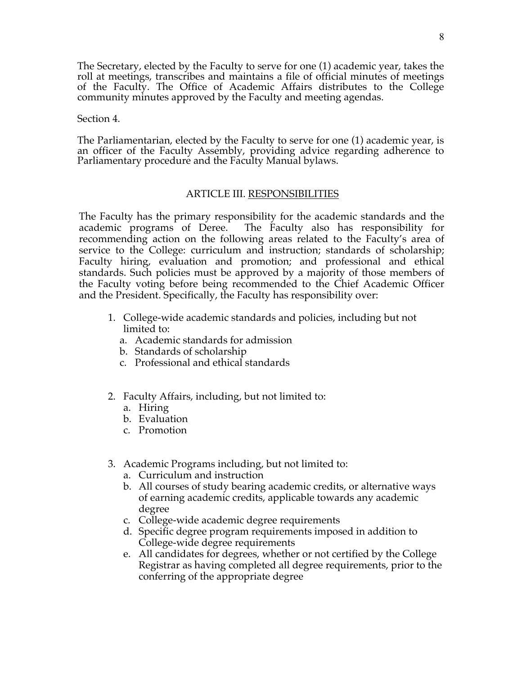The Secretary, elected by the Faculty to serve for one (1) academic year, takes the roll at meetings, transcribes and maintains a file of official minutes of meetings of the Faculty. The Office of Academic Affairs distributes to the College community minutes approved by the Faculty and meeting agendas.

#### Section 4.

The Parliamentarian, elected by the Faculty to serve for one (1) academic year, is an officer of the Faculty Assembly, providing advice regarding adherence to Parliamentary procedure and the Faculty Manual bylaws.

#### ARTICLE III. RESPONSIBILITIES

The Faculty has the primary responsibility for the academic standards and the academic programs of Deree. The Faculty also has responsibility for recommending action on the following areas related to the Faculty's area of service to the College: curriculum and instruction; standards of scholarship; Faculty hiring, evaluation and promotion; and professional and ethical standards. Such policies must be approved by a majority of those members of the Faculty voting before being recommended to the Chief Academic Officer and the President. Specifically, the Faculty has responsibility over:

- 1. College-wide academic standards and policies, including but not limited to:
	- a. Academic standards for admission
	- b. Standards of scholarship
	- c. Professional and ethical standards
- 2. Faculty Affairs, including, but not limited to:
	- a. Hiring
	- b. Evaluation
	- c. Promotion
- 3. Academic Programs including, but not limited to:
	- a. Curriculum and instruction
	- b. All courses of study bearing academic credits, or alternative ways of earning academic credits, applicable towards any academic degree
	- c. College-wide academic degree requirements
	- d. Specific degree program requirements imposed in addition to College-wide degree requirements
	- e. All candidates for degrees, whether or not certified by the College Registrar as having completed all degree requirements, prior to the conferring of the appropriate degree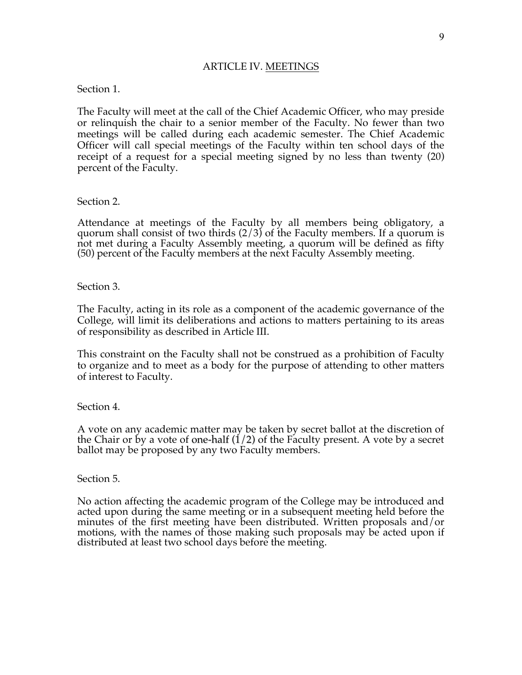#### ARTICLE IV. MEETINGS

#### Section 1.

The Faculty will meet at the call of the Chief Academic Officer, who may preside or relinquish the chair to a senior member of the Faculty. No fewer than two meetings will be called during each academic semester. The Chief Academic Officer will call special meetings of the Faculty within ten school days of the receipt of a request for a special meeting signed by no less than twenty (20) percent of the Faculty.

#### Section 2.

Attendance at meetings of the Faculty by all members being obligatory, a quorum shall consist of two thirds  $(2/3)$  of the Faculty members. If a quorum is not met during a Faculty Assembly meeting, a quorum will be defined as fifty (50) percent of the Faculty members at the next Faculty Assembly meeting.

#### Section 3.

The Faculty, acting in its role as a component of the academic governance of the College, will limit its deliberations and actions to matters pertaining to its areas of responsibility as described in Article III.

This constraint on the Faculty shall not be construed as a prohibition of Faculty to organize and to meet as a body for the purpose of attending to other matters of interest to Faculty.

#### Section 4.

A vote on any academic matter may be taken by secret ballot at the discretion of the Chair or by a vote of one-half  $(1/2)$  of the Faculty present. A vote by a secret ballot may be proposed by any two Faculty members.

#### Section 5.

No action affecting the academic program of the College may be introduced and acted upon during the same meeting or in a subsequent meeting held before the minutes of the first meeting have been distributed. Written proposals and/or motions, with the names of those making such proposals may be acted upon if distributed at least two school days before the meeting.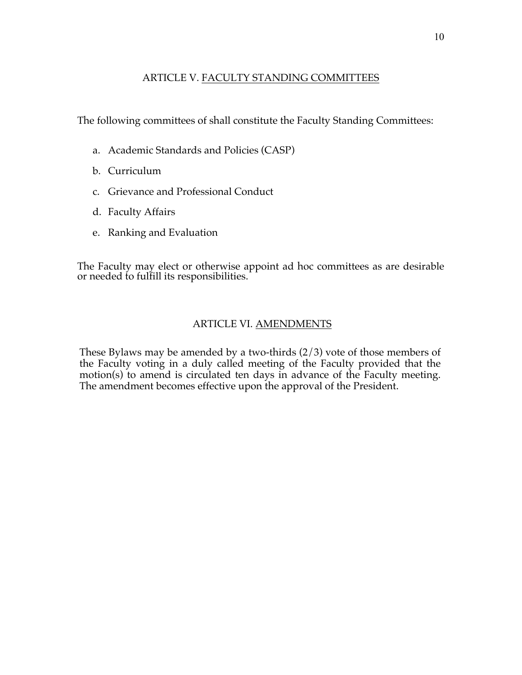## ARTICLE V. FACULTY STANDING COMMITTEES

The following committees of shall constitute the Faculty Standing Committees:

- a. Academic Standards and Policies (CASP)
- b. Curriculum
- c. Grievance and Professional Conduct
- d. Faculty Affairs
- e. Ranking and Evaluation

The Faculty may elect or otherwise appoint ad hoc committees as are desirable or needed to fulfill its responsibilities.

## ARTICLE VI. AMENDMENTS

These Bylaws may be amended by a two-thirds  $(2/3)$  vote of those members of the Faculty voting in a duly called meeting of the Faculty provided that the motion(s) to amend is circulated ten days in advance of the Faculty meeting. The amendment becomes effective upon the approval of the President.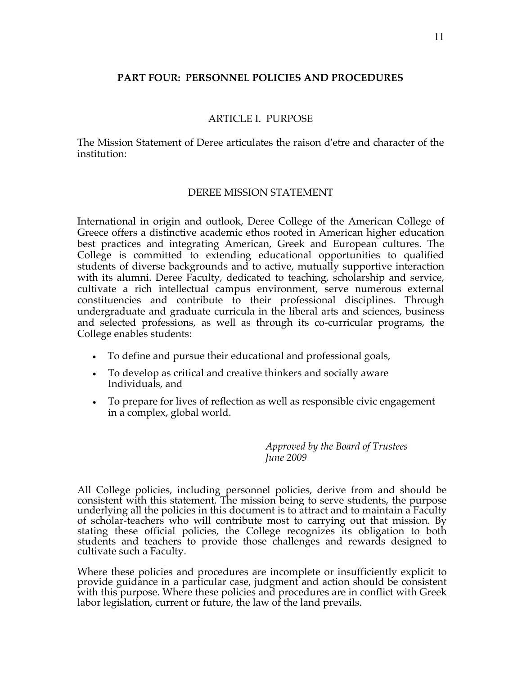## **PART FOUR: PERSONNEL POLICIES AND PROCEDURES**

## ARTICLE I. PURPOSE

The Mission Statement of Deree articulates the raison d'etre and character of the institution:

## DEREE MISSION STATEMENT

International in origin and outlook, Deree College of the American College of Greece offers a distinctive academic ethos rooted in American higher education best practices and integrating American, Greek and European cultures. The College is committed to extending educational opportunities to qualified students of diverse backgrounds and to active, mutually supportive interaction with its alumni. Deree Faculty, dedicated to teaching, scholarship and service, cultivate a rich intellectual campus environment, serve numerous external constituencies and contribute to their professional disciplines. Through undergraduate and graduate curricula in the liberal arts and sciences, business and selected professions, as well as through its co-curricular programs, the College enables students:

- To define and pursue their educational and professional goals,
- To develop as critical and creative thinkers and socially aware Individuals, and
- To prepare for lives of reflection as well as responsible civic engagement in a complex, global world.

*Approved by the Board of Trustees June 2009*

All College policies, including personnel policies, derive from and should be consistent with this statement. The mission being to serve students, the purpose underlying all the policies in this document is to attract and to maintain a Faculty of scholar-teachers who will contribute most to carrying out that mission. By stating these official policies, the College recognizes its obligation to both students and teachers to provide those challenges and rewards designed to cultivate such a Faculty.

Where these policies and procedures are incomplete or insufficiently explicit to provide guidance in a particular case, judgment and action should be consistent with this purpose. Where these policies and procedures are in conflict with Greek labor legislation, current or future, the law of the land prevails.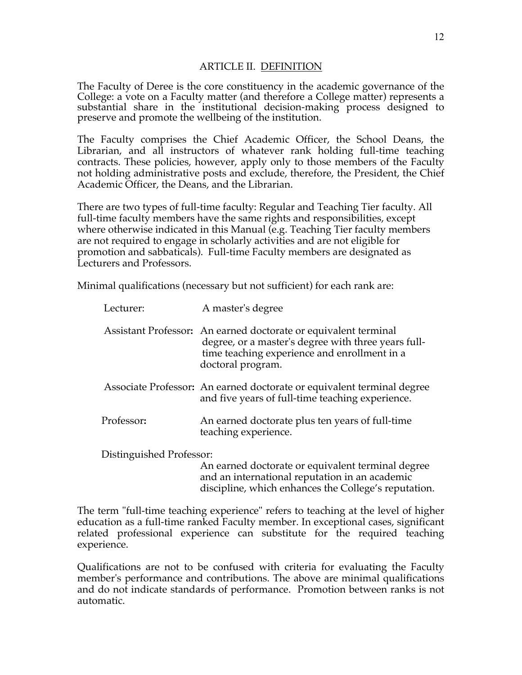#### ARTICLE II. DEFINITION

The Faculty of Deree is the core constituency in the academic governance of the College: a vote on a Faculty matter (and therefore a College matter) represents a substantial share in the institutional decision-making process designed to preserve and promote the wellbeing of the institution.

The Faculty comprises the Chief Academic Officer, the School Deans, the Librarian, and all instructors of whatever rank holding full-time teaching contracts. These policies, however, apply only to those members of the Faculty not holding administrative posts and exclude, therefore, the President, the Chief Academic Officer, the Deans, and the Librarian.

There are two types of full-time faculty: Regular and Teaching Tier faculty. All full-time faculty members have the same rights and responsibilities, except where otherwise indicated in this Manual (e.g. Teaching Tier faculty members are not required to engage in scholarly activities and are not eligible for promotion and sabbaticals). Full-time Faculty members are designated as Lecturers and Professors.

Minimal qualifications (necessary but not sufficient) for each rank are:

| Lecturer:  | A master's degree                                                                                                                                                                           |
|------------|---------------------------------------------------------------------------------------------------------------------------------------------------------------------------------------------|
|            | Assistant Professor: An earned doctorate or equivalent terminal<br>degree, or a master's degree with three years full-<br>time teaching experience and enrollment in a<br>doctoral program. |
|            | Associate Professor: An earned doctorate or equivalent terminal degree<br>and five years of full-time teaching experience.                                                                  |
| Professor: | An earned doctorate plus ten years of full-time<br>teaching experience.                                                                                                                     |
|            |                                                                                                                                                                                             |

Distinguished Professor:

An earned doctorate or equivalent terminal degree and an international reputation in an academic discipline, which enhances the College's reputation.

The term "full-time teaching experience" refers to teaching at the level of higher education as a full-time ranked Faculty member. In exceptional cases, significant related professional experience can substitute for the required teaching experience.

Qualifications are not to be confused with criteria for evaluating the Faculty member's performance and contributions. The above are minimal qualifications and do not indicate standards of performance. Promotion between ranks is not automatic.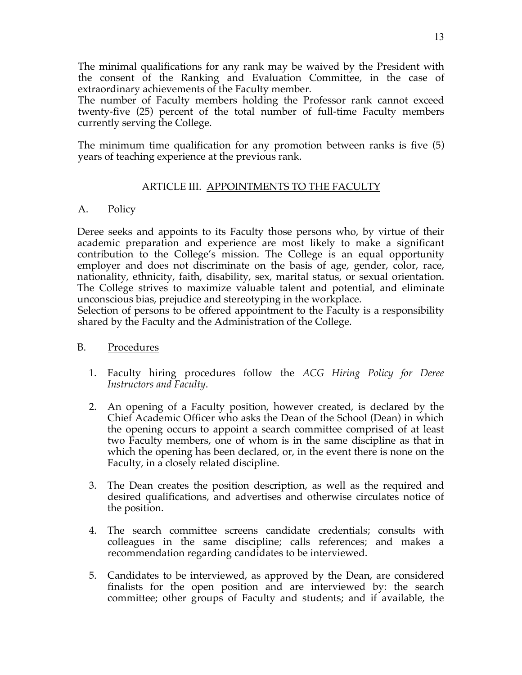The minimal qualifications for any rank may be waived by the President with the consent of the Ranking and Evaluation Committee, in the case of extraordinary achievements of the Faculty member.

The number of Faculty members holding the Professor rank cannot exceed twenty-five (25) percent of the total number of full-time Faculty members currently serving the College.

The minimum time qualification for any promotion between ranks is five (5) years of teaching experience at the previous rank.

## ARTICLE III. APPOINTMENTS TO THE FACULTY

## A. Policy

Deree seeks and appoints to its Faculty those persons who, by virtue of their academic preparation and experience are most likely to make a significant contribution to the College's mission. The College is an equal opportunity employer and does not discriminate on the basis of age, gender, color, race, nationality, ethnicity, faith, disability, sex, marital status, or sexual orientation. The College strives to maximize valuable talent and potential, and eliminate unconscious bias, prejudice and stereotyping in the workplace.

Selection of persons to be offered appointment to the Faculty is a responsibility shared by the Faculty and the Administration of the College.

## B. Procedures

- 1. Faculty hiring procedures follow the *ACG Hiring Policy for Deree Instructors and Faculty*.
- 2. An opening of a Faculty position, however created, is declared by the Chief Academic Officer who asks the Dean of the School (Dean) in which the opening occurs to appoint a search committee comprised of at least two Faculty members, one of whom is in the same discipline as that in which the opening has been declared, or, in the event there is none on the Faculty, in a closely related discipline.
- 3. The Dean creates the position description, as well as the required and desired qualifications, and advertises and otherwise circulates notice of the position.
- 4. The search committee screens candidate credentials; consults with colleagues in the same discipline; calls references; and makes a recommendation regarding candidates to be interviewed.
- 5. Candidates to be interviewed, as approved by the Dean, are considered finalists for the open position and are interviewed by: the search committee; other groups of Faculty and students; and if available, the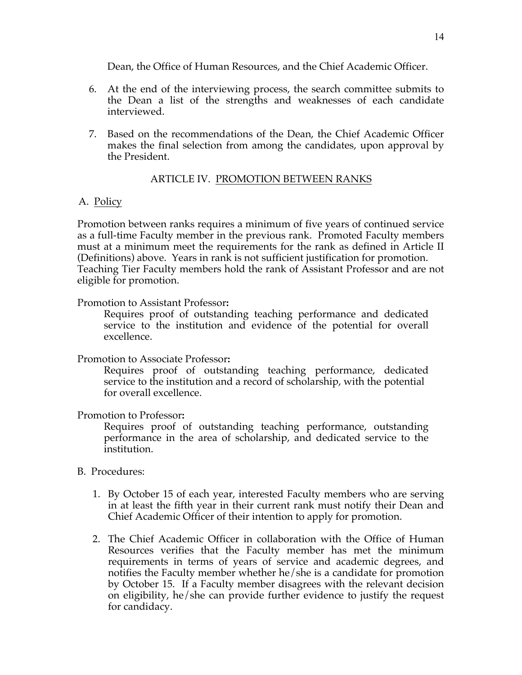Dean, the Office of Human Resources, and the Chief Academic Officer.

- 6. At the end of the interviewing process, the search committee submits to the Dean a list of the strengths and weaknesses of each candidate interviewed.
- 7. Based on the recommendations of the Dean, the Chief Academic Officer makes the final selection from among the candidates, upon approval by the President.

#### ARTICLE IV. PROMOTION BETWEEN RANKS

#### A. Policy

Promotion between ranks requires a minimum of five years of continued service as a full-time Faculty member in the previous rank. Promoted Faculty members must at a minimum meet the requirements for the rank as defined in Article II (Definitions) above. Years in rank is not sufficient justification for promotion. Teaching Tier Faculty members hold the rank of Assistant Professor and are not eligible for promotion.

#### Promotion to Assistant Professor**:**

Requires proof of outstanding teaching performance and dedicated service to the institution and evidence of the potential for overall excellence.

#### Promotion to Associate Professor**:**

Requires proof of outstanding teaching performance, dedicated service to the institution and a record of scholarship, with the potential for overall excellence.

#### Promotion to Professor**:**

Requires proof of outstanding teaching performance, outstanding performance in the area of scholarship, and dedicated service to the institution.

#### B. Procedures:

- 1. By October 15 of each year, interested Faculty members who are serving in at least the fifth year in their current rank must notify their Dean and Chief Academic Officer of their intention to apply for promotion.
- 2. The Chief Academic Officer in collaboration with the Office of Human Resources verifies that the Faculty member has met the minimum requirements in terms of years of service and academic degrees, and notifies the Faculty member whether he/she is a candidate for promotion by October 15. If a Faculty member disagrees with the relevant decision on eligibility, he/she can provide further evidence to justify the request for candidacy.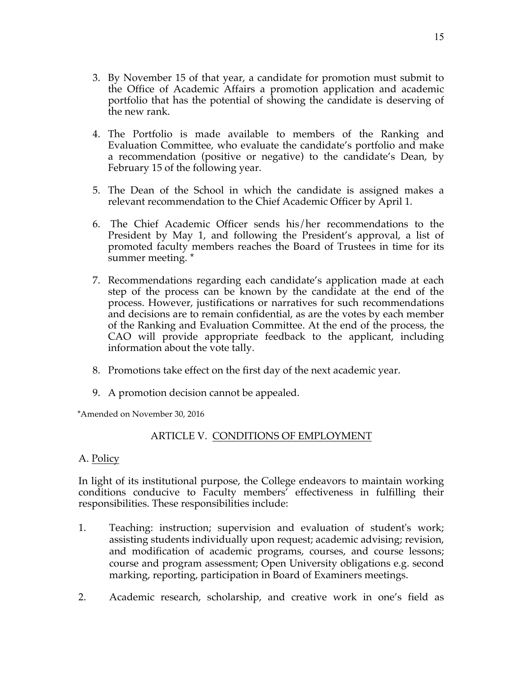- 3. By November 15 of that year, a candidate for promotion must submit to the Office of Academic Affairs a promotion application and academic portfolio that has the potential of showing the candidate is deserving of the new rank.
- 4. The Portfolio is made available to members of the Ranking and Evaluation Committee, who evaluate the candidate's portfolio and make a recommendation (positive or negative) to the candidate's Dean, by February 15 of the following year.
- 5. The Dean of the School in which the candidate is assigned makes a relevant recommendation to the Chief Academic Officer by April 1.
- 6. The Chief Academic Officer sends his/her recommendations to the President by May 1, and following the President's approval, a list of promoted faculty members reaches the Board of Trustees in time for its summer meeting. \*
- 7. Recommendations regarding each candidate's application made at each step of the process can be known by the candidate at the end of the process. However, justifications or narratives for such recommendations and decisions are to remain confidential, as are the votes by each member of the Ranking and Evaluation Committee. At the end of the process, the CAO will provide appropriate feedback to the applicant, including information about the vote tally.
- 8. Promotions take effect on the first day of the next academic year.
- 9. A promotion decision cannot be appealed.

\*Amended on November 30, 2016

## ARTICLE V. CONDITIONS OF EMPLOYMENT

#### A. Policy

In light of its institutional purpose, the College endeavors to maintain working conditions conducive to Faculty members' effectiveness in fulfilling their responsibilities. These responsibilities include:

- 1. Teaching: instruction; supervision and evaluation of student's work; assisting students individually upon request; academic advising; revision, and modification of academic programs, courses, and course lessons; course and program assessment; Open University obligations e.g. second marking, reporting, participation in Board of Examiners meetings.
- 2. Academic research, scholarship, and creative work in one's field as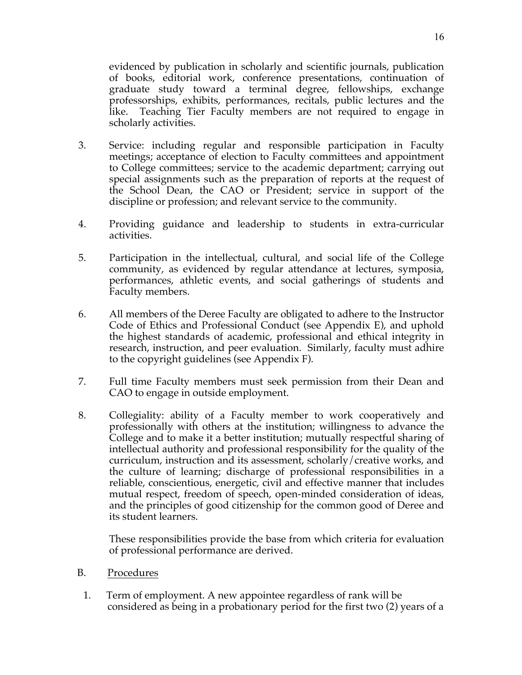evidenced by publication in scholarly and scientific journals, publication of books, editorial work, conference presentations, continuation of graduate study toward a terminal degree, fellowships, exchange professorships, exhibits, performances, recitals, public lectures and the like. Teaching Tier Faculty members are not required to engage in scholarly activities.

- 3. Service: including regular and responsible participation in Faculty meetings; acceptance of election to Faculty committees and appointment to College committees; service to the academic department; carrying out special assignments such as the preparation of reports at the request of the School Dean, the CAO or President; service in support of the discipline or profession; and relevant service to the community.
- 4. Providing guidance and leadership to students in extra-curricular activities.
- 5. Participation in the intellectual, cultural, and social life of the College community, as evidenced by regular attendance at lectures, symposia, performances, athletic events, and social gatherings of students and Faculty members.
- 6. All members of the Deree Faculty are obligated to adhere to the Instructor Code of Ethics and Professional Conduct (see Appendix E), and uphold the highest standards of academic, professional and ethical integrity in research, instruction, and peer evaluation. Similarly, faculty must adhire to the copyright guidelines (see Appendix F).
- 7. Full time Faculty members must seek permission from their Dean and CAO to engage in outside employment.
- 8. Collegiality: ability of a Faculty member to work cooperatively and professionally with others at the institution; willingness to advance the College and to make it a better institution; mutually respectful sharing of intellectual authority and professional responsibility for the quality of the curriculum, instruction and its assessment, scholarly/creative works, and the culture of learning; discharge of professional responsibilities in a reliable, conscientious, energetic, civil and effective manner that includes mutual respect, freedom of speech, open-minded consideration of ideas, and the principles of good citizenship for the common good of Deree and its student learners.

These responsibilities provide the base from which criteria for evaluation of professional performance are derived.

- B. Procedures
- 1. Term of employment. A new appointee regardless of rank will be considered as being in a probationary period for the first two (2) years of a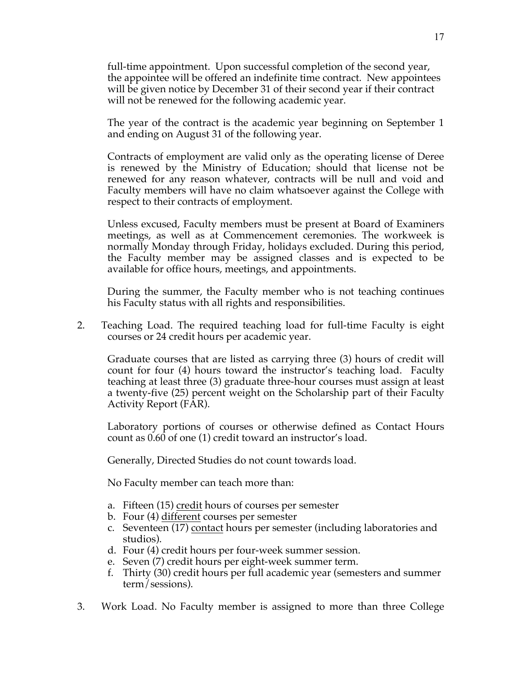full-time appointment. Upon successful completion of the second year, the appointee will be offered an indefinite time contract. New appointees will be given notice by December 31 of their second year if their contract will not be renewed for the following academic year.

The year of the contract is the academic year beginning on September 1 and ending on August 31 of the following year.

Contracts of employment are valid only as the operating license of Deree is renewed by the Ministry of Education; should that license not be renewed for any reason whatever, contracts will be null and void and Faculty members will have no claim whatsoever against the College with respect to their contracts of employment.

Unless excused, Faculty members must be present at Board of Examiners meetings, as well as at Commencement ceremonies. The workweek is normally Monday through Friday, holidays excluded. During this period, the Faculty member may be assigned classes and is expected to be available for office hours, meetings, and appointments.

During the summer, the Faculty member who is not teaching continues his Faculty status with all rights and responsibilities.

2. Teaching Load. The required teaching load for full-time Faculty is eight courses or 24 credit hours per academic year.

Graduate courses that are listed as carrying three (3) hours of credit will count for four (4) hours toward the instructor's teaching load. Faculty teaching at least three (3) graduate three-hour courses must assign at least a twenty-five (25) percent weight on the Scholarship part of their Faculty Activity Report (FAR).

Laboratory portions of courses or otherwise defined as Contact Hours count as 0.60 of one (1) credit toward an instructor's load.

Generally, Directed Studies do not count towards load.

No Faculty member can teach more than:

- a. Fifteen (15) credit hours of courses per semester
- b. Four (4) different courses per semester
- c. Seventeen (17) contact hours per semester (including laboratories and studios).
- d. Four (4) credit hours per four-week summer session.
- e. Seven (7) credit hours per eight-week summer term.
- f. Thirty (30) credit hours per full academic year (semesters and summer term/sessions).
- 3. Work Load. No Faculty member is assigned to more than three College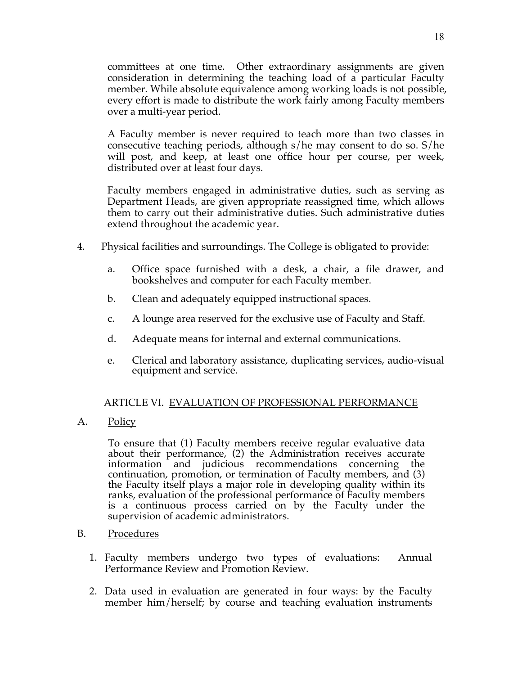committees at one time. Other extraordinary assignments are given consideration in determining the teaching load of a particular Faculty member. While absolute equivalence among working loads is not possible, every effort is made to distribute the work fairly among Faculty members over a multi-year period.

A Faculty member is never required to teach more than two classes in consecutive teaching periods, although s/he may consent to do so. S/he will post, and keep, at least one office hour per course, per week, distributed over at least four days.

Faculty members engaged in administrative duties, such as serving as Department Heads, are given appropriate reassigned time, which allows them to carry out their administrative duties. Such administrative duties extend throughout the academic year.

- 4. Physical facilities and surroundings. The College is obligated to provide:
	- a. Office space furnished with a desk, a chair, a file drawer, and bookshelves and computer for each Faculty member.
	- b. Clean and adequately equipped instructional spaces.
	- c. A lounge area reserved for the exclusive use of Faculty and Staff.
	- d. Adequate means for internal and external communications.
	- e. Clerical and laboratory assistance, duplicating services, audio-visual equipment and service.

#### ARTICLE VI. EVALUATION OF PROFESSIONAL PERFORMANCE

A. Policy

To ensure that (1) Faculty members receive regular evaluative data about their performance, (2) the Administration receives accurate information and judicious recommendations concerning the continuation, promotion, or termination of Faculty members, and (3) the Faculty itself plays a major role in developing quality within its ranks, evaluation of the professional performance of Faculty members is a continuous process carried on by the Faculty under the supervision of academic administrators.

- B. Procedures
	- 1. Faculty members undergo two types of evaluations: Annual Performance Review and Promotion Review.
	- 2. Data used in evaluation are generated in four ways: by the Faculty member him/herself; by course and teaching evaluation instruments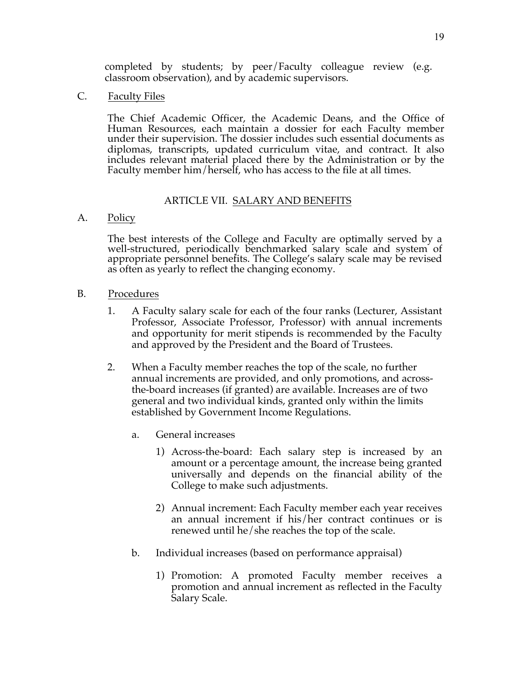completed by students; by peer/Faculty colleague review (e.g. classroom observation), and by academic supervisors.

C. Faculty Files

The Chief Academic Officer, the Academic Deans, and the Office of Human Resources, each maintain a dossier for each Faculty member under their supervision. The dossier includes such essential documents as diplomas, transcripts, updated curriculum vitae, and contract. It also includes relevant material placed there by the Administration or by the Faculty member him/herself, who has access to the file at all times.

#### ARTICLE VII. SALARY AND BENEFITS

## A. Policy

The best interests of the College and Faculty are optimally served by a well-structured, periodically benchmarked salary scale and system of appropriate personnel benefits. The College's salary scale may be revised as often as yearly to reflect the changing economy.

- B. Procedures
	- 1. A Faculty salary scale for each of the four ranks (Lecturer, Assistant Professor, Associate Professor, Professor) with annual increments and opportunity for merit stipends is recommended by the Faculty and approved by the President and the Board of Trustees.
	- 2. When a Faculty member reaches the top of the scale, no further annual increments are provided, and only promotions, and acrossthe-board increases (if granted) are available. Increases are of two general and two individual kinds, granted only within the limits established by Government Income Regulations.
		- a. General increases
			- 1) Across-the-board: Each salary step is increased by an amount or a percentage amount, the increase being granted universally and depends on the financial ability of the College to make such adjustments.
			- 2) Annual increment: Each Faculty member each year receives an annual increment if his/her contract continues or is renewed until he/she reaches the top of the scale.
		- b. Individual increases (based on performance appraisal)
			- 1) Promotion: A promoted Faculty member receives a promotion and annual increment as reflected in the Faculty Salary Scale.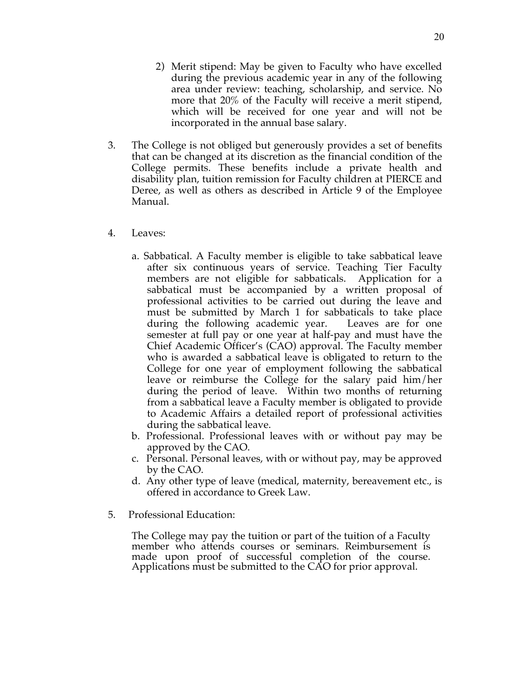- 3. The College is not obliged but generously provides a set of benefits that can be changed at its discretion as the financial condition of the College permits. These benefits include a private health and disability plan, tuition remission for Faculty children at PIERCE and Deree, as well as others as described in Article 9 of the Employee Manual.
- 4. Leaves:
	- a. Sabbatical. A Faculty member is eligible to take sabbatical leave after six continuous years of service. Teaching Tier Faculty members are not eligible for sabbaticals. Application for a sabbatical must be accompanied by a written proposal of professional activities to be carried out during the leave and must be submitted by March 1 for sabbaticals to take place during the following academic year. Leaves are for one semester at full pay or one year at half-pay and must have the Chief Academic Officer's (CAO) approval. The Faculty member who is awarded a sabbatical leave is obligated to return to the College for one year of employment following the sabbatical leave or reimburse the College for the salary paid him/her during the period of leave. Within two months of returning from a sabbatical leave a Faculty member is obligated to provide to Academic Affairs a detailed report of professional activities during the sabbatical leave.
	- b. Professional. Professional leaves with or without pay may be approved by the CAO.
	- c. Personal. Personal leaves, with or without pay, may be approved by the CAO.
	- d. Any other type of leave (medical, maternity, bereavement etc., is offered in accordance to Greek Law.
- 5. Professional Education:

The College may pay the tuition or part of the tuition of a Faculty member who attends courses or seminars. Reimbursement is made upon proof of successful completion of the course. Applications must be submitted to the CAO for prior approval.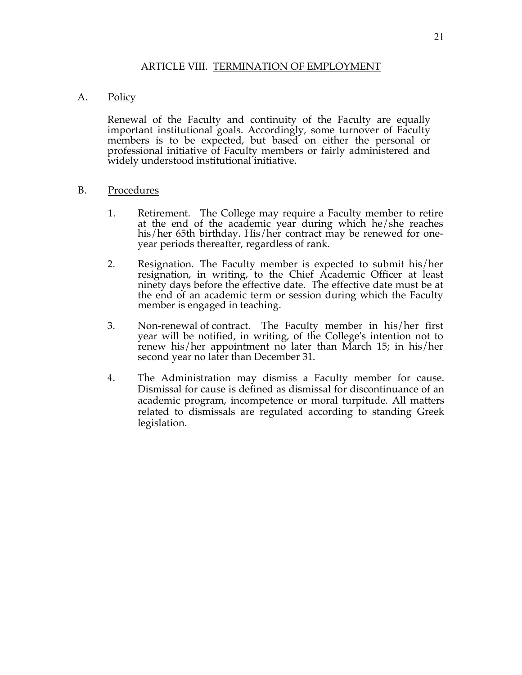#### ARTICLE VIII. TERMINATION OF EMPLOYMENT

## A. Policy

Renewal of the Faculty and continuity of the Faculty are equally important institutional goals. Accordingly, some turnover of Faculty members is to be expected, but based on either the personal or professional initiative of Faculty members or fairly administered and widely understood institutional initiative.

#### B. Procedures

- 1. Retirement. The College may require a Faculty member to retire at the end of the academic year during which he/she reaches his/her 65th birthday. His/her contract may be renewed for one-<br>year periods thereafter, regardless of rank.
- 2. Resignation. The Faculty member is expected to submit his/her resignation, in writing, to the Chief Academic Officer at least ninety days before the effective date. The effective date must be at the end of an academic term or session during which the Faculty member is engaged in teaching.
- 3. Non-renewal of contract. The Faculty member in his/her first year will be notified, in writing, of the College's intention not to renew his/her appointment no later than March 15; in his/her second year no later than December 31.
- 4. The Administration may dismiss a Faculty member for cause. Dismissal for cause is defined as dismissal for discontinuance of an academic program, incompetence or moral turpitude. All matters related to dismissals are regulated according to standing Greek legislation.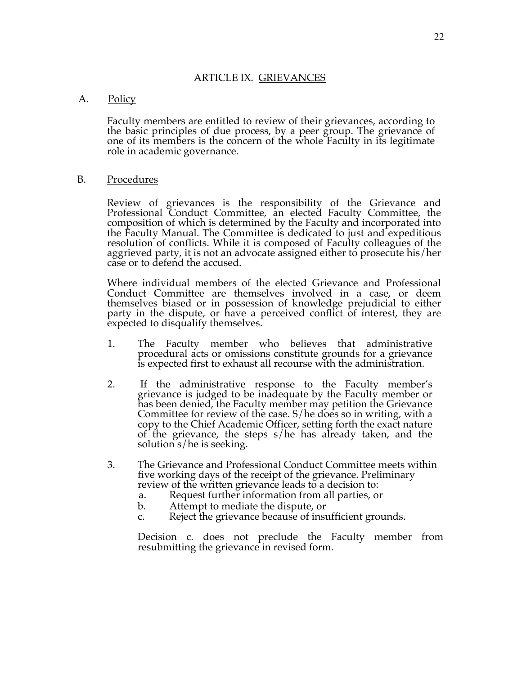#### ARTICLE IX. GRIEVANCES

#### A. Policy

Faculty members are entitled to review of their grievances, according to the basic principles of due process, by a peer group. The grievance of one of its members is the concern of the whole Faculty in its legitimate role in academic governance.

#### B. Procedures

Review of grievances is the responsibility of the Grievance and Professional Conduct Committee, an elected Faculty Committee, the composition of which is determined by the Faculty and incorporated into the Faculty Manual. The Committee is dedicated to just and expeditious<br>resolution of conflicts. While it is composed of Faculty colleagues of the<br>aggrieved party, it is not an advocate assigned either to prosecute his/her case or to defend the accused.

Where individual members of the elected Grievance and Professional Conduct Committee are themselves involved in a case, or deem themselves biased or in possession of knowledge prejudicial to either party in the dispute, or have a perceived conflict of interest, they are expected to disqualify themselves.

- 1. The Faculty member who believes that administrative procedural acts or omissions constitute grounds for a grievance is expected first to exhaust all recourse with the administration.
- 2. If the administrative response to the Faculty member's grievance is judged to be inadequate by the Faculty member or has been denied, the Faculty member may petition the Grievance Committee for review of the case. S/he does so in writing, with a copy to the Chief Academic Officer, setting forth the exact nature of the grievance, the steps s/he has already taken, and the solution s/he is seeking.
- 3. The Grievance and Professional Conduct Committee meets within five working days of the receipt of the grievance. Preliminary review of the written grievance leads to a decision to:
	- a. Request further information from all parties, or
	- b. Attempt to mediate the dispute, or
	- c. Reject the grievance because of insufficient grounds.

Decision c. does not preclude the Faculty member from resubmitting the grievance in revised form.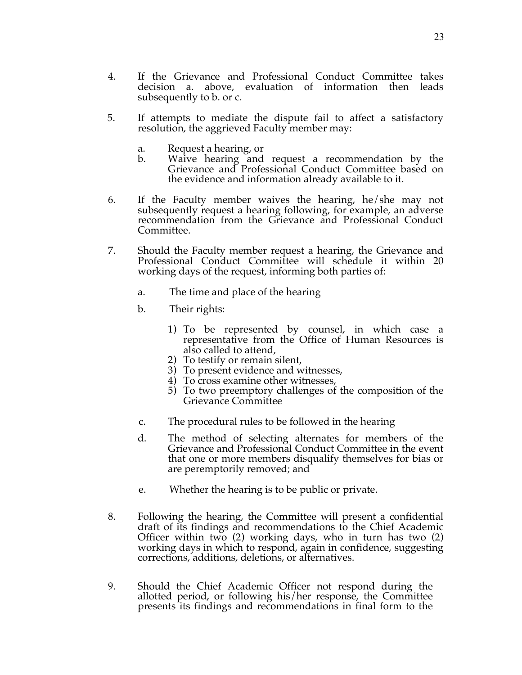- 4. If the Grievance and Professional Conduct Committee takes decision a. above, evaluation of information then leads subsequently to b. or c.
- 5. If attempts to mediate the dispute fail to affect a satisfactory resolution, the aggrieved Faculty member may:
	- a. Request a hearing, or
	- b. Waive hearing and request a recommendation by the Grievance and Professional Conduct Committee based on the evidence and information already available to it.
- 6. If the Faculty member waives the hearing, he/she may not subsequently request a hearing following, for example, an adverse recommendation from the Grievance and Professional Conduct Committee.
- 7. Should the Faculty member request a hearing, the Grievance and Professional Conduct Committee will schedule it within 20 working days of the request, informing both parties of:
	- a. The time and place of the hearing
	- b. Their rights:
		- 1) To be represented by counsel, in which case a representative from the Office of Human Resources is also called to attend,
		- 2) To testify or remain silent,
		- 3) To present evidence and witnesses,
		- 4) To cross examine other witnesses,
		- 5) To two preemptory challenges of the composition of the Grievance Committee
	- c. The procedural rules to be followed in the hearing
	- d. The method of selecting alternates for members of the Grievance and Professional Conduct Committee in the event that one or more members disqualify themselves for bias or are peremptorily removed; and
	- e. Whether the hearing is to be public or private.
- 8. Following the hearing, the Committee will present a confidential draft of its findings and recommendations to the Chief Academic Officer within two (2) working days, who in turn has two (2) working days in which to respond, again in confidence, suggesting corrections, additions, deletions, or alternatives.
- 9. Should the Chief Academic Officer not respond during the allotted period, or following his/her response, the Committee presents its findings and recommendations in final form to the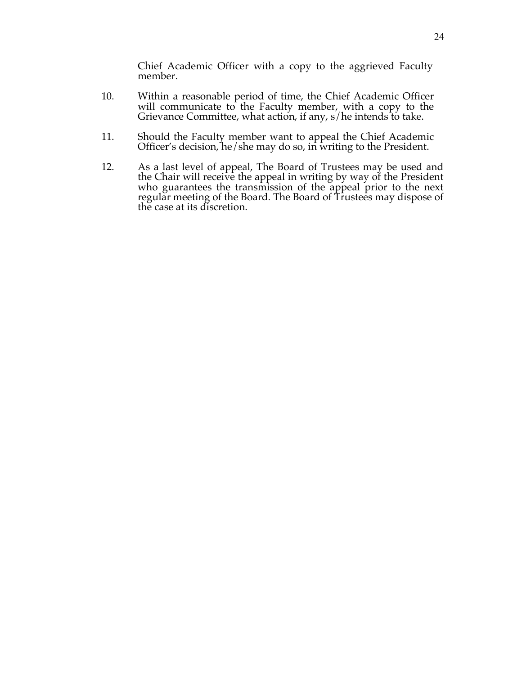Chief Academic Officer with a copy to the aggrieved Faculty member.

- 10. Within a reasonable period of time, the Chief Academic Officer Grievance Committee, what action, if any, s/he intends to take.
- 11. Should the Faculty member want to appeal the Chief Academic Officer's decision, he/she may do so, in writing to the President.
- 12. As a last level of appeal, The Board of Trustees may be used and the Chair will receive the appeal in writing by way of the President who guarantees the transmission of the appeal prior to the next regular meeting of the Board. The Board of Trustees may dispose of the case at its discretion.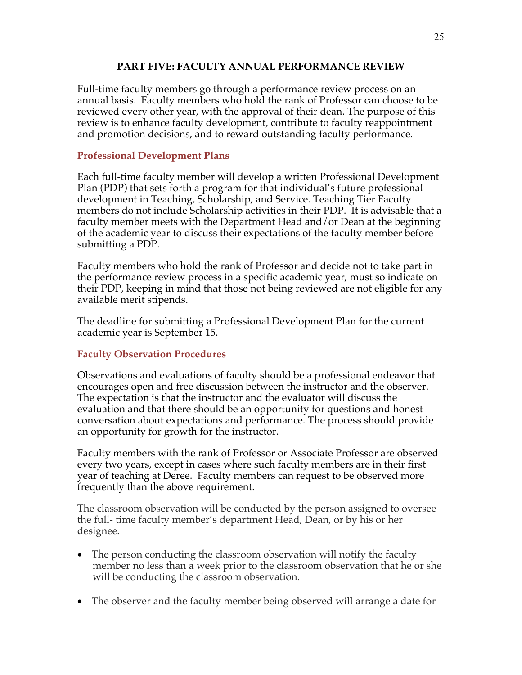## **PART FIVE: FACULTY ANNUAL PERFORMANCE REVIEW**

Full-time faculty members go through a performance review process on an annual basis. Faculty members who hold the rank of Professor can choose to be reviewed every other year, with the approval of their dean. The purpose of this review is to enhance faculty development, contribute to faculty reappointment and promotion decisions, and to reward outstanding faculty performance.

## **Professional Development Plans**

Each full-time faculty member will develop a written Professional Development Plan (PDP) that sets forth a program for that individual's future professional development in Teaching, Scholarship, and Service. Teaching Tier Faculty members do not include Scholarship activities in their PDP. It is advisable that a faculty member meets with the Department Head and/or Dean at the beginning of the academic year to discuss their expectations of the faculty member before submitting a PDP.

Faculty members who hold the rank of Professor and decide not to take part in the performance review process in a specific academic year, must so indicate on their PDP, keeping in mind that those not being reviewed are not eligible for any available merit stipends.

The deadline for submitting a Professional Development Plan for the current academic year is September 15.

## **Faculty Observation Procedures**

Observations and evaluations of faculty should be a professional endeavor that encourages open and free discussion between the instructor and the observer. The expectation is that the instructor and the evaluator will discuss the evaluation and that there should be an opportunity for questions and honest conversation about expectations and performance. The process should provide an opportunity for growth for the instructor.

Faculty members with the rank of Professor or Associate Professor are observed every two years, except in cases where such faculty members are in their first year of teaching at Deree. Faculty members can request to be observed more frequently than the above requirement.

The classroom observation will be conducted by the person assigned to oversee the full- time faculty member's department Head, Dean, or by his or her designee.

- The person conducting the classroom observation will notify the faculty member no less than a week prior to the classroom observation that he or she will be conducting the classroom observation.
- The observer and the faculty member being observed will arrange a date for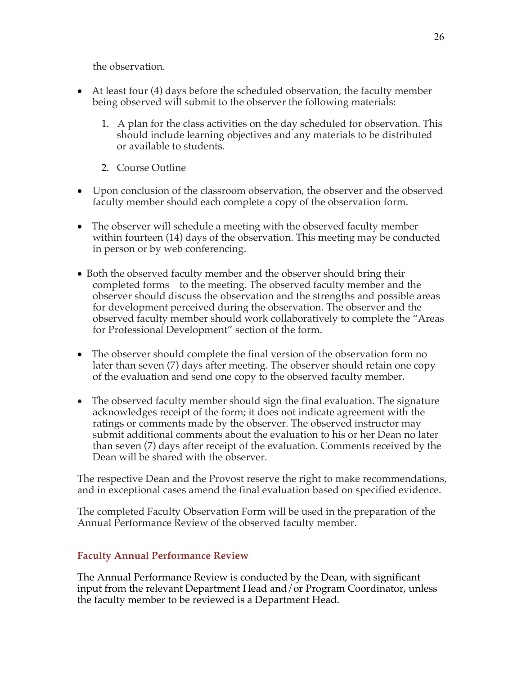the observation.

- At least four (4) days before the scheduled observation, the faculty member being observed will submit to the observer the following materials:
	- 1. A plan for the class activities on the day scheduled for observation. This should include learning objectives and any materials to be distributed or available to students.
	- 2. Course Outline
- Upon conclusion of the classroom observation, the observer and the observed faculty member should each complete a copy of the observation form.
- The observer will schedule a meeting with the observed faculty member within fourteen (14) days of the observation. This meeting may be conducted in person or by web conferencing.
- Both the observed faculty member and the observer should bring their completed forms to the meeting. The observed faculty member and the observer should discuss the observation and the strengths and possible areas for development perceived during the observation. The observer and the observed faculty member should work collaboratively to complete the "Areas for Professional Development" section of the form.
- The observer should complete the final version of the observation form no later than seven (7) days after meeting. The observer should retain one copy of the evaluation and send one copy to the observed faculty member.
- The observed faculty member should sign the final evaluation. The signature acknowledges receipt of the form; it does not indicate agreement with the ratings or comments made by the observer. The observed instructor may submit additional comments about the evaluation to his or her Dean no later than seven (7) days after receipt of the evaluation. Comments received by the Dean will be shared with the observer.

The respective Dean and the Provost reserve the right to make recommendations, and in exceptional cases amend the final evaluation based on specified evidence.

The completed Faculty Observation Form will be used in the preparation of the Annual Performance Review of the observed faculty member.

## **Faculty Annual Performance Review**

The Annual Performance Review is conducted by the Dean, with significant input from the relevant Department Head and/or Program Coordinator, unless the faculty member to be reviewed is a Department Head.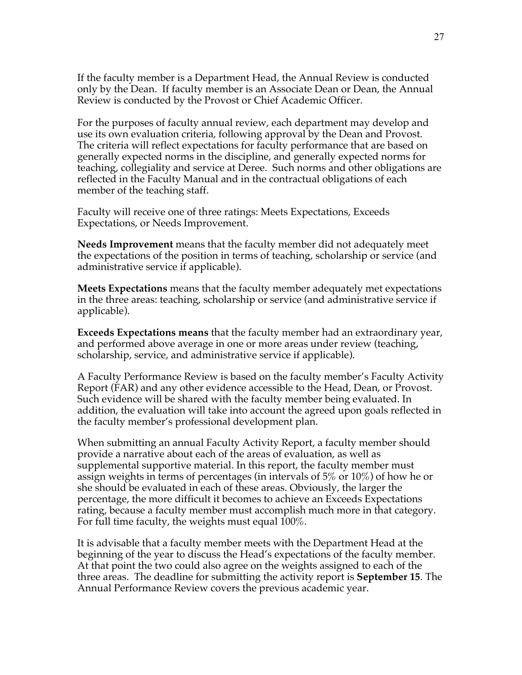If the faculty member is a Department Head, the Annual Review is conducted only by the Dean. If faculty member is an Associate Dean or Dean, the Annual Review is conducted by the Provost or Chief Academic Officer.

For the purposes of faculty annual review, each department may develop and use its own evaluation criteria, following approval by the Dean and Provost. The criteria will reflect expectations for faculty performance that are based on generally expected norms in the discipline, and generally expected norms for teaching, collegiality and service at Deree. Such norms and other obligations are reflected in the Faculty Manual and in the contractual obligations of each member of the teaching staff.

Faculty will receive one of three ratings: Meets Expectations, Exceeds Expectations, or Needs Improvement.

**Needs Improvement** means that the faculty member did not adequately meet the expectations of the position in terms of teaching, scholarship or service (and administrative service if applicable).

**Meets Expectations** means that the faculty member adequately met expectations in the three areas: teaching, scholarship or service (and administrative service if applicable).

**Exceeds Expectations means** that the faculty member had an extraordinary year, and performed above average in one or more areas under review (teaching, scholarship, service, and administrative service if applicable).

A Faculty Performance Review is based on the faculty member's Faculty Activity Report (FAR) and any other evidence accessible to the Head, Dean, or Provost. Such evidence will be shared with the faculty member being evaluated. In addition, the evaluation will take into account the agreed upon goals reflected in the faculty member's professional development plan.

When submitting an annual Faculty Activity Report, a faculty member should provide a narrative about each of the areas of evaluation, as well as supplemental supportive material. In this report, the faculty member must assign weights in terms of percentages (in intervals of 5% or 10%) of how he or she should be evaluated in each of these areas. Obviously, the larger the percentage, the more difficult it becomes to achieve an Exceeds Expectations rating, because a faculty member must accomplish much more in that category. For full time faculty, the weights must equal 100%.

It is advisable that a faculty member meets with the Department Head at the beginning of the year to discuss the Head's expectations of the faculty member. At that point the two could also agree on the weights assigned to each of the three areas. The deadline for submitting the activity report is **September 15**. The Annual Performance Review covers the previous academic year.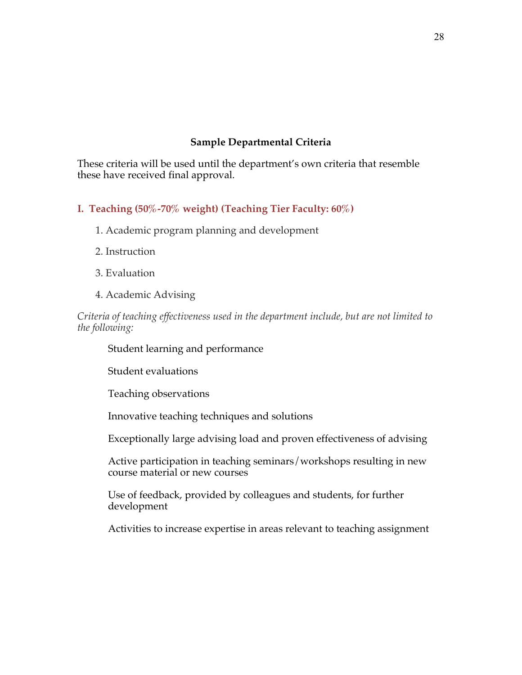## **Sample Departmental Criteria**

These criteria will be used until the department's own criteria that resemble these have received final approval.

## **I. Teaching (50%-70% weight) (Teaching Tier Faculty: 60%)**

- 1. Academic program planning and development
- 2. Instruction
- 3. Evaluation
- 4. Academic Advising

*Criteria of teaching effectiveness used in the department include, but are not limited to the following:*

Student learning and performance

Student evaluations

Teaching observations

Innovative teaching techniques and solutions

Exceptionally large advising load and proven effectiveness of advising

Active participation in teaching seminars/workshops resulting in new course material or new courses

Use of feedback, provided by colleagues and students, for further development

Activities to increase expertise in areas relevant to teaching assignment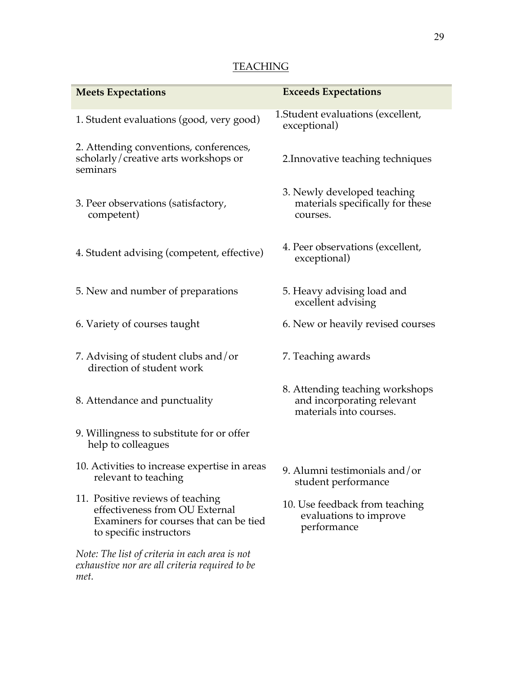## **TEACHING**

| <b>Meets Expectations</b>                                                                                                               | <b>Exceeds Expectations</b>                                                              |
|-----------------------------------------------------------------------------------------------------------------------------------------|------------------------------------------------------------------------------------------|
| 1. Student evaluations (good, very good)                                                                                                | 1. Student evaluations (excellent,<br>exceptional)                                       |
| 2. Attending conventions, conferences,<br>scholarly/creative arts workshops or<br>seminars                                              | 2. Innovative teaching techniques                                                        |
| 3. Peer observations (satisfactory,<br>competent)                                                                                       | 3. Newly developed teaching<br>materials specifically for these<br>courses.              |
| 4. Student advising (competent, effective)                                                                                              | 4. Peer observations (excellent,<br>exceptional)                                         |
| 5. New and number of preparations                                                                                                       | 5. Heavy advising load and<br>excellent advising                                         |
| 6. Variety of courses taught                                                                                                            | 6. New or heavily revised courses                                                        |
| 7. Advising of student clubs and/or<br>direction of student work                                                                        | 7. Teaching awards                                                                       |
| 8. Attendance and punctuality                                                                                                           | 8. Attending teaching workshops<br>and incorporating relevant<br>materials into courses. |
| 9. Willingness to substitute for or offer<br>help to colleagues                                                                         |                                                                                          |
| 10. Activities to increase expertise in areas<br>relevant to teaching                                                                   | 9. Alumni testimonials and/or<br>student performance                                     |
| 11. Positive reviews of teaching<br>effectiveness from OU External<br>Examiners for courses that can be tied<br>to specific instructors | 10. Use feedback from teaching<br>evaluations to improve<br>performance                  |
| Note: The list of criteria in each area is not<br>exhaustive nor are all criteria required to be<br>met.                                |                                                                                          |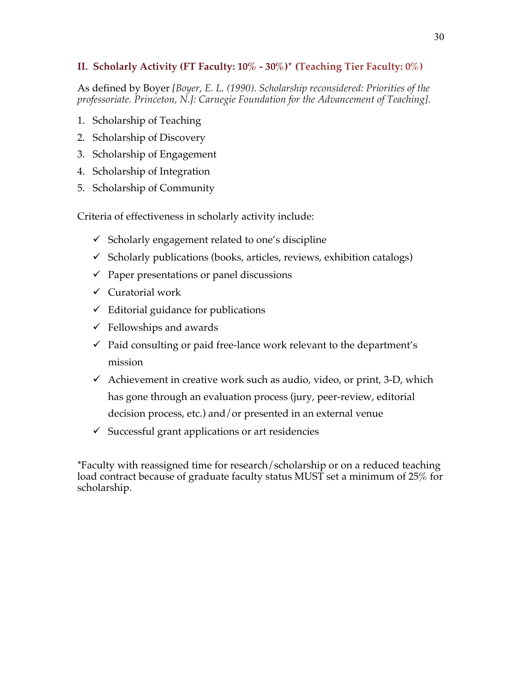## **II. Scholarly Activity (FT Faculty: 10% - 30%)\* (Teaching Tier Faculty: 0%)**

As defined by Boyer *[Boyer, E. L. (1990). Scholarship reconsidered: Priorities of the professoriate. Princeton, N.J: Carnegie Foundation for the Advancement of Teaching].*

- 1. Scholarship of Teaching
- 2. Scholarship of Discovery
- 3. Scholarship of Engagement
- 4. Scholarship of Integration
- 5. Scholarship of Community

Criteria of effectiveness in scholarly activity include:

- $\checkmark$  Scholarly engagement related to one's discipline
- $\checkmark$  Scholarly publications (books, articles, reviews, exhibition catalogs)
- $\checkmark$  Paper presentations or panel discussions
- $\checkmark$  Curatorial work
- $\checkmark$  Editorial guidance for publications
- $\checkmark$  Fellowships and awards
- $\checkmark$  Paid consulting or paid free-lance work relevant to the department's mission
- $\checkmark$  Achievement in creative work such as audio, video, or print, 3-D, which has gone through an evaluation process (jury, peer-review, editorial decision process, etc.) and/or presented in an external venue
- $\checkmark$  Successful grant applications or art residencies

\*Faculty with reassigned time for research/scholarship or on a reduced teaching load contract because of graduate faculty status MUST set a minimum of 25% for scholarship.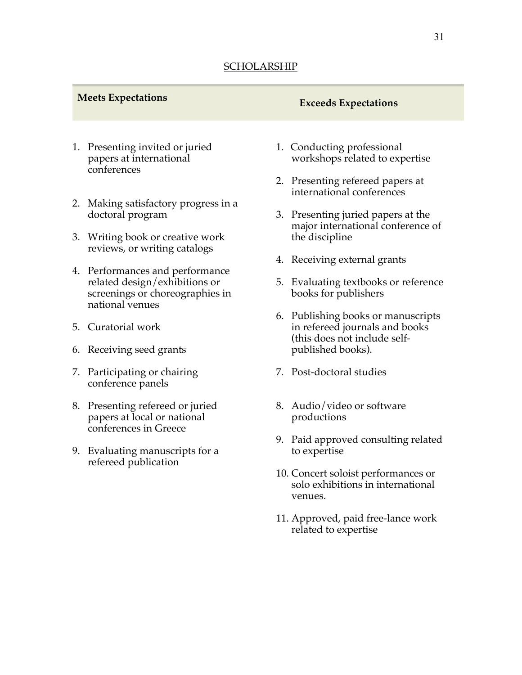# **Meets Expectations Exceeds Expectations**

- 1. Presenting invited or juried papers at international conferences
- 2. Making satisfactory progress in a doctoral program
- 3. Writing book or creative work reviews, or writing catalogs
- 4. Performances and performance related design/exhibitions or screenings or choreographies in national venues
- 5. Curatorial work
- 6. Receiving seed grants
- 7. Participating or chairing conference panels
- 8. Presenting refereed or juried papers at local or national conferences in Greece
- 9. Evaluating manuscripts for a refereed publication
- 1. Conducting professional workshops related to expertise
- 2. Presenting refereed papers at international conferences
- 3. Presenting juried papers at the major international conference of the discipline
- 4. Receiving external grants
- 5. Evaluating textbooks or reference books for publishers
- 6. Publishing books or manuscripts in refereed journals and books (this does not include selfpublished books).
- 7. Post-doctoral studies
- 8. Audio/video or software productions
- 9. Paid approved consulting related to expertise
- 10. Concert soloist performances or solo exhibitions in international venues.
- 11. Approved, paid free-lance work related to expertise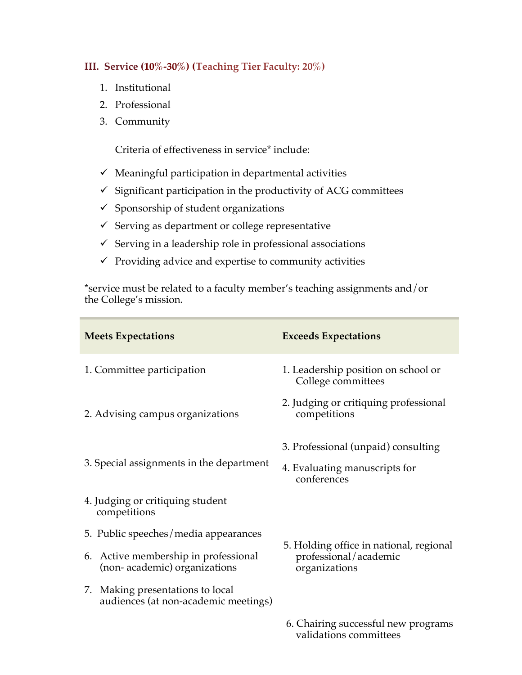## **III. Service (10%-30%) (Teaching Tier Faculty: 20%)**

- 1. Institutional
- 2. Professional
- 3. Community

Criteria of effectiveness in service\* include:

- $\checkmark$  Meaningful participation in departmental activities
- $\checkmark$  Significant participation in the productivity of ACG committees
- $\checkmark$  Sponsorship of student organizations
- $\checkmark$  Serving as department or college representative
- $\checkmark$  Serving in a leadership role in professional associations
- $\checkmark$  Providing advice and expertise to community activities

\*service must be related to a faculty member's teaching assignments and/or the College's mission.

| <b>Meets Expectations</b>                                                | <b>Exceeds Expectations</b>                                                         |
|--------------------------------------------------------------------------|-------------------------------------------------------------------------------------|
| 1. Committee participation                                               | 1. Leadership position on school or<br>College committees                           |
| 2. Advising campus organizations                                         | 2. Judging or critiquing professional<br>competitions                               |
| 3. Special assignments in the department                                 | 3. Professional (unpaid) consulting<br>4. Evaluating manuscripts for<br>conferences |
| 4. Judging or critiquing student<br>competitions                         |                                                                                     |
| 5. Public speeches/media appearances                                     |                                                                                     |
| 6. Active membership in professional<br>(non-academic) organizations     | 5. Holding office in national, regional<br>professional/academic<br>organizations   |
| 7. Making presentations to local<br>audiences (at non-academic meetings) |                                                                                     |
|                                                                          | $\epsilon$ Chairing quasasaful nous program                                         |

6. Chairing successful new programs validations committees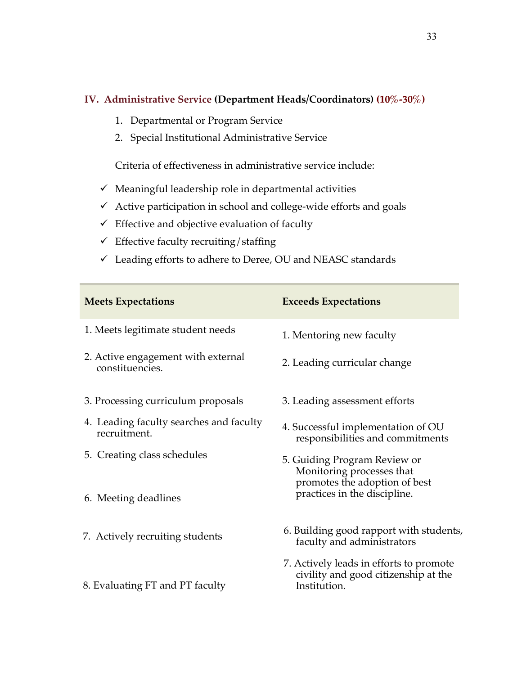## **IV. Administrative Service (Department Heads/Coordinators) (10%-30%)**

- 1. Departmental or Program Service
- 2. Special Institutional Administrative Service

Criteria of effectiveness in administrative service include:

- $\checkmark$  Meaningful leadership role in departmental activities
- $\checkmark$  Active participation in school and college-wide efforts and goals
- $\checkmark$  Effective and objective evaluation of faculty
- $\checkmark$  Effective faculty recruiting/staffing
- $\checkmark$  Leading efforts to adhere to Deree, OU and NEASC standards

| <b>Meets Expectations</b>                               | <b>Exceeds Expectations</b>                                                                     |
|---------------------------------------------------------|-------------------------------------------------------------------------------------------------|
| 1. Meets legitimate student needs                       | 1. Mentoring new faculty                                                                        |
| 2. Active engagement with external<br>constituencies.   | 2. Leading curricular change                                                                    |
| 3. Processing curriculum proposals                      | 3. Leading assessment efforts                                                                   |
| 4. Leading faculty searches and faculty<br>recruitment. | 4. Successful implementation of OU<br>responsibilities and commitments                          |
| 5. Creating class schedules                             | 5. Guiding Program Review or<br>Monitoring processes that<br>promotes the adoption of best      |
| 6. Meeting deadlines                                    | practices in the discipline.                                                                    |
| 7. Actively recruiting students                         | 6. Building good rapport with students,<br>faculty and administrators                           |
| 8. Evaluating FT and PT faculty                         | 7. Actively leads in efforts to promote<br>civility and good citizenship at the<br>Institution. |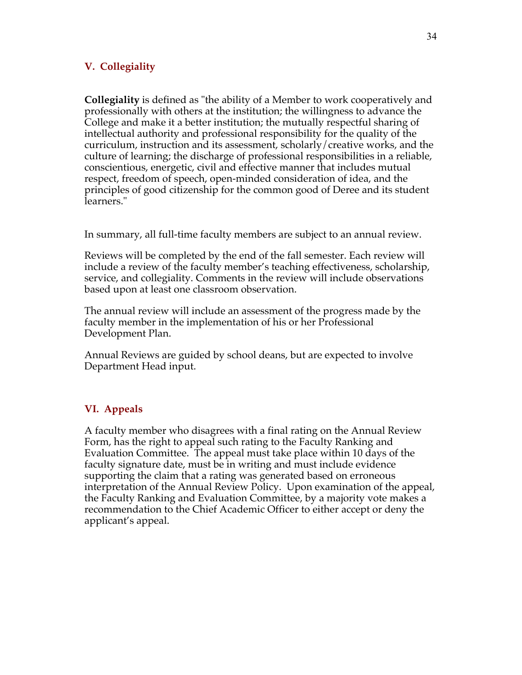## **V. Collegiality**

**Collegiality** is defined as "the ability of a Member to work cooperatively and professionally with others at the institution; the willingness to advance the College and make it a better institution; the mutually respectful sharing of intellectual authority and professional responsibility for the quality of the curriculum, instruction and its assessment, scholarly/creative works, and the culture of learning; the discharge of professional responsibilities in a reliable, conscientious, energetic, civil and effective manner that includes mutual respect, freedom of speech, open-minded consideration of idea, and the principles of good citizenship for the common good of Deree and its student learners."

In summary, all full-time faculty members are subject to an annual review.

Reviews will be completed by the end of the fall semester. Each review will include a review of the faculty member's teaching effectiveness, scholarship, service, and collegiality. Comments in the review will include observations based upon at least one classroom observation.

The annual review will include an assessment of the progress made by the faculty member in the implementation of his or her Professional Development Plan.

Annual Reviews are guided by school deans, but are expected to involve Department Head input.

#### **VI. Appeals**

A faculty member who disagrees with a final rating on the Annual Review Form, has the right to appeal such rating to the Faculty Ranking and Evaluation Committee. The appeal must take place within 10 days of the faculty signature date, must be in writing and must include evidence supporting the claim that a rating was generated based on erroneous interpretation of the Annual Review Policy. Upon examination of the appeal, the Faculty Ranking and Evaluation Committee, by a majority vote makes a recommendation to the Chief Academic Officer to either accept or deny the applicant's appeal.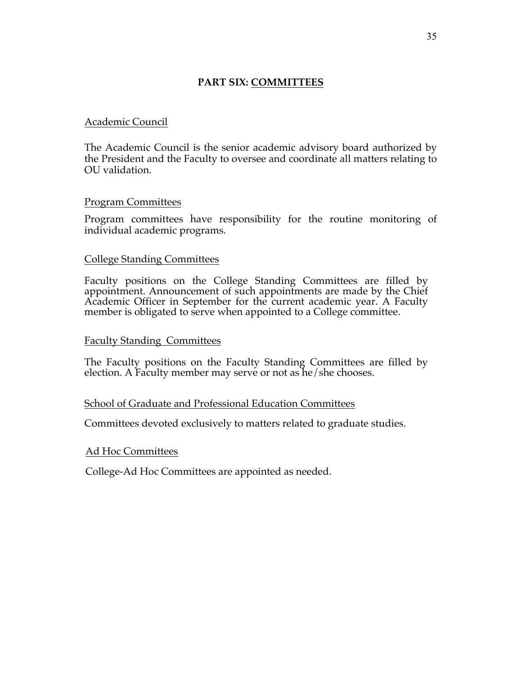## **PART SIX: COMMITTEES**

#### Academic Council

The Academic Council is the senior academic advisory board authorized by the President and the Faculty to oversee and coordinate all matters relating to OU validation.

#### Program Committees

Program committees have responsibility for the routine monitoring of individual academic programs.

#### College Standing Committees

Faculty positions on the College Standing Committees are filled by appointment. Announcement of such appointments are made by the Chief Academic Officer in September for the current academic year. A Faculty member is obligated to serve when appointed to a College committee.

#### Faculty Standing Committees

The Faculty positions on the Faculty Standing Committees are filled by election. A Faculty member may serve or not as he/she chooses.

#### School of Graduate and Professional Education Committees

Committees devoted exclusively to matters related to graduate studies.

#### Ad Hoc Committees

College-Ad Hoc Committees are appointed as needed.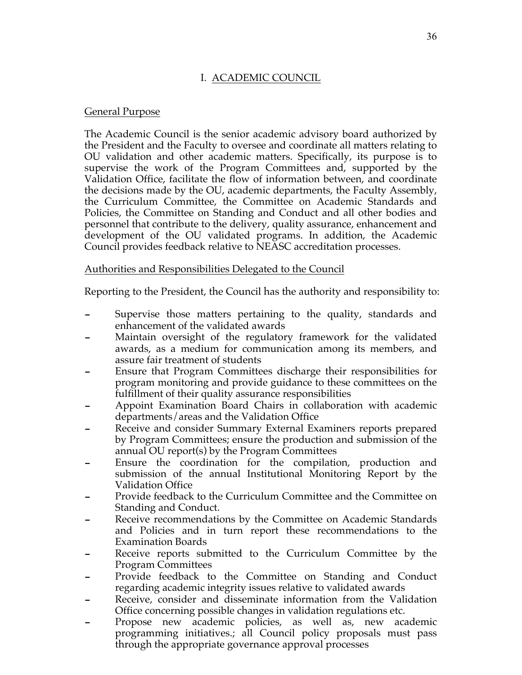## I. ACADEMIC COUNCIL

## General Purpose

The Academic Council is the senior academic advisory board authorized by the President and the Faculty to oversee and coordinate all matters relating to OU validation and other academic matters. Specifically, its purpose is to supervise the work of the Program Committees and, supported by the Validation Office, facilitate the flow of information between, and coordinate the decisions made by the OU, academic departments, the Faculty Assembly, the Curriculum Committee, the Committee on Academic Standards and Policies, the Committee on Standing and Conduct and all other bodies and personnel that contribute to the delivery, quality assurance, enhancement and development of the OU validated programs. In addition, the Academic Council provides feedback relative to NEASC accreditation processes.

## Authorities and Responsibilities Delegated to the Council

Reporting to the President, the Council has the authority and responsibility to:

- Supervise those matters pertaining to the quality, standards and enhancement of the validated awards
- Maintain oversight of the regulatory framework for the validated awards, as a medium for communication among its members, and assure fair treatment of students
- Ensure that Program Committees discharge their responsibilities for program monitoring and provide guidance to these committees on the fulfillment of their quality assurance responsibilities
- Appoint Examination Board Chairs in collaboration with academic departments/areas and the Validation Office
- Receive and consider Summary External Examiners reports prepared by Program Committees; ensure the production and submission of the annual OU report(s) by the Program Committees
- Ensure the coordination for the compilation, production and submission of the annual Institutional Monitoring Report by the Validation Office
- Provide feedback to the Curriculum Committee and the Committee on Standing and Conduct.
- Receive recommendations by the Committee on Academic Standards and Policies and in turn report these recommendations to the Examination Boards
- Receive reports submitted to the Curriculum Committee by the Program Committees
- Provide feedback to the Committee on Standing and Conduct regarding academic integrity issues relative to validated awards
- Receive, consider and disseminate information from the Validation Office concerning possible changes in validation regulations etc.
- Propose new academic policies, as well as, new academic programming initiatives.; all Council policy proposals must pass through the appropriate governance approval processes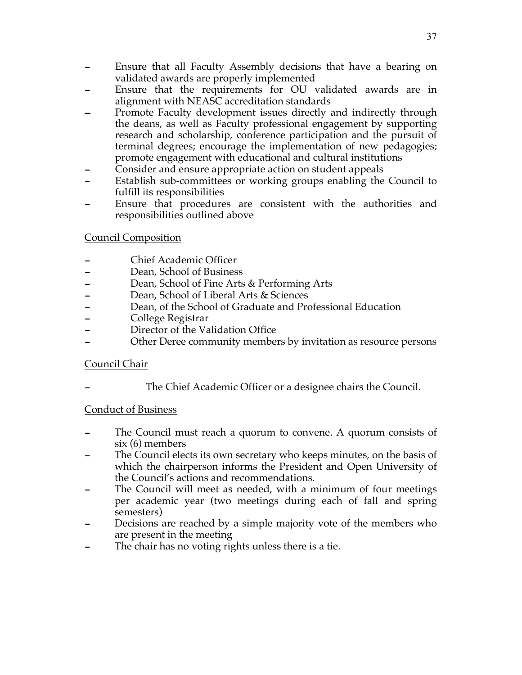- Ensure that all Faculty Assembly decisions that have a bearing on validated awards are properly implemented
- Ensure that the requirements for OU validated awards are in alignment with NEASC accreditation standards
- Promote Faculty development issues directly and indirectly through the deans, as well as Faculty professional engagement by supporting research and scholarship, conference participation and the pursuit of terminal degrees; encourage the implementation of new pedagogies; promote engagement with educational and cultural institutions
- Consider and ensure appropriate action on student appeals
- Establish sub-committees or working groups enabling the Council to fulfill its responsibilities
- Ensure that procedures are consistent with the authorities and responsibilities outlined above

## Council Composition

- Chief Academic Officer
- Dean, School of Business
- Dean, School of Fine Arts & Performing Arts
- Dean, School of Liberal Arts & Sciences
- Dean, of the School of Graduate and Professional Education
- College Registrar
- Director of the Validation Office
- Other Deree community members by invitation as resource persons

## Council Chair

The Chief Academic Officer or a designee chairs the Council.

#### Conduct of Business

- The Council must reach a quorum to convene. A quorum consists of six (6) members
- The Council elects its own secretary who keeps minutes, on the basis of which the chairperson informs the President and Open University of the Council's actions and recommendations.
- The Council will meet as needed, with a minimum of four meetings per academic year (two meetings during each of fall and spring semesters)
- Decisions are reached by a simple majority vote of the members who are present in the meeting
- The chair has no voting rights unless there is a tie.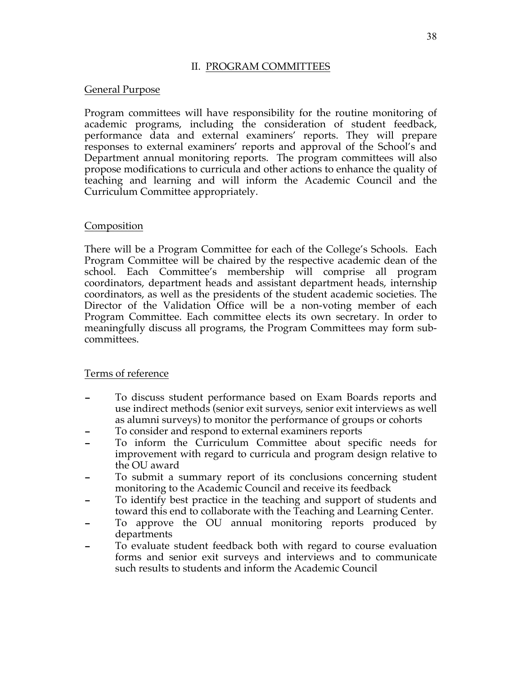#### II. PROGRAM COMMITTEES

#### General Purpose

Program committees will have responsibility for the routine monitoring of academic programs, including the consideration of student feedback, performance data and external examiners' reports. They will prepare responses to external examiners' reports and approval of the School's and Department annual monitoring reports. The program committees will also propose modifications to curricula and other actions to enhance the quality of teaching and learning and will inform the Academic Council and the Curriculum Committee appropriately.

#### Composition

There will be a Program Committee for each of the College's Schools. Each Program Committee will be chaired by the respective academic dean of the school. Each Committee's membership will comprise all program coordinators, department heads and assistant department heads, internship coordinators, as well as the presidents of the student academic societies. The Director of the Validation Office will be a non-voting member of each Program Committee. Each committee elects its own secretary. In order to meaningfully discuss all programs, the Program Committees may form subcommittees.

#### Terms of reference

- To discuss student performance based on Exam Boards reports and use indirect methods (senior exit surveys, senior exit interviews as well as alumni surveys) to monitor the performance of groups or cohorts
- To consider and respond to external examiners reports
- To inform the Curriculum Committee about specific needs for improvement with regard to curricula and program design relative to the OU award
- To submit a summary report of its conclusions concerning student monitoring to the Academic Council and receive its feedback
- To identify best practice in the teaching and support of students and toward this end to collaborate with the Teaching and Learning Center.
- To approve the OU annual monitoring reports produced by departments
- To evaluate student feedback both with regard to course evaluation forms and senior exit surveys and interviews and to communicate such results to students and inform the Academic Council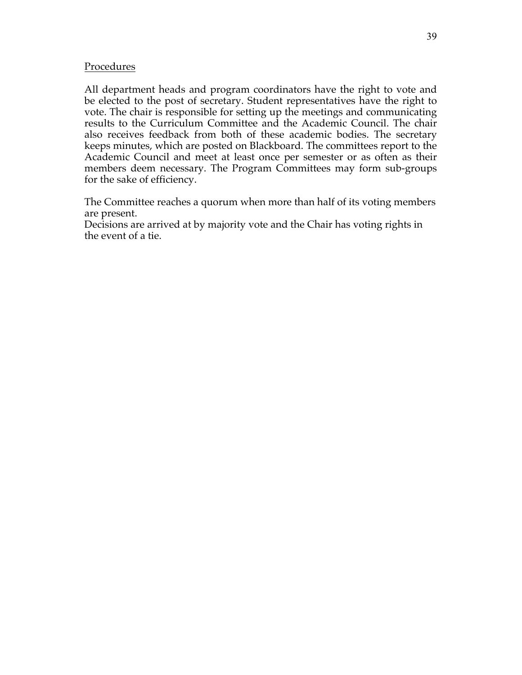#### Procedures

All department heads and program coordinators have the right to vote and be elected to the post of secretary. Student representatives have the right to vote. The chair is responsible for setting up the meetings and communicating results to the Curriculum Committee and the Academic Council. The chair also receives feedback from both of these academic bodies. The secretary keeps minutes, which are posted on Blackboard. The committees report to the Academic Council and meet at least once per semester or as often as their members deem necessary. The Program Committees may form sub-groups for the sake of efficiency.

The Committee reaches a quorum when more than half of its voting members are present.

Decisions are arrived at by majority vote and the Chair has voting rights in the event of a tie.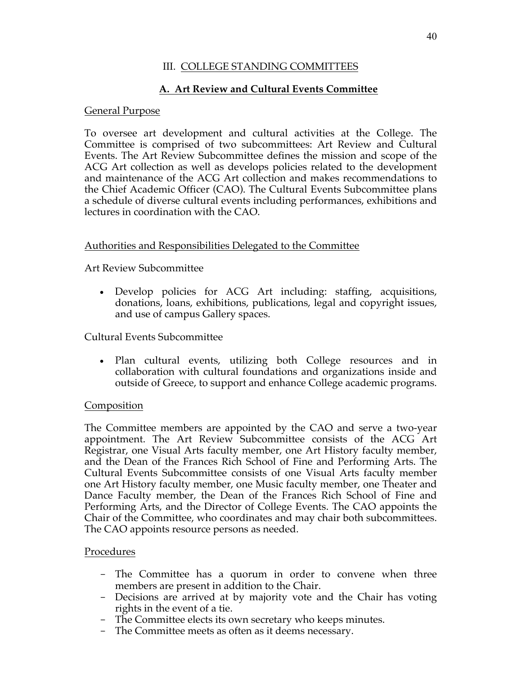# **A. Art Review and Cultural Events Committee**

#### General Purpose

To oversee art development and cultural activities at the College. The Committee is comprised of two subcommittees: Art Review and Cultural Events. The Art Review Subcommittee defines the mission and scope of the ACG Art collection as well as develops policies related to the development and maintenance of the ACG Art collection and makes recommendations to the Chief Academic Officer (CAO). The Cultural Events Subcommittee plans a schedule of diverse cultural events including performances, exhibitions and lectures in coordination with the CAO.

#### Authorities and Responsibilities Delegated to the Committee

Art Review Subcommittee

• Develop policies for ACG Art including: staffing, acquisitions, donations, loans, exhibitions, publications, legal and copyright issues, and use of campus Gallery spaces.

Cultural Events Subcommittee

• Plan cultural events, utilizing both College resources and in collaboration with cultural foundations and organizations inside and outside of Greece, to support and enhance College academic programs.

#### **Composition**

The Committee members are appointed by the CAO and serve a two-year appointment. The Art Review Subcommittee consists of the ACG Art Registrar, one Visual Arts faculty member, one Art History faculty member, and the Dean of the Frances Rich School of Fine and Performing Arts. The Cultural Events Subcommittee consists of one Visual Arts faculty member one Art History faculty member, one Music faculty member, one Theater and Dance Faculty member, the Dean of the Frances Rich School of Fine and Performing Arts, and the Director of College Events. The CAO appoints the Chair of the Committee, who coordinates and may chair both subcommittees. The CAO appoints resource persons as needed.

#### Procedures

- The Committee has a quorum in order to convene when three members are present in addition to the Chair.
- Decisions are arrived at by majority vote and the Chair has voting rights in the event of a tie.
- The Committee elects its own secretary who keeps minutes.
- The Committee meets as often as it deems necessary.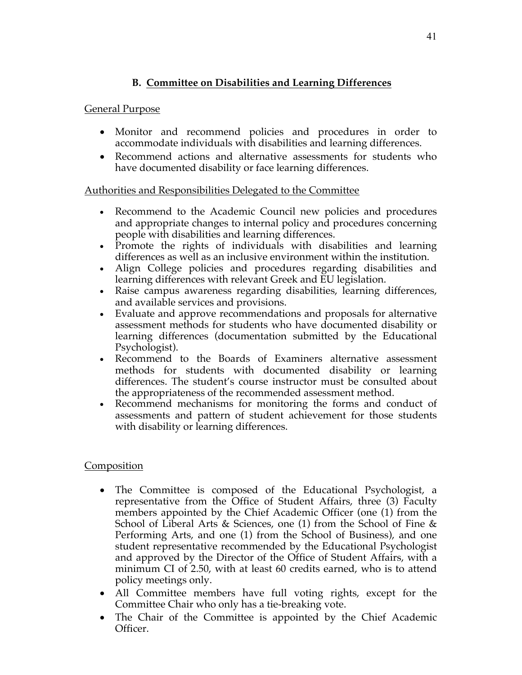# **B. Committee on Disabilities and Learning Differences**

## General Purpose

- Monitor and recommend policies and procedures in order to accommodate individuals with disabilities and learning differences.
- Recommend actions and alternative assessments for students who have documented disability or face learning differences.

## Authorities and Responsibilities Delegated to the Committee

- Recommend to the Academic Council new policies and procedures and appropriate changes to internal policy and procedures concerning people with disabilities and learning differences.
- Promote the rights of individuals with disabilities and learning differences as well as an inclusive environment within the institution.
- Align College policies and procedures regarding disabilities and learning differences with relevant Greek and EU legislation.
- Raise campus awareness regarding disabilities, learning differences, and available services and provisions.
- Evaluate and approve recommendations and proposals for alternative assessment methods for students who have documented disability or learning differences (documentation submitted by the Educational Psychologist).
- Recommend to the Boards of Examiners alternative assessment methods for students with documented disability or learning differences. The student's course instructor must be consulted about the appropriateness of the recommended assessment method.
- Recommend mechanisms for monitoring the forms and conduct of assessments and pattern of student achievement for those students with disability or learning differences.

#### Composition

- The Committee is composed of the Educational Psychologist, a representative from the Office of Student Affairs, three (3) Faculty members appointed by the Chief Academic Officer (one (1) from the School of Liberal Arts & Sciences, one (1) from the School of Fine & Performing Arts, and one (1) from the School of Business), and one student representative recommended by the Educational Psychologist and approved by the Director of the Office of Student Affairs, with a minimum CI of 2.50, with at least 60 credits earned, who is to attend policy meetings only.
- All Committee members have full voting rights, except for the Committee Chair who only has a tie-breaking vote.
- The Chair of the Committee is appointed by the Chief Academic Officer.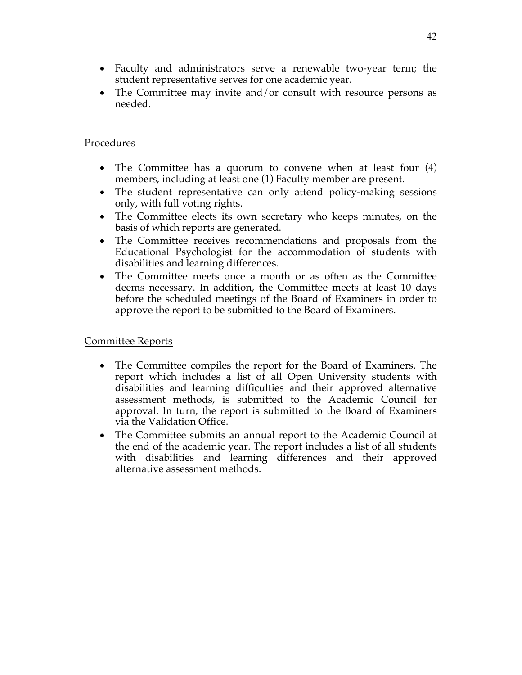- Faculty and administrators serve a renewable two-year term; the student representative serves for one academic year.
- The Committee may invite and/or consult with resource persons as needed.

### Procedures

- The Committee has a quorum to convene when at least four (4) members, including at least one (1) Faculty member are present.
- The student representative can only attend policy-making sessions only, with full voting rights.
- The Committee elects its own secretary who keeps minutes, on the basis of which reports are generated.
- The Committee receives recommendations and proposals from the Educational Psychologist for the accommodation of students with disabilities and learning differences.
- The Committee meets once a month or as often as the Committee deems necessary. In addition, the Committee meets at least 10 days before the scheduled meetings of the Board of Examiners in order to approve the report to be submitted to the Board of Examiners.

#### Committee Reports

- The Committee compiles the report for the Board of Examiners. The report which includes a list of all Open University students with disabilities and learning difficulties and their approved alternative assessment methods, is submitted to the Academic Council for approval. In turn, the report is submitted to the Board of Examiners via the Validation Office.
- The Committee submits an annual report to the Academic Council at the end of the academic year. The report includes a list of all students with disabilities and learning differences and their approved alternative assessment methods.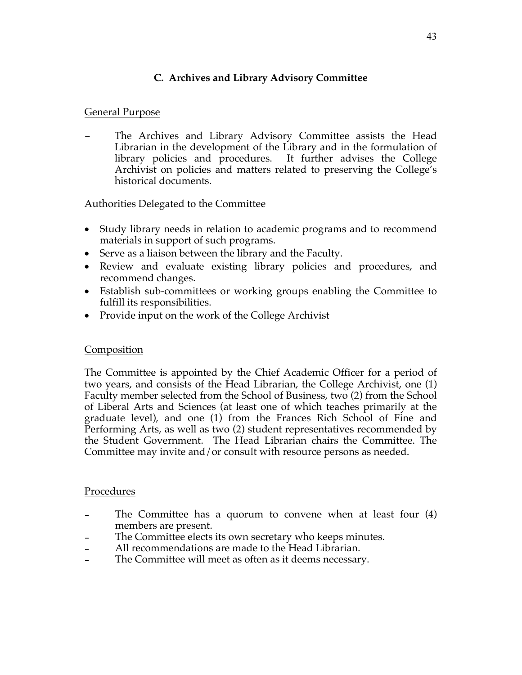# **C. Archives and Library Advisory Committee**

## General Purpose

The Archives and Library Advisory Committee assists the Head Librarian in the development of the Library and in the formulation of library policies and procedures. It further advises the College Archivist on policies and matters related to preserving the College's historical documents.

## Authorities Delegated to the Committee

- Study library needs in relation to academic programs and to recommend materials in support of such programs.
- Serve as a liaison between the library and the Faculty.
- Review and evaluate existing library policies and procedures, and recommend changes.
- Establish sub-committees or working groups enabling the Committee to fulfill its responsibilities.
- Provide input on the work of the College Archivist

## Composition

The Committee is appointed by the Chief Academic Officer for a period of two years, and consists of the Head Librarian, the College Archivist, one (1) Faculty member selected from the School of Business, two (2) from the School of Liberal Arts and Sciences (at least one of which teaches primarily at the graduate level), and one (1) from the Frances Rich School of Fine and Performing Arts, as well as two (2) student representatives recommended by the Student Government. The Head Librarian chairs the Committee. The Committee may invite and/or consult with resource persons as needed.

#### Procedures

- The Committee has a quorum to convene when at least four  $(4)$ members are present.
- The Committee elects its own secretary who keeps minutes.
- All recommendations are made to the Head Librarian.
- The Committee will meet as often as it deems necessary.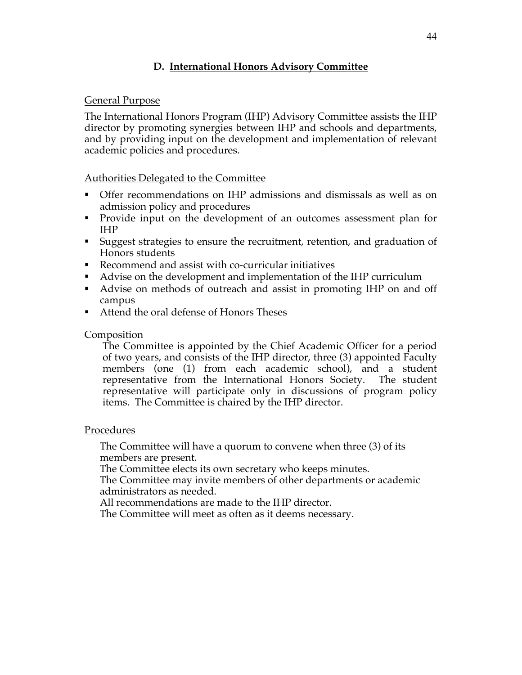## **D. International Honors Advisory Committee**

#### General Purpose

The International Honors Program (IHP) Advisory Committee assists the IHP director by promoting synergies between IHP and schools and departments, and by providing input on the development and implementation of relevant academic policies and procedures.

#### Authorities Delegated to the Committee

- § Offer recommendations on IHP admissions and dismissals as well as on admission policy and procedures
- Provide input on the development of an outcomes assessment plan for IHP
- § Suggest strategies to ensure the recruitment, retention, and graduation of Honors students
- Recommend and assist with co-curricular initiatives
- Advise on the development and implementation of the IHP curriculum
- Advise on methods of outreach and assist in promoting IHP on and off campus
- Attend the oral defense of Honors Theses

#### Composition

The Committee is appointed by the Chief Academic Officer for a period of two years, and consists of the IHP director, three (3) appointed Faculty members (one (1) from each academic school), and a student representative from the International Honors Society. The student representative will participate only in discussions of program policy items. The Committee is chaired by the IHP director.

#### Procedures

The Committee will have a quorum to convene when three (3) of its members are present.

The Committee elects its own secretary who keeps minutes.

The Committee may invite members of other departments or academic administrators as needed.

All recommendations are made to the IHP director.

The Committee will meet as often as it deems necessary.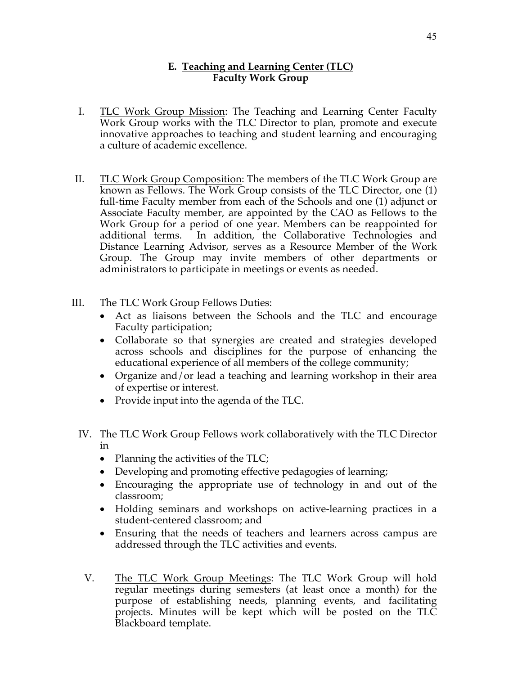#### **E. Teaching and Learning Center (TLC) Faculty Work Group**

- I. TLC Work Group Mission: The Teaching and Learning Center Faculty Work Group works with the TLC Director to plan, promote and execute innovative approaches to teaching and student learning and encouraging a culture of academic excellence.
- II. TLC Work Group Composition: The members of the TLC Work Group are known as Fellows. The Work Group consists of the TLC Director, one (1) full-time Faculty member from each of the Schools and one (1) adjunct or Associate Faculty member, are appointed by the CAO as Fellows to the Work Group for a period of one year. Members can be reappointed for additional terms. In addition, the Collaborative Technologies and Distance Learning Advisor, serves as a Resource Member of the Work Group. The Group may invite members of other departments or administrators to participate in meetings or events as needed.
- III. The TLC Work Group Fellows Duties:
	- Act as liaisons between the Schools and the TLC and encourage Faculty participation;
	- Collaborate so that synergies are created and strategies developed across schools and disciplines for the purpose of enhancing the educational experience of all members of the college community;
	- Organize and/or lead a teaching and learning workshop in their area of expertise or interest.
	- Provide input into the agenda of the TLC.
	- IV. The TLC Work Group Fellows work collaboratively with the TLC Director in
		- Planning the activities of the TLC;
		- Developing and promoting effective pedagogies of learning;
		- Encouraging the appropriate use of technology in and out of the classroom;
		- Holding seminars and workshops on active-learning practices in a student-centered classroom; and
		- Ensuring that the needs of teachers and learners across campus are addressed through the TLC activities and events.
	- V. The TLC Work Group Meetings: The TLC Work Group will hold regular meetings during semesters (at least once a month) for the purpose of establishing needs, planning events, and facilitating projects. Minutes will be kept which will be posted on the TLC Blackboard template.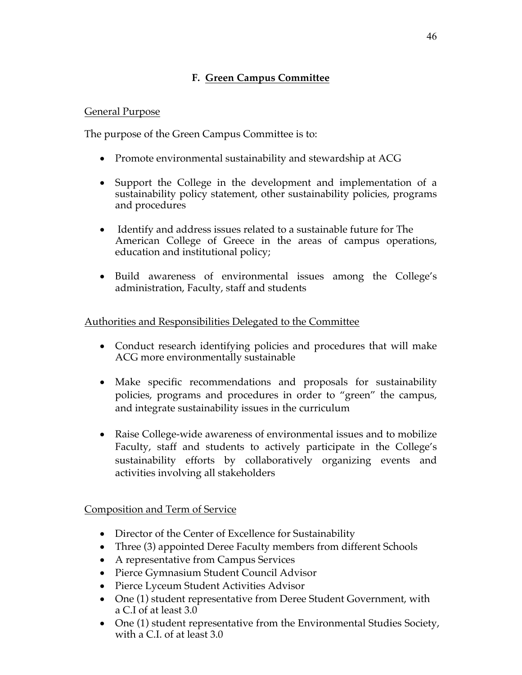# **F. Green Campus Committee**

#### General Purpose

The purpose of the Green Campus Committee is to:

- Promote environmental sustainability and stewardship at ACG
- Support the College in the development and implementation of a sustainability policy statement, other sustainability policies, programs and procedures
- Identify and address issues related to a sustainable future for The American College of Greece in the areas of campus operations, education and institutional policy;
- Build awareness of environmental issues among the College's administration, Faculty, staff and students

## Authorities and Responsibilities Delegated to the Committee

- Conduct research identifying policies and procedures that will make ACG more environmentally sustainable
- Make specific recommendations and proposals for sustainability policies, programs and procedures in order to "green" the campus, and integrate sustainability issues in the curriculum
- Raise College-wide awareness of environmental issues and to mobilize Faculty, staff and students to actively participate in the College's sustainability efforts by collaboratively organizing events and activities involving all stakeholders

Composition and Term of Service

- Director of the Center of Excellence for Sustainability
- Three (3) appointed Deree Faculty members from different Schools
- A representative from Campus Services
- Pierce Gymnasium Student Council Advisor
- Pierce Lyceum Student Activities Advisor
- One (1) student representative from Deree Student Government, with a C.I of at least 3.0
- One (1) student representative from the Environmental Studies Society, with a C.I. of at least 3.0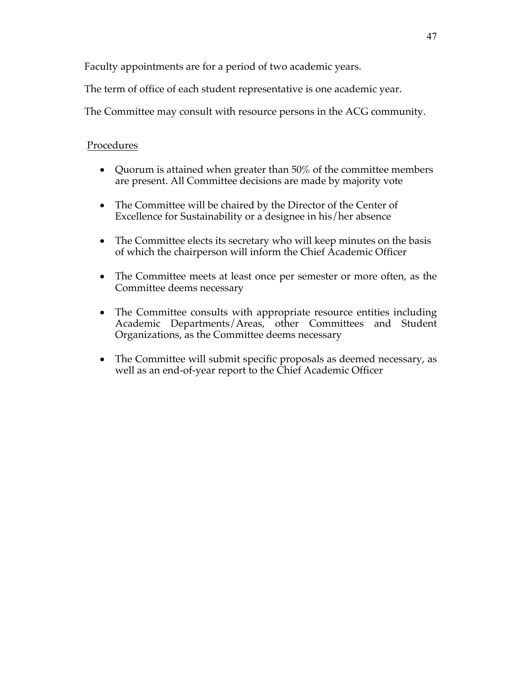Faculty appointments are for a period of two academic years.

The term of office of each student representative is one academic year.

The Committee may consult with resource persons in the ACG community.

## Procedures

- Quorum is attained when greater than 50% of the committee members are present. All Committee decisions are made by majority vote
- The Committee will be chaired by the Director of the Center of Excellence for Sustainability or a designee in his/her absence
- The Committee elects its secretary who will keep minutes on the basis of which the chairperson will inform the Chief Academic Officer
- The Committee meets at least once per semester or more often, as the Committee deems necessary
- The Committee consults with appropriate resource entities including Academic Departments/Areas, other Committees and Student Organizations, as the Committee deems necessary
- The Committee will submit specific proposals as deemed necessary, as well as an end-of-year report to the Chief Academic Officer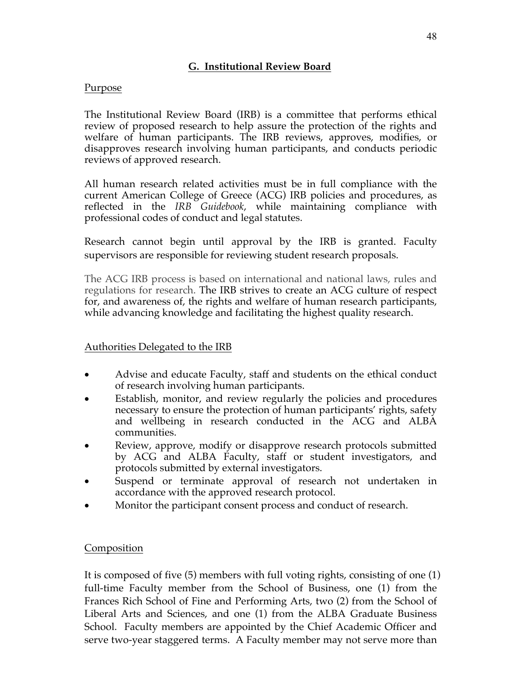#### **G. Institutional Review Board**

#### Purpose

The Institutional Review Board (IRB) is a committee that performs ethical review of proposed research to help assure the protection of the rights and welfare of human participants. The IRB reviews, approves, modifies, or disapproves research involving human participants, and conducts periodic reviews of approved research.

All human research related activities must be in full compliance with the current American College of Greece (ACG) IRB policies and procedures, as reflected in the *IRB Guidebook*, while maintaining compliance with professional codes of conduct and legal statutes.

Research cannot begin until approval by the IRB is granted. Faculty supervisors are responsible for reviewing student research proposals.

The ACG IRB process is based on international and national laws, rules and regulations for research. The IRB strives to create an ACG culture of respect for, and awareness of, the rights and welfare of human research participants, while advancing knowledge and facilitating the highest quality research.

#### Authorities Delegated to the IRB

- Advise and educate Faculty, staff and students on the ethical conduct of research involving human participants.
- Establish, monitor, and review regularly the policies and procedures necessary to ensure the protection of human participants' rights, safety and wellbeing in research conducted in the ACG and ALBA communities.
- Review, approve, modify or disapprove research protocols submitted by ACG and ALBA Faculty, staff or student investigators, and protocols submitted by external investigators.
- Suspend or terminate approval of research not undertaken in accordance with the approved research protocol.
- Monitor the participant consent process and conduct of research.

#### Composition

It is composed of five (5) members with full voting rights, consisting of one (1) full-time Faculty member from the School of Business, one (1) from the Frances Rich School of Fine and Performing Arts, two (2) from the School of Liberal Arts and Sciences, and one (1) from the ALBA Graduate Business School. Faculty members are appointed by the Chief Academic Officer and serve two-year staggered terms. A Faculty member may not serve more than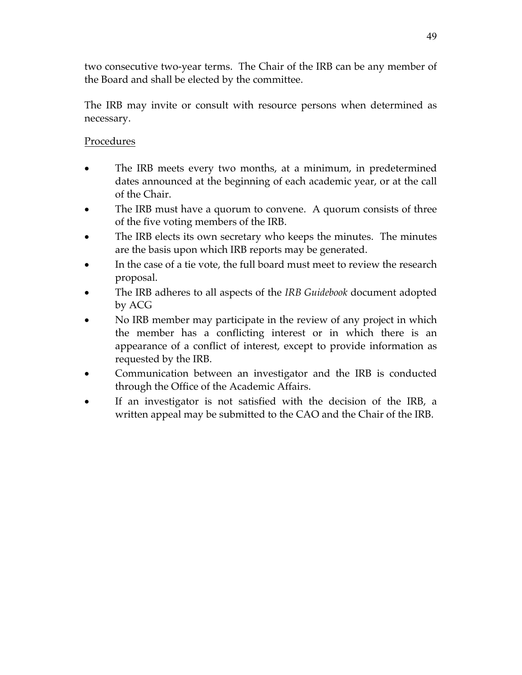two consecutive two-year terms. The Chair of the IRB can be any member of the Board and shall be elected by the committee.

The IRB may invite or consult with resource persons when determined as necessary.

# Procedures

- The IRB meets every two months, at a minimum, in predetermined dates announced at the beginning of each academic year, or at the call of the Chair.
- The IRB must have a quorum to convene. A quorum consists of three of the five voting members of the IRB.
- The IRB elects its own secretary who keeps the minutes. The minutes are the basis upon which IRB reports may be generated.
- In the case of a tie vote, the full board must meet to review the research proposal.
- The IRB adheres to all aspects of the *IRB Guidebook* document adopted by ACG
- No IRB member may participate in the review of any project in which the member has a conflicting interest or in which there is an appearance of a conflict of interest, except to provide information as requested by the IRB.
- Communication between an investigator and the IRB is conducted through the Office of the Academic Affairs.
- If an investigator is not satisfied with the decision of the IRB, a written appeal may be submitted to the CAO and the Chair of the IRB.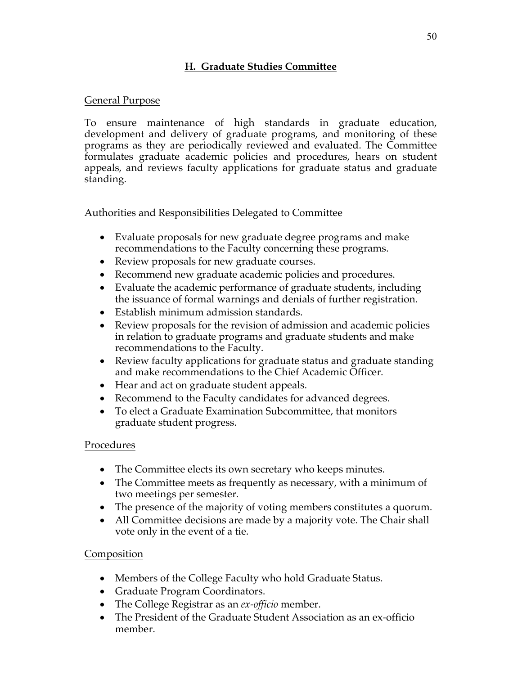# **H. Graduate Studies Committee**

## General Purpose

To ensure maintenance of high standards in graduate education, development and delivery of graduate programs, and monitoring of these programs as they are periodically reviewed and evaluated. The Committee formulates graduate academic policies and procedures, hears on student appeals, and reviews faculty applications for graduate status and graduate standing.

## Authorities and Responsibilities Delegated to Committee

- Evaluate proposals for new graduate degree programs and make recommendations to the Faculty concerning these programs.
- Review proposals for new graduate courses.
- Recommend new graduate academic policies and procedures.
- Evaluate the academic performance of graduate students, including the issuance of formal warnings and denials of further registration.
- Establish minimum admission standards.
- Review proposals for the revision of admission and academic policies in relation to graduate programs and graduate students and make recommendations to the Faculty.
- Review faculty applications for graduate status and graduate standing and make recommendations to the Chief Academic Officer.
- Hear and act on graduate student appeals.
- Recommend to the Faculty candidates for advanced degrees.
- To elect a Graduate Examination Subcommittee, that monitors graduate student progress.

## Procedures

- The Committee elects its own secretary who keeps minutes.
- The Committee meets as frequently as necessary, with a minimum of two meetings per semester.
- The presence of the majority of voting members constitutes a quorum.
- All Committee decisions are made by a majority vote. The Chair shall vote only in the event of a tie.

## Composition

- Members of the College Faculty who hold Graduate Status.
- Graduate Program Coordinators.
- The College Registrar as an *ex-officio* member.
- The President of the Graduate Student Association as an ex-officio member.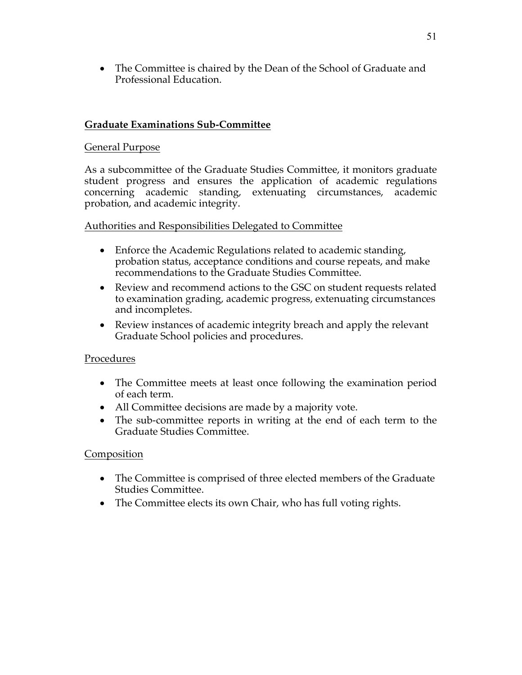• The Committee is chaired by the Dean of the School of Graduate and Professional Education.

## **Graduate Examinations Sub-Committee**

### General Purpose

As a subcommittee of the Graduate Studies Committee, it monitors graduate student progress and ensures the application of academic regulations concerning academic standing, extenuating circumstances, academic probation, and academic integrity.

#### Authorities and Responsibilities Delegated to Committee

- Enforce the Academic Regulations related to academic standing, probation status, acceptance conditions and course repeats, and make recommendations to the Graduate Studies Committee.
- Review and recommend actions to the GSC on student requests related to examination grading, academic progress, extenuating circumstances and incompletes.
- Review instances of academic integrity breach and apply the relevant Graduate School policies and procedures.

#### Procedures

- The Committee meets at least once following the examination period of each term.
- All Committee decisions are made by a majority vote.
- The sub-committee reports in writing at the end of each term to the Graduate Studies Committee.

#### **Composition**

- The Committee is comprised of three elected members of the Graduate Studies Committee.
- The Committee elects its own Chair, who has full voting rights.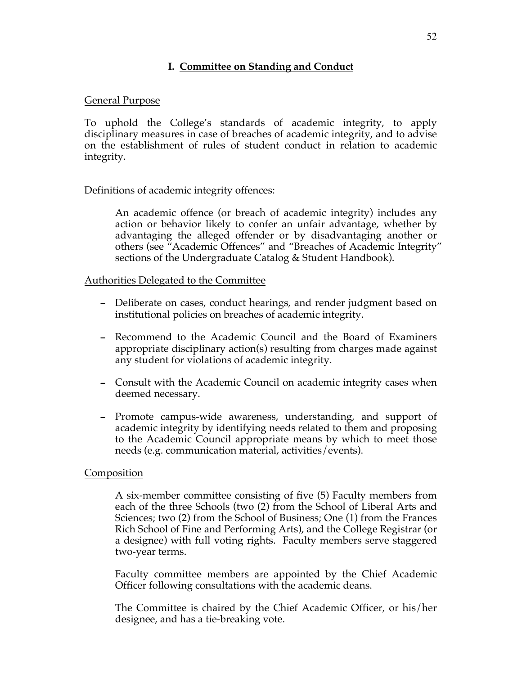#### **I. Committee on Standing and Conduct**

#### General Purpose

To uphold the College's standards of academic integrity, to apply disciplinary measures in case of breaches of academic integrity, and to advise on the establishment of rules of student conduct in relation to academic integrity.

#### Definitions of academic integrity offences:

An academic offence (or breach of academic integrity) includes any action or behavior likely to confer an unfair advantage, whether by advantaging the alleged offender or by disadvantaging another or others (see "Academic Offences" and "Breaches of Academic Integrity" sections of the Undergraduate Catalog & Student Handbook).

#### Authorities Delegated to the Committee

- Deliberate on cases, conduct hearings, and render judgment based on institutional policies on breaches of academic integrity.
- Recommend to the Academic Council and the Board of Examiners appropriate disciplinary action(s) resulting from charges made against any student for violations of academic integrity.
- Consult with the Academic Council on academic integrity cases when deemed necessary.
- Promote campus-wide awareness, understanding, and support of academic integrity by identifying needs related to them and proposing to the Academic Council appropriate means by which to meet those needs (e.g. communication material, activities/events).

#### Composition

A six-member committee consisting of five (5) Faculty members from each of the three Schools (two (2) from the School of Liberal Arts and Sciences; two (2) from the School of Business; One (1) from the Frances Rich School of Fine and Performing Arts), and the College Registrar (or a designee) with full voting rights. Faculty members serve staggered two-year terms.

Faculty committee members are appointed by the Chief Academic Officer following consultations with the academic deans.

The Committee is chaired by the Chief Academic Officer, or his/her designee, and has a tie-breaking vote.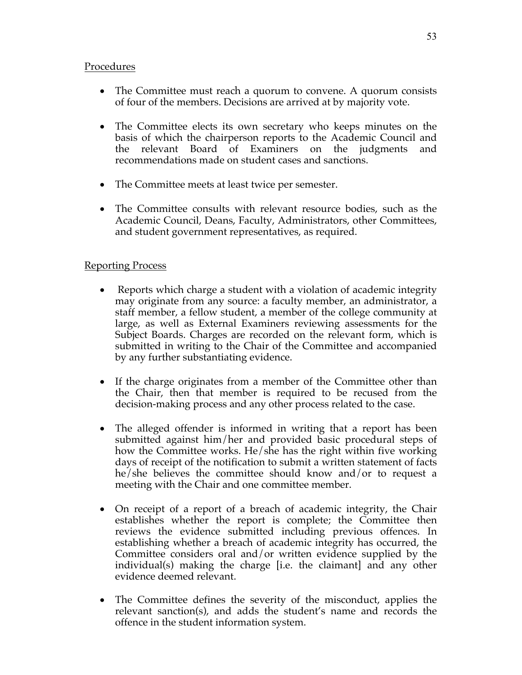#### Procedures

- The Committee must reach a quorum to convene. A quorum consists of four of the members. Decisions are arrived at by majority vote.
- The Committee elects its own secretary who keeps minutes on the basis of which the chairperson reports to the Academic Council and the relevant Board of Examiners on the judgments and recommendations made on student cases and sanctions.
- The Committee meets at least twice per semester.
- The Committee consults with relevant resource bodies, such as the Academic Council, Deans, Faculty, Administrators, other Committees, and student government representatives, as required.

## Reporting Process

- Reports which charge a student with a violation of academic integrity may originate from any source: a faculty member, an administrator, a staff member, a fellow student, a member of the college community at large, as well as External Examiners reviewing assessments for the Subject Boards. Charges are recorded on the relevant form, which is submitted in writing to the Chair of the Committee and accompanied by any further substantiating evidence.
- If the charge originates from a member of the Committee other than the Chair, then that member is required to be recused from the decision-making process and any other process related to the case.
- The alleged offender is informed in writing that a report has been submitted against him/her and provided basic procedural steps of how the Committee works. He/she has the right within five working days of receipt of the notification to submit a written statement of facts he/she believes the committee should know and/or to request a meeting with the Chair and one committee member.
- On receipt of a report of a breach of academic integrity, the Chair establishes whether the report is complete; the Committee then reviews the evidence submitted including previous offences. In establishing whether a breach of academic integrity has occurred, the Committee considers oral and/or written evidence supplied by the individual(s) making the charge [i.e. the claimant] and any other evidence deemed relevant.
- The Committee defines the severity of the misconduct, applies the relevant sanction(s), and adds the student's name and records the offence in the student information system.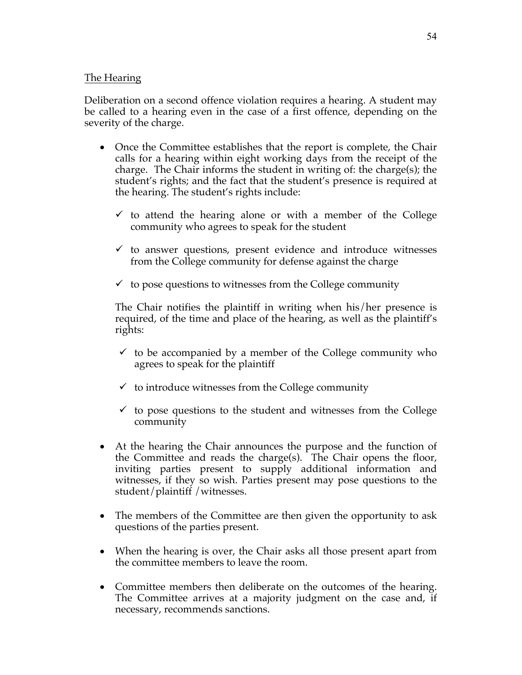#### The Hearing

Deliberation on a second offence violation requires a hearing. A student may be called to a hearing even in the case of a first offence, depending on the severity of the charge.

- Once the Committee establishes that the report is complete, the Chair calls for a hearing within eight working days from the receipt of the charge. The Chair informs the student in writing of: the charge(s); the student's rights; and the fact that the student's presence is required at the hearing. The student's rights include:
	- $\checkmark$  to attend the hearing alone or with a member of the College community who agrees to speak for the student
	- $\checkmark$  to answer questions, present evidence and introduce witnesses from the College community for defense against the charge
	- $\checkmark$  to pose questions to witnesses from the College community

The Chair notifies the plaintiff in writing when his/her presence is required, of the time and place of the hearing, as well as the plaintiff's rights:

- $\checkmark$  to be accompanied by a member of the College community who agrees to speak for the plaintiff
- $\checkmark$  to introduce witnesses from the College community
- $\checkmark$  to pose questions to the student and witnesses from the College community
- At the hearing the Chair announces the purpose and the function of the Committee and reads the charge(s). The Chair opens the floor, inviting parties present to supply additional information and witnesses, if they so wish. Parties present may pose questions to the student/plaintiff /witnesses.
- The members of the Committee are then given the opportunity to ask questions of the parties present.
- When the hearing is over, the Chair asks all those present apart from the committee members to leave the room.
- Committee members then deliberate on the outcomes of the hearing. The Committee arrives at a majority judgment on the case and, if necessary, recommends sanctions.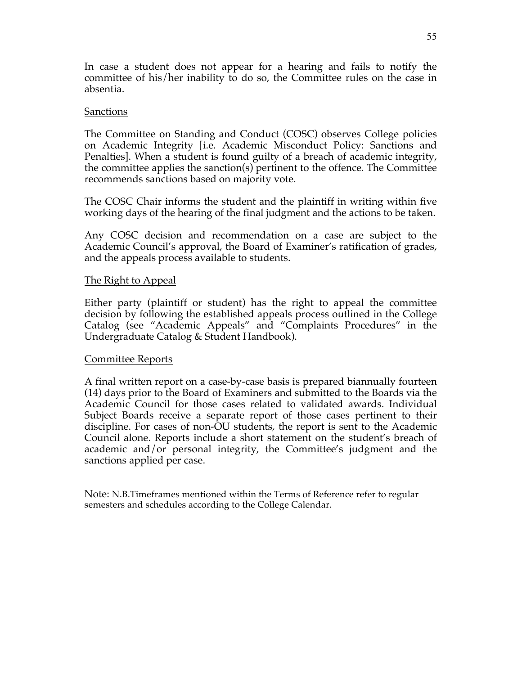In case a student does not appear for a hearing and fails to notify the committee of his/her inability to do so, the Committee rules on the case in absentia.

#### Sanctions

The Committee on Standing and Conduct (COSC) observes College policies on Academic Integrity [i.e. Academic Misconduct Policy: Sanctions and Penalties]. When a student is found guilty of a breach of academic integrity, the committee applies the sanction(s) pertinent to the offence. The Committee recommends sanctions based on majority vote.

The COSC Chair informs the student and the plaintiff in writing within five working days of the hearing of the final judgment and the actions to be taken.

Any COSC decision and recommendation on a case are subject to the Academic Council's approval, the Board of Examiner's ratification of grades, and the appeals process available to students.

#### The Right to Appeal

Either party (plaintiff or student) has the right to appeal the committee decision by following the established appeals process outlined in the College Catalog (see "Academic Appeals" and "Complaints Procedures" in the Undergraduate Catalog & Student Handbook).

#### Committee Reports

A final written report on a case-by-case basis is prepared biannually fourteen (14) days prior to the Board of Examiners and submitted to the Boards via the Academic Council for those cases related to validated awards. Individual Subject Boards receive a separate report of those cases pertinent to their discipline. For cases of non-OU students, the report is sent to the Academic Council alone. Reports include a short statement on the student's breach of academic and/or personal integrity, the Committee's judgment and the sanctions applied per case.

Note: N.B.Timeframes mentioned within the Terms of Reference refer to regular semesters and schedules according to the College Calendar.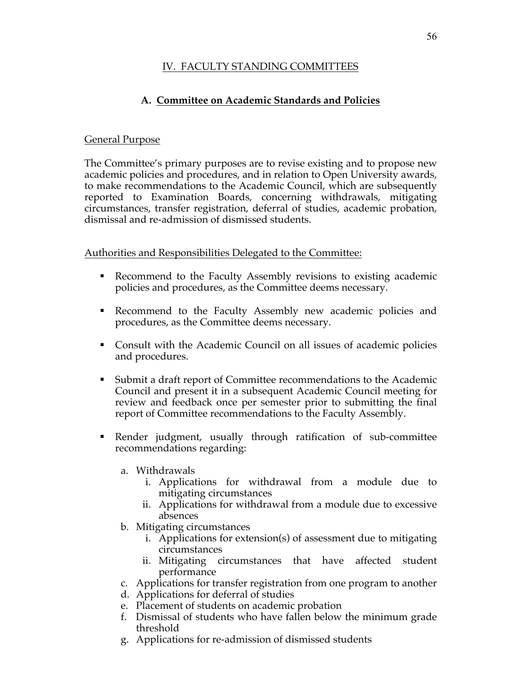## IV. FACULTY STANDING COMMITTEES

# **A. Committee on Academic Standards and Policies**

#### General Purpose

The Committee's primary purposes are to revise existing and to propose new academic policies and procedures, and in relation to Open University awards, to make recommendations to the Academic Council, which are subsequently reported to Examination Boards, concerning withdrawals, mitigating circumstances, transfer registration, deferral of studies, academic probation, dismissal and re-admission of dismissed students.

Authorities and Responsibilities Delegated to the Committee:

- Recommend to the Faculty Assembly revisions to existing academic policies and procedures, as the Committee deems necessary.
- Recommend to the Faculty Assembly new academic policies and procedures, as the Committee deems necessary.
- Consult with the Academic Council on all issues of academic policies and procedures.
- § Submit a draft report of Committee recommendations to the Academic Council and present it in a subsequent Academic Council meeting for review and feedback once per semester prior to submitting the final report of Committee recommendations to the Faculty Assembly.
- § Render judgment, usually through ratification of sub-committee recommendations regarding:
	- a. Withdrawals
		- i. Applications for withdrawal from a module due to mitigating circumstances
		- ii. Applications for withdrawal from a module due to excessive absences
	- b. Mitigating circumstances
		- i. Applications for extension(s) of assessment due to mitigating circumstances
		- ii. Mitigating circumstances that have affected student performance
	- c. Applications for transfer registration from one program to another
	- d. Applications for deferral of studies
	- e. Placement of students on academic probation
	- f. Dismissal of students who have fallen below the minimum grade threshold
	- g. Applications for re-admission of dismissed students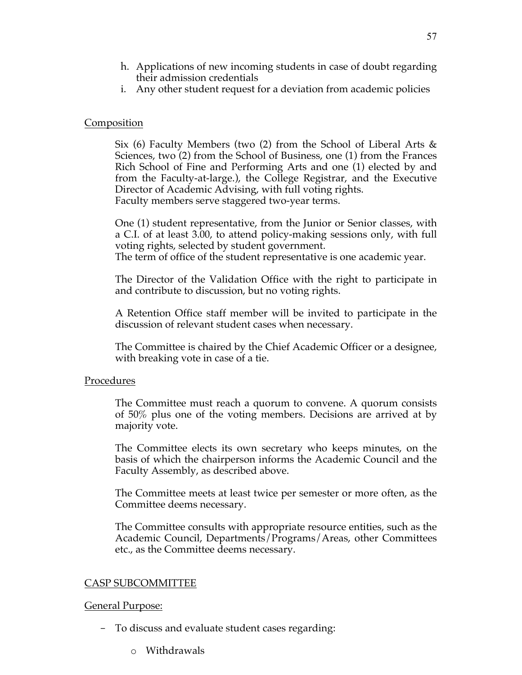- h. Applications of new incoming students in case of doubt regarding their admission credentials
- i. Any other student request for a deviation from academic policies

#### Composition

Six (6) Faculty Members (two (2) from the School of Liberal Arts & Sciences, two (2) from the School of Business, one (1) from the Frances Rich School of Fine and Performing Arts and one (1) elected by and from the Faculty-at-large.), the College Registrar, and the Executive Director of Academic Advising, with full voting rights. Faculty members serve staggered two-year terms.

One (1) student representative, from the Junior or Senior classes, with a C.I. of at least 3.00, to attend policy-making sessions only, with full voting rights, selected by student government.

The term of office of the student representative is one academic year.

The Director of the Validation Office with the right to participate in and contribute to discussion, but no voting rights.

A Retention Office staff member will be invited to participate in the discussion of relevant student cases when necessary.

The Committee is chaired by the Chief Academic Officer or a designee, with breaking vote in case of a tie.

#### Procedures

The Committee must reach a quorum to convene. A quorum consists of 50% plus one of the voting members. Decisions are arrived at by majority vote.

The Committee elects its own secretary who keeps minutes, on the basis of which the chairperson informs the Academic Council and the Faculty Assembly, as described above.

The Committee meets at least twice per semester or more often, as the Committee deems necessary.

The Committee consults with appropriate resource entities, such as the Academic Council, Departments/Programs/Areas, other Committees etc., as the Committee deems necessary.

#### CASP SUBCOMMITTEE

#### General Purpose:

- To discuss and evaluate student cases regarding:
	- o Withdrawals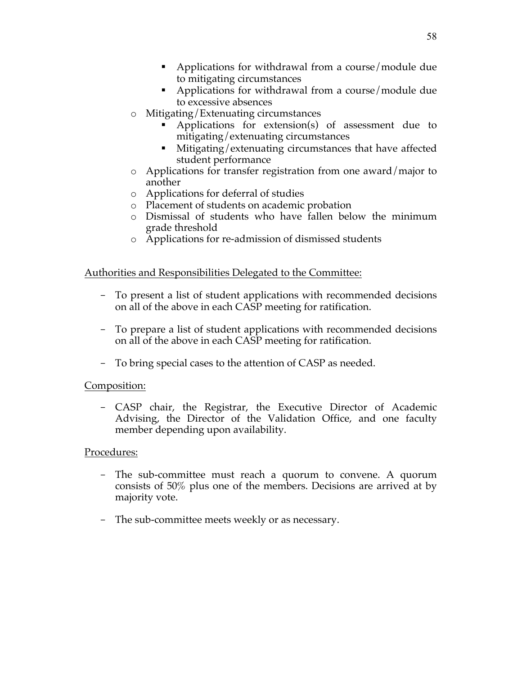- Applications for withdrawal from a course/module due to mitigating circumstances
- Applications for withdrawal from a course/module due to excessive absences
- o Mitigating/Extenuating circumstances
	- Applications for extension(s) of assessment due to mitigating/extenuating circumstances
	- Mitigating/extenuating circumstances that have affected student performance
- o Applications for transfer registration from one award/major to another
- o Applications for deferral of studies
- o Placement of students on academic probation
- o Dismissal of students who have fallen below the minimum grade threshold
- o Applications for re-admission of dismissed students

## Authorities and Responsibilities Delegated to the Committee:

- To present a list of student applications with recommended decisions on all of the above in each CASP meeting for ratification.
- To prepare a list of student applications with recommended decisions on all of the above in each CASP meeting for ratification.
- To bring special cases to the attention of CASP as needed.

## Composition:

- CASP chair, the Registrar, the Executive Director of Academic Advising, the Director of the Validation Office, and one faculty member depending upon availability.

## Procedures:

- The sub-committee must reach a quorum to convene. A quorum consists of 50% plus one of the members. Decisions are arrived at by majority vote.
- The sub-committee meets weekly or as necessary.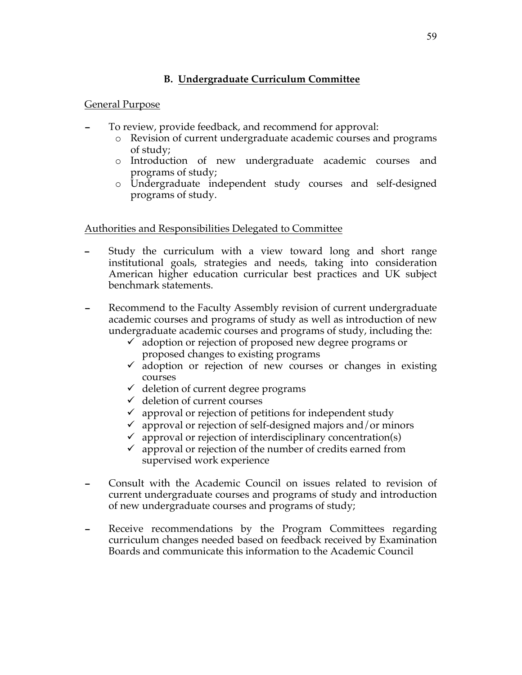## **B. Undergraduate Curriculum Committee**

#### General Purpose

- To review, provide feedback, and recommend for approval:
	- o Revision of current undergraduate academic courses and programs of study;
	- o Introduction of new undergraduate academic courses and programs of study;
	- o Undergraduate independent study courses and self-designed programs of study.

#### Authorities and Responsibilities Delegated to Committee

- Study the curriculum with a view toward long and short range institutional goals, strategies and needs, taking into consideration American higher education curricular best practices and UK subject benchmark statements.
- Recommend to the Faculty Assembly revision of current undergraduate academic courses and programs of study as well as introduction of new undergraduate academic courses and programs of study, including the:
	- $\checkmark$  adoption or rejection of proposed new degree programs or proposed changes to existing programs
	- $\checkmark$  adoption or rejection of new courses or changes in existing courses
	- $\checkmark$  deletion of current degree programs
	- $\checkmark$  deletion of current courses
	- $\checkmark$  approval or rejection of petitions for independent study
	- $\checkmark$  approval or rejection of self-designed majors and/or minors
	- $\checkmark$  approval or rejection of interdisciplinary concentration(s)
	- $\checkmark$  approval or rejection of the number of credits earned from supervised work experience
- Consult with the Academic Council on issues related to revision of current undergraduate courses and programs of study and introduction of new undergraduate courses and programs of study;
- Receive recommendations by the Program Committees regarding curriculum changes needed based on feedback received by Examination Boards and communicate this information to the Academic Council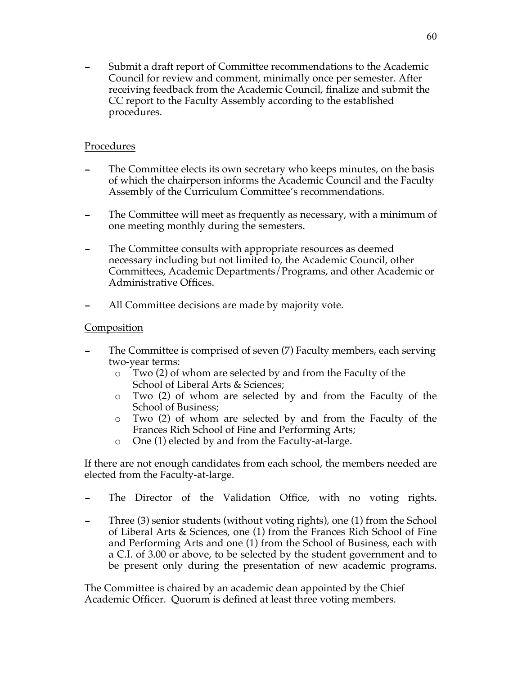- Submit a draft report of Committee recommendations to the Academic Council for review and comment, minimally once per semester. After receiving feedback from the Academic Council, finalize and submit the CC report to the Faculty Assembly according to the established procedures.

#### Procedures

- The Committee elects its own secretary who keeps minutes, on the basis of which the chairperson informs the Academic Council and the Faculty Assembly of the Curriculum Committee's recommendations.
- The Committee will meet as frequently as necessary, with a minimum of one meeting monthly during the semesters.
- The Committee consults with appropriate resources as deemed necessary including but not limited to, the Academic Council, other Committees, Academic Departments/Programs, and other Academic or Administrative Offices.
- All Committee decisions are made by majority vote.

#### Composition

- The Committee is comprised of seven (7) Faculty members, each serving two-year terms:
	- o Two (2) of whom are selected by and from the Faculty of the School of Liberal Arts & Sciences;
	- o Two (2) of whom are selected by and from the Faculty of the School of Business;
	- o Two (2) of whom are selected by and from the Faculty of the Frances Rich School of Fine and Performing Arts;
	- o One (1) elected by and from the Faculty-at-large.

If there are not enough candidates from each school, the members needed are elected from the Faculty-at-large.

- The Director of the Validation Office, with no voting rights.
- Three (3) senior students (without voting rights), one (1) from the School of Liberal Arts & Sciences, one (1) from the Frances Rich School of Fine and Performing Arts and one (1) from the School of Business, each with a C.I. of 3.00 or above, to be selected by the student government and to be present only during the presentation of new academic programs.

The Committee is chaired by an academic dean appointed by the Chief Academic Officer. Quorum is defined at least three voting members.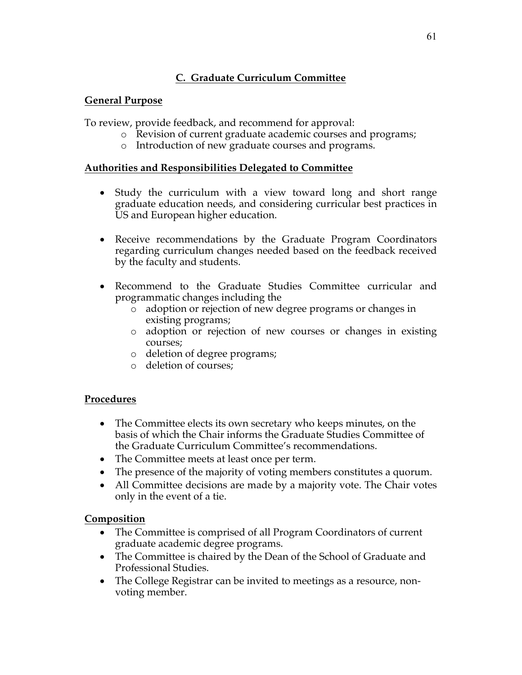# **C. Graduate Curriculum Committee**

### **General Purpose**

To review, provide feedback, and recommend for approval:

- o Revision of current graduate academic courses and programs;
- o Introduction of new graduate courses and programs.

### **Authorities and Responsibilities Delegated to Committee**

- Study the curriculum with a view toward long and short range graduate education needs, and considering curricular best practices in US and European higher education.
- Receive recommendations by the Graduate Program Coordinators regarding curriculum changes needed based on the feedback received by the faculty and students.
- Recommend to the Graduate Studies Committee curricular and programmatic changes including the
	- o adoption or rejection of new degree programs or changes in existing programs;
	- o adoption or rejection of new courses or changes in existing courses;
	- o deletion of degree programs;
	- o deletion of courses;

## **Procedures**

- The Committee elects its own secretary who keeps minutes, on the basis of which the Chair informs the Graduate Studies Committee of the Graduate Curriculum Committee's recommendations.
- The Committee meets at least once per term.
- The presence of the majority of voting members constitutes a quorum.
- All Committee decisions are made by a majority vote. The Chair votes only in the event of a tie.

## **Composition**

- The Committee is comprised of all Program Coordinators of current graduate academic degree programs.
- The Committee is chaired by the Dean of the School of Graduate and Professional Studies.
- The College Registrar can be invited to meetings as a resource, nonvoting member.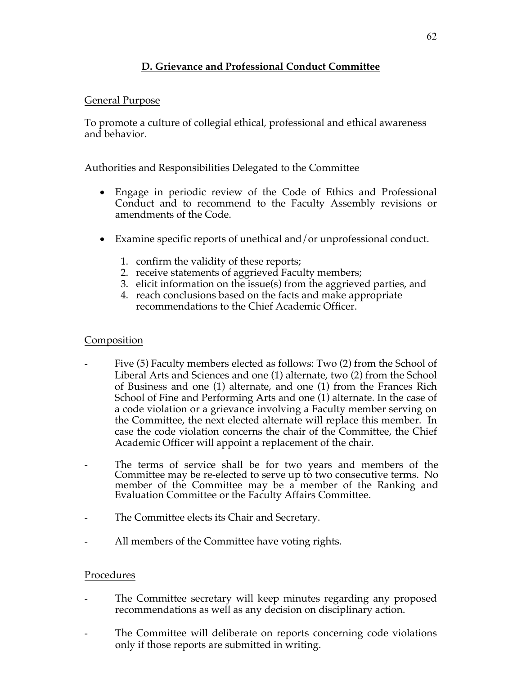# **D. Grievance and Professional Conduct Committee**

### General Purpose

To promote a culture of collegial ethical, professional and ethical awareness and behavior.

## Authorities and Responsibilities Delegated to the Committee

- Engage in periodic review of the Code of Ethics and Professional Conduct and to recommend to the Faculty Assembly revisions or amendments of the Code.
- Examine specific reports of unethical and/or unprofessional conduct.
	- 1. confirm the validity of these reports;
	- 2. receive statements of aggrieved Faculty members;
	- 3. elicit information on the issue(s) from the aggrieved parties, and
	- 4. reach conclusions based on the facts and make appropriate recommendations to the Chief Academic Officer.

### **Composition**

- Five (5) Faculty members elected as follows: Two (2) from the School of Liberal Arts and Sciences and one (1) alternate, two (2) from the School of Business and one (1) alternate, and one (1) from the Frances Rich School of Fine and Performing Arts and one (1) alternate. In the case of a code violation or a grievance involving a Faculty member serving on the Committee, the next elected alternate will replace this member. In case the code violation concerns the chair of the Committee, the Chief Academic Officer will appoint a replacement of the chair.
- The terms of service shall be for two years and members of the Committee may be re-elected to serve up to two consecutive terms. No member of the Committee may be a member of the Ranking and Evaluation Committee or the Faculty Affairs Committee.
- The Committee elects its Chair and Secretary.
- All members of the Committee have voting rights.

#### Procedures

- The Committee secretary will keep minutes regarding any proposed recommendations as well as any decision on disciplinary action.
- The Committee will deliberate on reports concerning code violations only if those reports are submitted in writing.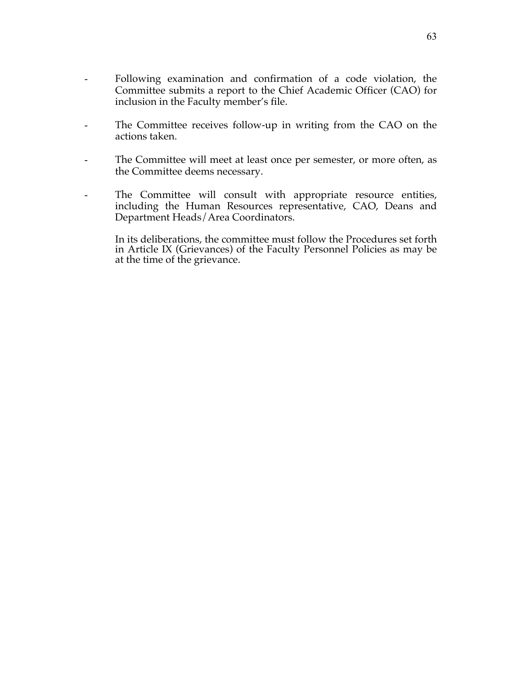- Following examination and confirmation of a code violation, the Committee submits a report to the Chief Academic Officer (CAO) for inclusion in the Faculty member's file.
- The Committee receives follow-up in writing from the CAO on the actions taken.
- The Committee will meet at least once per semester, or more often, as the Committee deems necessary.
- The Committee will consult with appropriate resource entities, including the Human Resources representative, CAO, Deans and Department Heads/Area Coordinators.
	- In its deliberations, the committee must follow the Procedures set forth in Article IX (Grievances) of the Faculty Personnel Policies as may be at the time of the grievance.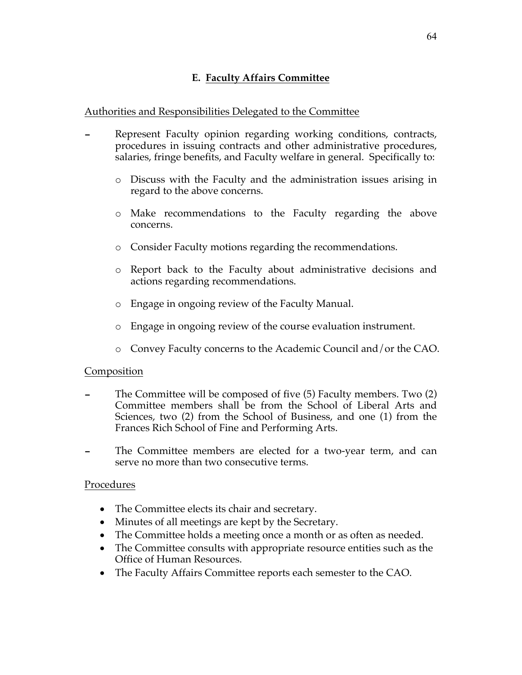### Authorities and Responsibilities Delegated to the Committee

- Represent Faculty opinion regarding working conditions, contracts, procedures in issuing contracts and other administrative procedures, salaries, fringe benefits, and Faculty welfare in general. Specifically to:
	- o Discuss with the Faculty and the administration issues arising in regard to the above concerns.
	- o Make recommendations to the Faculty regarding the above concerns.
	- o Consider Faculty motions regarding the recommendations.
	- o Report back to the Faculty about administrative decisions and actions regarding recommendations.
	- o Engage in ongoing review of the Faculty Manual.
	- o Engage in ongoing review of the course evaluation instrument.
	- o Convey Faculty concerns to the Academic Council and/or the CAO.

#### Composition

- The Committee will be composed of five (5) Faculty members. Two (2) Committee members shall be from the School of Liberal Arts and Sciences, two (2) from the School of Business, and one (1) from the Frances Rich School of Fine and Performing Arts.
- The Committee members are elected for a two-year term, and can serve no more than two consecutive terms.

#### Procedures

- The Committee elects its chair and secretary.
- Minutes of all meetings are kept by the Secretary.
- The Committee holds a meeting once a month or as often as needed.
- The Committee consults with appropriate resource entities such as the Office of Human Resources.
- The Faculty Affairs Committee reports each semester to the CAO.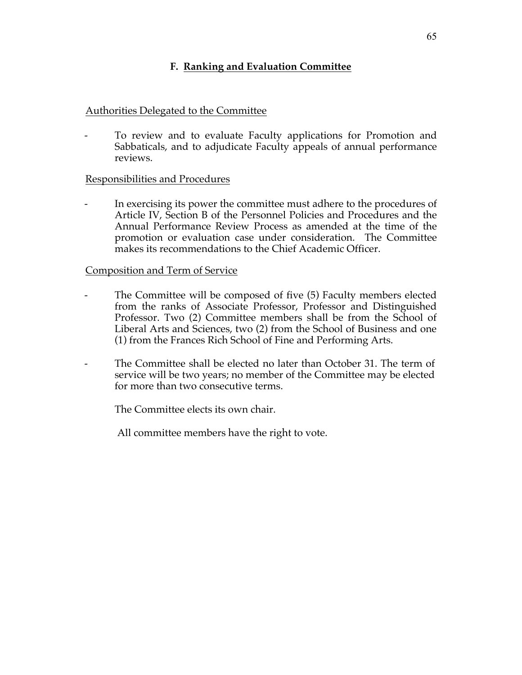## **F. Ranking and Evaluation Committee**

#### Authorities Delegated to the Committee

To review and to evaluate Faculty applications for Promotion and Sabbaticals, and to adjudicate Faculty appeals of annual performance reviews.

#### Responsibilities and Procedures

In exercising its power the committee must adhere to the procedures of Article IV, Section B of the Personnel Policies and Procedures and the Annual Performance Review Process as amended at the time of the promotion or evaluation case under consideration. The Committee makes its recommendations to the Chief Academic Officer.

#### Composition and Term of Service

- The Committee will be composed of five (5) Faculty members elected from the ranks of Associate Professor, Professor and Distinguished Professor. Two (2) Committee members shall be from the School of Liberal Arts and Sciences, two (2) from the School of Business and one (1) from the Frances Rich School of Fine and Performing Arts.
- The Committee shall be elected no later than October 31. The term of service will be two years; no member of the Committee may be elected for more than two consecutive terms.

The Committee elects its own chair.

All committee members have the right to vote.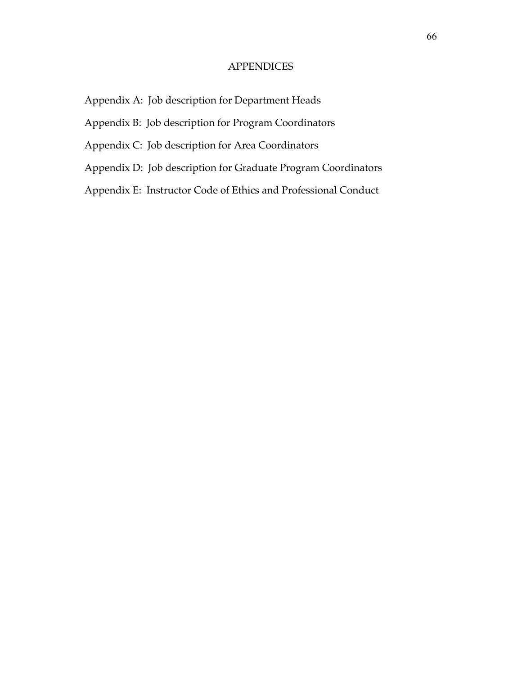#### **APPENDICES**

- Appendix A: Job description for Department Heads
- Appendix B: Job description for Program Coordinators
- Appendix C: Job description for Area Coordinators
- Appendix D: Job description for Graduate Program Coordinators
- Appendix E: Instructor Code of Ethics and Professional Conduct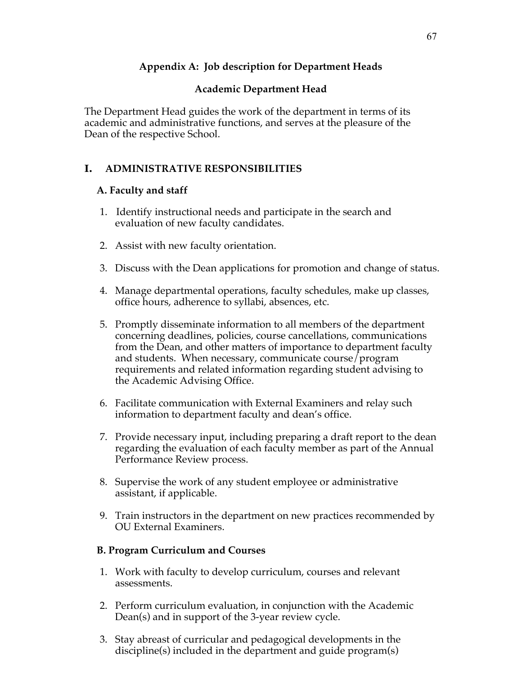## **Appendix A: Job description for Department Heads**

## **Academic Department Head**

The Department Head guides the work of the department in terms of its academic and administrative functions, and serves at the pleasure of the Dean of the respective School.

## **I. ADMINISTRATIVE RESPONSIBILITIES**

#### **A. Faculty and staff**

- 1. Identify instructional needs and participate in the search and evaluation of new faculty candidates.
- 2. Assist with new faculty orientation.
- 3. Discuss with the Dean applications for promotion and change of status.
- 4. Manage departmental operations, faculty schedules, make up classes, office hours, adherence to syllabi, absences, etc.
- 5. Promptly disseminate information to all members of the department concerning deadlines, policies, course cancellations, communications from the Dean, and other matters of importance to department faculty and students. When necessary, communicate course/program requirements and related information regarding student advising to the Academic Advising Office.
- 6. Facilitate communication with External Examiners and relay such information to department faculty and dean's office.
- 7. Provide necessary input, including preparing a draft report to the dean regarding the evaluation of each faculty member as part of the Annual Performance Review process.
- 8. Supervise the work of any student employee or administrative assistant, if applicable.
- 9. Train instructors in the department on new practices recommended by OU External Examiners.

#### **B. Program Curriculum and Courses**

- 1. Work with faculty to develop curriculum, courses and relevant assessments.
- 2. Perform curriculum evaluation, in conjunction with the Academic Dean(s) and in support of the 3-year review cycle.
- 3. Stay abreast of curricular and pedagogical developments in the discipline(s) included in the department and guide program(s)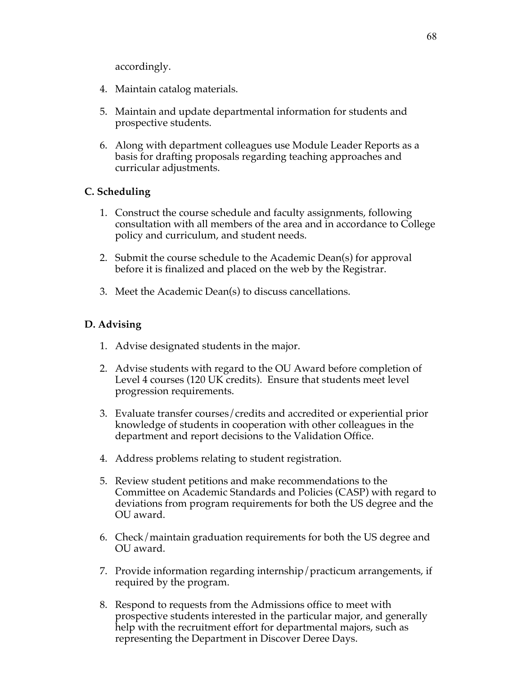accordingly.

- 4. Maintain catalog materials.
- 5. Maintain and update departmental information for students and prospective students.
- 6. Along with department colleagues use Module Leader Reports as a basis for drafting proposals regarding teaching approaches and curricular adjustments.

#### **C. Scheduling**

- 1. Construct the course schedule and faculty assignments, following consultation with all members of the area and in accordance to College policy and curriculum, and student needs.
- 2. Submit the course schedule to the Academic Dean(s) for approval before it is finalized and placed on the web by the Registrar.
- 3. Meet the Academic Dean(s) to discuss cancellations.

## **D. Advising**

- 1. Advise designated students in the major.
- 2. Advise students with regard to the OU Award before completion of Level 4 courses (120 UK credits). Ensure that students meet level progression requirements.
- 3. Evaluate transfer courses/credits and accredited or experiential prior knowledge of students in cooperation with other colleagues in the department and report decisions to the Validation Office.
- 4. Address problems relating to student registration.
- 5. Review student petitions and make recommendations to the Committee on Academic Standards and Policies (CASP) with regard to deviations from program requirements for both the US degree and the OU award.
- 6. Check/maintain graduation requirements for both the US degree and OU award.
- 7. Provide information regarding internship/practicum arrangements, if required by the program.
- 8. Respond to requests from the Admissions office to meet with prospective students interested in the particular major, and generally help with the recruitment effort for departmental majors, such as representing the Department in Discover Deree Days.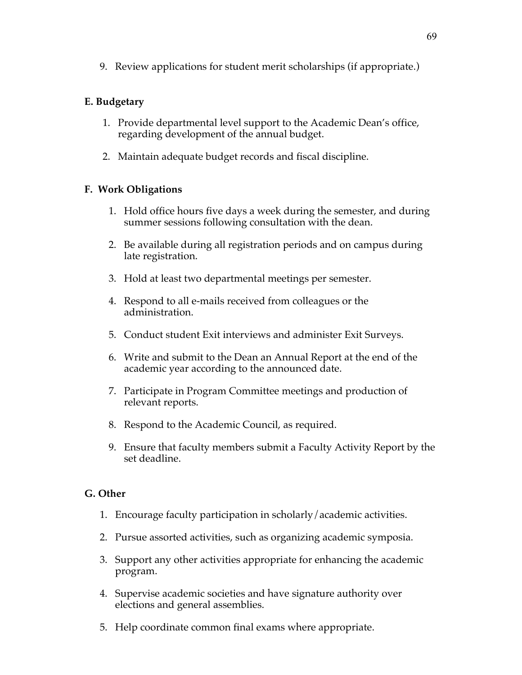9. Review applications for student merit scholarships (if appropriate.)

## **E. Budgetary**

- 1. Provide departmental level support to the Academic Dean's office, regarding development of the annual budget.
- 2. Maintain adequate budget records and fiscal discipline.

## **F. Work Obligations**

- 1. Hold office hours five days a week during the semester, and during summer sessions following consultation with the dean.
- 2. Be available during all registration periods and on campus during late registration.
- 3. Hold at least two departmental meetings per semester.
- 4. Respond to all e-mails received from colleagues or the administration.
- 5. Conduct student Exit interviews and administer Exit Surveys.
- 6. Write and submit to the Dean an Annual Report at the end of the academic year according to the announced date.
- 7. Participate in Program Committee meetings and production of relevant reports.
- 8. Respond to the Academic Council, as required.
- 9. Ensure that faculty members submit a Faculty Activity Report by the set deadline.

#### **G. Other**

- 1. Encourage faculty participation in scholarly/academic activities.
- 2. Pursue assorted activities, such as organizing academic symposia.
- 3. Support any other activities appropriate for enhancing the academic program.
- 4. Supervise academic societies and have signature authority over elections and general assemblies.
- 5. Help coordinate common final exams where appropriate.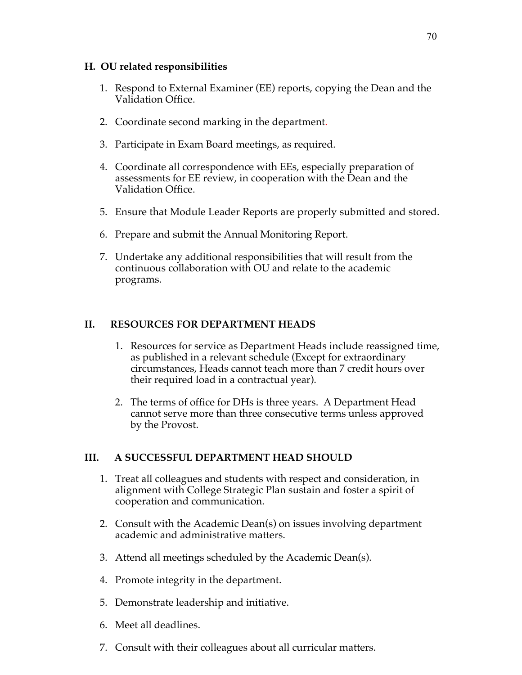#### **H. OU related responsibilities**

- 1. Respond to External Examiner (EE) reports, copying the Dean and the Validation Office.
- 2. Coordinate second marking in the department.
- 3. Participate in Exam Board meetings, as required.
- 4. Coordinate all correspondence with EEs, especially preparation of assessments for EE review, in cooperation with the Dean and the Validation Office.
- 5. Ensure that Module Leader Reports are properly submitted and stored.
- 6. Prepare and submit the Annual Monitoring Report.
- 7. Undertake any additional responsibilities that will result from the continuous collaboration with OU and relate to the academic programs.

## **II. RESOURCES FOR DEPARTMENT HEADS**

- 1. Resources for service as Department Heads include reassigned time, as published in a relevant schedule (Except for extraordinary circumstances, Heads cannot teach more than 7 credit hours over their required load in a contractual year).
- 2. The terms of office for DHs is three years. A Department Head cannot serve more than three consecutive terms unless approved by the Provost.

## **III. A SUCCESSFUL DEPARTMENT HEAD SHOULD**

- 1. Treat all colleagues and students with respect and consideration, in alignment with College Strategic Plan sustain and foster a spirit of cooperation and communication.
- 2. Consult with the Academic Dean(s) on issues involving department academic and administrative matters.
- 3. Attend all meetings scheduled by the Academic Dean(s).
- 4. Promote integrity in the department.
- 5. Demonstrate leadership and initiative.
- 6. Meet all deadlines.
- 7. Consult with their colleagues about all curricular matters.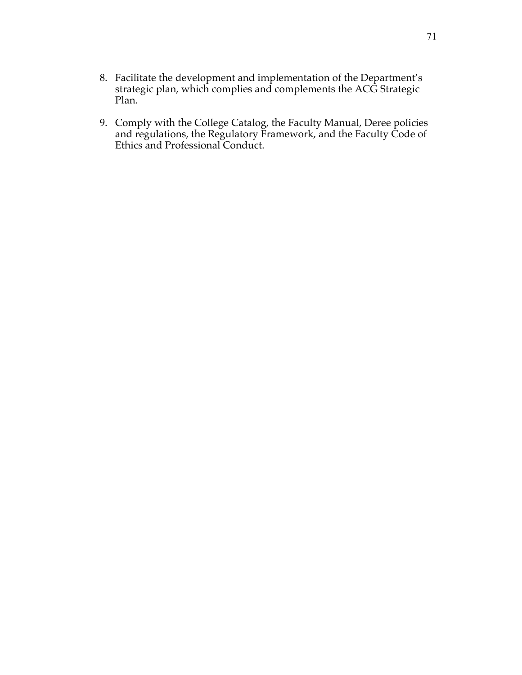- 8. Facilitate the development and implementation of the Department's strategic plan, which complies and complements the ACG Strategic Plan.
- 9. Comply with the College Catalog, the Faculty Manual, Deree policies and regulations, the Regulatory Framework, and the Faculty Code of Ethics and Professional Conduct.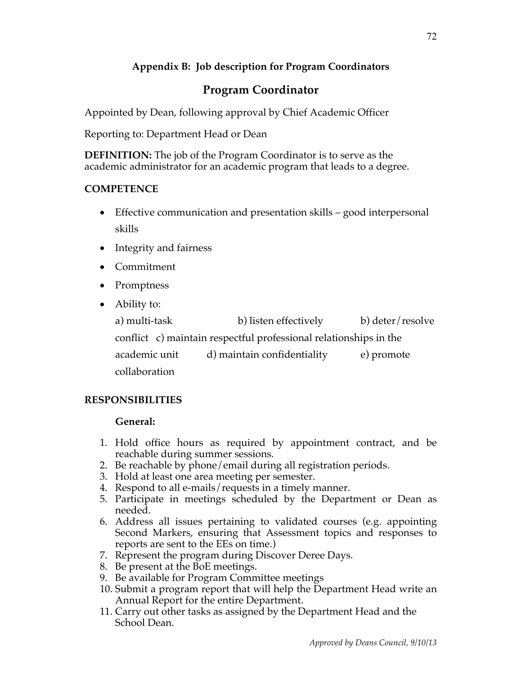# **Appendix B: Job description for Program Coordinators**

# **Program Coordinator**

Appointed by Dean, following approval by Chief Academic Officer

Reporting to: Department Head or Dean

**DEFINITION:** The job of the Program Coordinator is to serve as the academic administrator for an academic program that leads to a degree.

# **COMPETENCE**

- Effective communication and presentation skills good interpersonal skills
- Integrity and fairness
- Commitment
- Promptness
- Ability to:

a) multi-task b) listen effectively b) deter/resolve conflict c) maintain respectful professional relationships in the academic unit d) maintain confidentiality e) promote collaboration

# **RESPONSIBILITIES**

## **General:**

- 1. Hold office hours as required by appointment contract, and be reachable during summer sessions.
- 2. Be reachable by phone/email during all registration periods.
- 3. Hold at least one area meeting per semester.
- 4. Respond to all e-mails/requests in a timely manner.
- 5. Participate in meetings scheduled by the Department or Dean as needed.
- 6. Address all issues pertaining to validated courses (e.g. appointing Second Markers, ensuring that Assessment topics and responses to reports are sent to the EEs on time.)
- 7. Represent the program during Discover Deree Days.
- 8. Be present at the BoE meetings.
- 9. Be available for Program Committee meetings
- 10. Submit a program report that will help the Department Head write an Annual Report for the entire Department.
- 11. Carry out other tasks as assigned by the Department Head and the School Dean.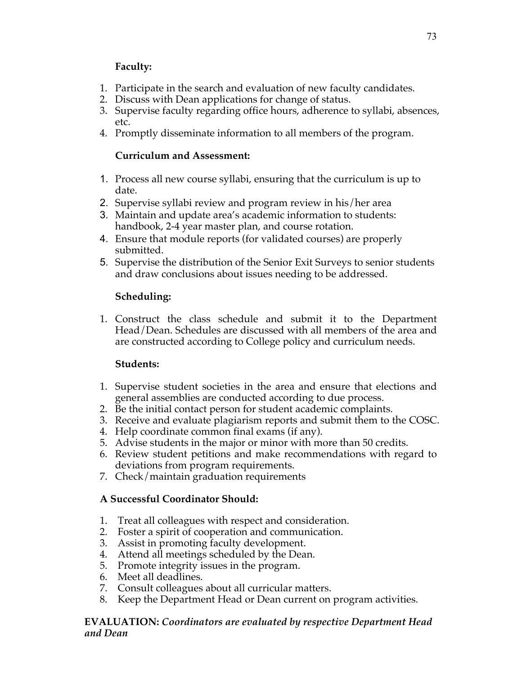## **Faculty:**

- 1. Participate in the search and evaluation of new faculty candidates.
- 2. Discuss with Dean applications for change of status.
- 3. Supervise faculty regarding office hours, adherence to syllabi, absences, etc.
- 4. Promptly disseminate information to all members of the program.

## **Curriculum and Assessment:**

- 1. Process all new course syllabi, ensuring that the curriculum is up to date.
- 2. Supervise syllabi review and program review in his/her area
- 3. Maintain and update area's academic information to students: handbook, 2-4 year master plan, and course rotation.
- 4. Ensure that module reports (for validated courses) are properly submitted.
- 5. Supervise the distribution of the Senior Exit Surveys to senior students and draw conclusions about issues needing to be addressed.

# **Scheduling:**

1. Construct the class schedule and submit it to the Department Head/Dean. Schedules are discussed with all members of the area and are constructed according to College policy and curriculum needs.

# **Students:**

- 1. Supervise student societies in the area and ensure that elections and general assemblies are conducted according to due process.
- 2. Be the initial contact person for student academic complaints.
- 3. Receive and evaluate plagiarism reports and submit them to the COSC.
- 4. Help coordinate common final exams (if any).
- 5. Advise students in the major or minor with more than 50 credits.
- 6. Review student petitions and make recommendations with regard to deviations from program requirements.
- 7. Check/maintain graduation requirements

# **A Successful Coordinator Should:**

- 1. Treat all colleagues with respect and consideration.
- 2. Foster a spirit of cooperation and communication.
- 3. Assist in promoting faculty development.
- 4. Attend all meetings scheduled by the Dean.
- 5. Promote integrity issues in the program.
- 6. Meet all deadlines.
- 7. Consult colleagues about all curricular matters.
- 8. Keep the Department Head or Dean current on program activities.

#### **EVALUATION:** *Coordinators are evaluated by respective Department Head and Dean*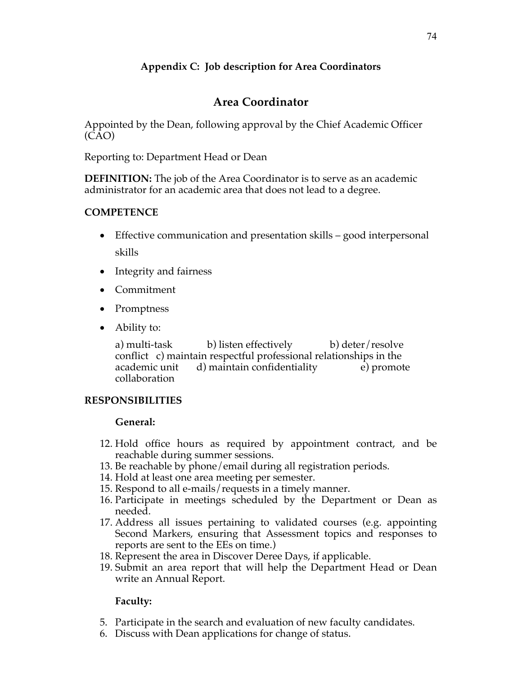# **Appendix C: Job description for Area Coordinators**

# **Area Coordinator**

Appointed by the Dean, following approval by the Chief Academic Officer (CAO)

Reporting to: Department Head or Dean

**DEFINITION:** The job of the Area Coordinator is to serve as an academic administrator for an academic area that does not lead to a degree.

#### **COMPETENCE**

- Effective communication and presentation skills good interpersonal skills
- Integrity and fairness
- Commitment
- Promptness
- Ability to:

a) multi-task b) listen effectively b) deter/resolve conflict c) maintain respectful professional relationships in the academic unit d) maintain confidentiality e) promote collaboration

#### **RESPONSIBILITIES**

#### **General:**

- 12. Hold office hours as required by appointment contract, and be reachable during summer sessions.
- 13. Be reachable by phone/email during all registration periods.
- 14. Hold at least one area meeting per semester.
- 15. Respond to all e-mails/requests in a timely manner.
- 16. Participate in meetings scheduled by the Department or Dean as needed.
- 17. Address all issues pertaining to validated courses (e.g. appointing Second Markers, ensuring that Assessment topics and responses to reports are sent to the EEs on time.)
- 18. Represent the area in Discover Deree Days, if applicable.
- 19. Submit an area report that will help the Department Head or Dean write an Annual Report.

## **Faculty:**

- 5. Participate in the search and evaluation of new faculty candidates.
- 6. Discuss with Dean applications for change of status.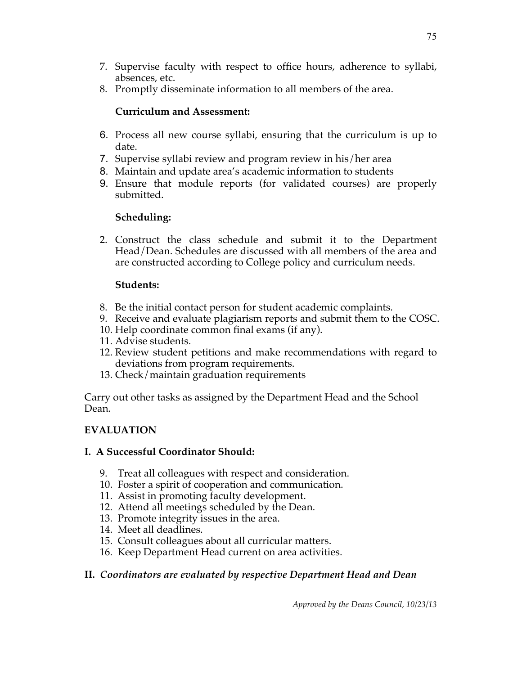- 7. Supervise faculty with respect to office hours, adherence to syllabi, absences, etc.
- 8. Promptly disseminate information to all members of the area.

#### **Curriculum and Assessment:**

- 6. Process all new course syllabi, ensuring that the curriculum is up to date.
- 7. Supervise syllabi review and program review in his/her area
- 8. Maintain and update area's academic information to students
- 9. Ensure that module reports (for validated courses) are properly submitted.

## **Scheduling:**

2. Construct the class schedule and submit it to the Department Head/Dean. Schedules are discussed with all members of the area and are constructed according to College policy and curriculum needs.

## **Students:**

- 8. Be the initial contact person for student academic complaints.
- 9. Receive and evaluate plagiarism reports and submit them to the COSC.
- 10. Help coordinate common final exams (if any).
- 11. Advise students.
- 12. Review student petitions and make recommendations with regard to deviations from program requirements.
- 13. Check/maintain graduation requirements

Carry out other tasks as assigned by the Department Head and the School Dean.

# **EVALUATION**

## **I. A Successful Coordinator Should:**

- 9. Treat all colleagues with respect and consideration.
- 10. Foster a spirit of cooperation and communication.
- 11. Assist in promoting faculty development.
- 12. Attend all meetings scheduled by the Dean.
- 13. Promote integrity issues in the area.
- 14. Meet all deadlines.
- 15. Consult colleagues about all curricular matters.
- 16. Keep Department Head current on area activities.

# **II.** *Coordinators are evaluated by respective Department Head and Dean*

*Approved by the Deans Council, 10/23/13*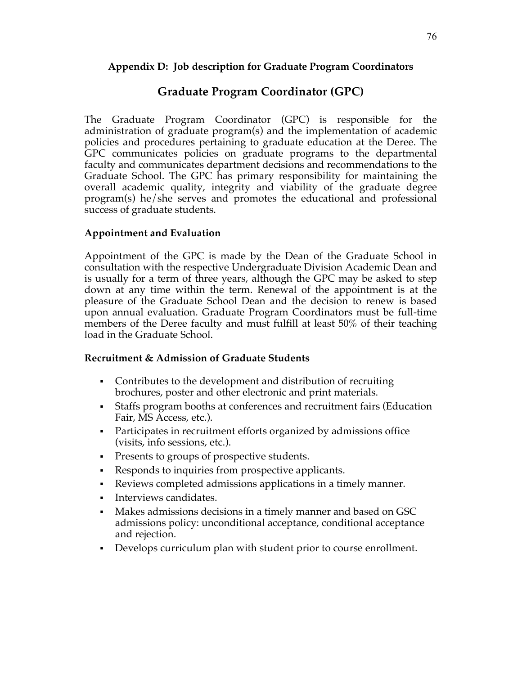#### **Appendix D: Job description for Graduate Program Coordinators**

# **Graduate Program Coordinator (GPC)**

The Graduate Program Coordinator (GPC) is responsible for the administration of graduate program(s) and the implementation of academic policies and procedures pertaining to graduate education at the Deree. The GPC communicates policies on graduate programs to the departmental faculty and communicates department decisions and recommendations to the Graduate School. The GPC has primary responsibility for maintaining the overall academic quality, integrity and viability of the graduate degree program(s) he/she serves and promotes the educational and professional success of graduate students.

#### **Appointment and Evaluation**

Appointment of the GPC is made by the Dean of the Graduate School in consultation with the respective Undergraduate Division Academic Dean and is usually for a term of three years, although the GPC may be asked to step down at any time within the term. Renewal of the appointment is at the pleasure of the Graduate School Dean and the decision to renew is based upon annual evaluation. Graduate Program Coordinators must be full-time members of the Deree faculty and must fulfill at least 50% of their teaching load in the Graduate School.

#### **Recruitment & Admission of Graduate Students**

- Contributes to the development and distribution of recruiting brochures, poster and other electronic and print materials.
- § Staffs program booths at conferences and recruitment fairs (Education Fair, MS Access, etc.).
- Participates in recruitment efforts organized by admissions office (visits, info sessions, etc.).
- Presents to groups of prospective students.
- Responds to inquiries from prospective applicants.
- Reviews completed admissions applications in a timely manner.
- Interviews candidates.
- Makes admissions decisions in a timely manner and based on GSC admissions policy: unconditional acceptance, conditional acceptance and rejection.
- Develops curriculum plan with student prior to course enrollment.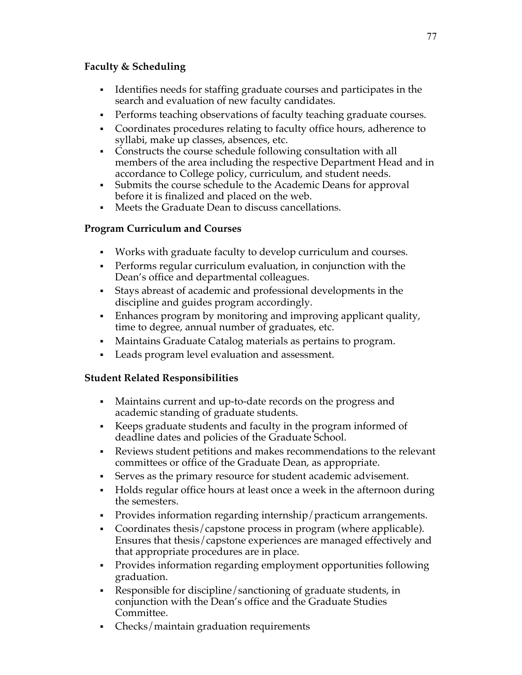#### **Faculty & Scheduling**

- § Identifies needs for staffing graduate courses and participates in the search and evaluation of new faculty candidates.
- Performs teaching observations of faculty teaching graduate courses.
- § Coordinates procedures relating to faculty office hours, adherence to syllabi, make up classes, absences, etc.
- Constructs the course schedule following consultation with all members of the area including the respective Department Head and in accordance to College policy, curriculum, and student needs.
- § Submits the course schedule to the Academic Deans for approval before it is finalized and placed on the web.
- § Meets the Graduate Dean to discuss cancellations.

## **Program Curriculum and Courses**

- § Works with graduate faculty to develop curriculum and courses.
- Performs regular curriculum evaluation, in conjunction with the Dean's office and departmental colleagues.
- § Stays abreast of academic and professional developments in the discipline and guides program accordingly.
- Enhances program by monitoring and improving applicant quality, time to degree, annual number of graduates, etc.
- § Maintains Graduate Catalog materials as pertains to program.
- Leads program level evaluation and assessment.

## **Student Related Responsibilities**

- Maintains current and up-to-date records on the progress and academic standing of graduate students.
- § Keeps graduate students and faculty in the program informed of deadline dates and policies of the Graduate School.
- § Reviews student petitions and makes recommendations to the relevant committees or office of the Graduate Dean, as appropriate.
- § Serves as the primary resource for student academic advisement.
- § Holds regular office hours at least once a week in the afternoon during the semesters.
- § Provides information regarding internship/practicum arrangements.
- Coordinates thesis/capstone process in program (where applicable). Ensures that thesis/capstone experiences are managed effectively and that appropriate procedures are in place.
- § Provides information regarding employment opportunities following graduation.
- § Responsible for discipline/sanctioning of graduate students, in conjunction with the Dean's office and the Graduate Studies Committee.
- § Checks/maintain graduation requirements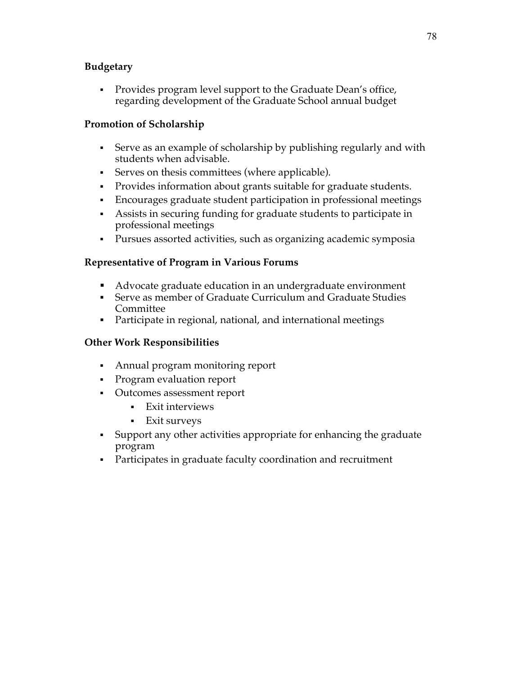## **Budgetary**

• Provides program level support to the Graduate Dean's office, regarding development of the Graduate School annual budget

## **Promotion of Scholarship**

- Serve as an example of scholarship by publishing regularly and with students when advisable.
- Serves on thesis committees (where applicable).
- Provides information about grants suitable for graduate students.
- § Encourages graduate student participation in professional meetings
- Assists in securing funding for graduate students to participate in professional meetings
- § Pursues assorted activities, such as organizing academic symposia

## **Representative of Program in Various Forums**

- Advocate graduate education in an undergraduate environment
- § Serve as member of Graduate Curriculum and Graduate Studies Committee
- Participate in regional, national, and international meetings

## **Other Work Responsibilities**

- Annual program monitoring report
- § Program evaluation report
- § Outcomes assessment report
	- § Exit interviews
	- § Exit surveys
- § Support any other activities appropriate for enhancing the graduate program
- Participates in graduate faculty coordination and recruitment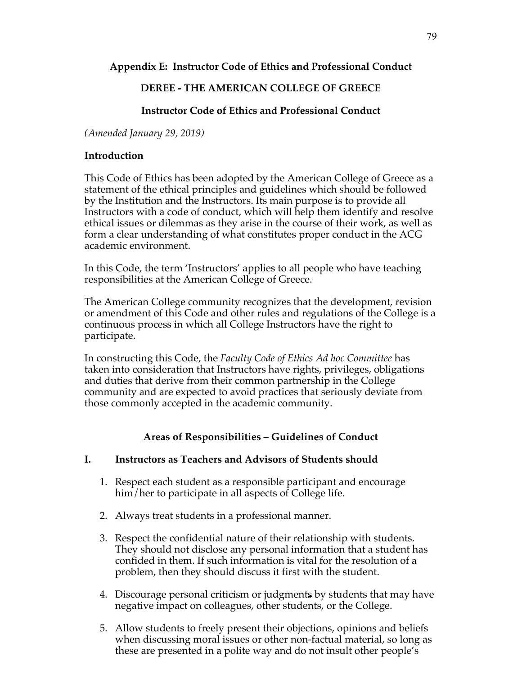## **Appendix E: Instructor Code of Ethics and Professional Conduct**

## **DEREE - THE AMERICAN COLLEGE OF GREECE**

## **Instructor Code of Ethics and Professional Conduct**

*(Amended January 29, 2019)*

#### **Introduction**

This Code of Ethics has been adopted by the American College of Greece as a statement of the ethical principles and guidelines which should be followed by the Institution and the Instructors. Its main purpose is to provide all Instructors with a code of conduct, which will help them identify and resolve ethical issues or dilemmas as they arise in the course of their work, as well as form a clear understanding of what constitutes proper conduct in the ACG academic environment.

In this Code, the term 'Instructors' applies to all people who have teaching responsibilities at the American College of Greece. .

The American College community recognizes that the development, revision or amendment of this Code and other rules and regulations of the College is a continuous process in which all College Instructors have the right to participate.

In constructing this Code, the *Faculty Code of Ethics Ad hoc Committee* has taken into consideration that Instructors have rights, privileges, obligations and duties that derive from their common partnership in the College community and are expected to avoid practices that seriously deviate from those commonly accepted in the academic community.

## **Areas of Responsibilities – Guidelines of Conduct**

#### **I. Instructors as Teachers and Advisors of Students should**

- 1. Respect each student as a responsible participant and encourage him/her to participate in all aspects of College life.
- 2. Always treat students in a professional manner.
- 3. Respect the confidential nature of their relationship with students. They should not disclose any personal information that a student has confided in them. If such information is vital for the resolution of a problem, then they should discuss it first with the student.
- 4. Discourage personal criticism or judgments by students that may have negative impact on colleagues, other students, or the College.
- 5. Allow students to freely present their objections, opinions and beliefs when discussing moral issues or other non-factual material, so long as these are presented in a polite way and do not insult other people's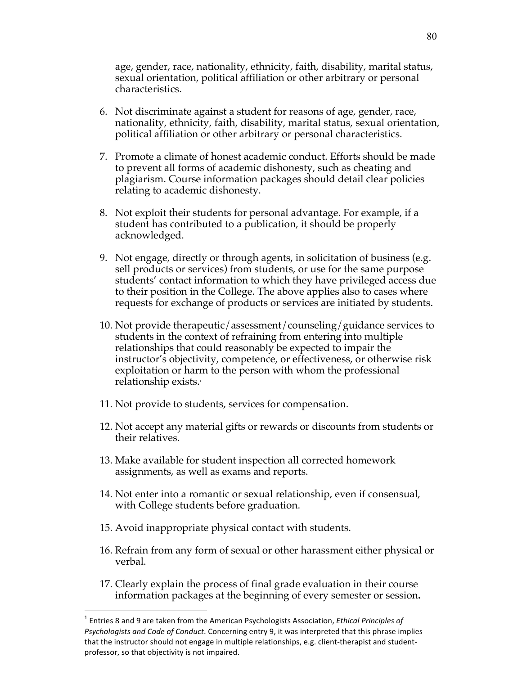age, gender, race, nationality, ethnicity, faith, disability, marital status, sexual orientation, political affiliation or other arbitrary or personal characteristics.

- 6. Not discriminate against a student for reasons of age, gender, race, nationality, ethnicity, faith, disability, marital status, sexual orientation, political affiliation or other arbitrary or personal characteristics.
- 7. Promote a climate of honest academic conduct. Efforts should be made to prevent all forms of academic dishonesty, such as cheating and plagiarism. Course information packages should detail clear policies relating to academic dishonesty.
- 8. Not exploit their students for personal advantage. For example, if a student has contributed to a publication, it should be properly acknowledged.
- 9. Not engage, directly or through agents, in solicitation of business (e.g. sell products or services) from students, or use for the same purpose students' contact information to which they have privileged access due to their position in the College. The above applies also to cases where requests for exchange of products or services are initiated by students.
- 10. Not provide therapeutic/assessment/counseling/guidance services to students in the context of refraining from entering into multiple relationships that could reasonably be expected to impair the instructor's objectivity, competence, or effectiveness, or otherwise risk exploitation or harm to the person with whom the professional relationship exists.1
- 11. Not provide to students, services for compensation.
- 12. Not accept any material gifts or rewards or discounts from students or their relatives.
- 13. Make available for student inspection all corrected homework assignments, as well as exams and reports.
- 14. Not enter into a romantic or sexual relationship, even if consensual, with College students before graduation.
- 15. Avoid inappropriate physical contact with students.
- 16. Refrain from any form of sexual or other harassment either physical or verbal.
- 17. Clearly explain the process of final grade evaluation in their course information packages at the beginning of every semester or session**.**

 $1$  Entries 8 and 9 are taken from the American Psychologists Association, *Ethical Principles of* Psychologists and Code of Conduct. Concerning entry 9, it was interpreted that this phrase implies that the instructor should not engage in multiple relationships, e.g. client-therapist and studentprofessor, so that objectivity is not impaired.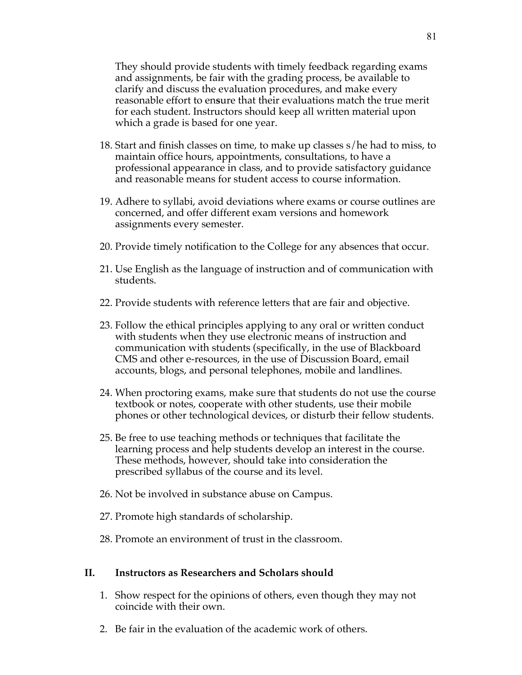They should provide students with timely feedback regarding exams and assignments, be fair with the grading process, be available to clarify and discuss the evaluation procedures, and make every reasonable effort to en**s**ure that their evaluations match the true merit for each student. Instructors should keep all written material upon which a grade is based for one year.

- 18. Start and finish classes on time, to make up classes s/he had to miss, to maintain office hours, appointments, consultations, to have a professional appearance in class, and to provide satisfactory guidance and reasonable means for student access to course information.
- 19. Adhere to syllabi, avoid deviations where exams or course outlines are concerned, and offer different exam versions and homework assignments every semester.
- 20. Provide timely notification to the College for any absences that occur.
- 21. Use English as the language of instruction and of communication with students.
- 22. Provide students with reference letters that are fair and objective.
- 23. Follow the ethical principles applying to any oral or written conduct with students when they use electronic means of instruction and communication with students (specifically, in the use of Blackboard CMS and other e-resources, in the use of Discussion Board, email accounts, blogs, and personal telephones, mobile and landlines.
- 24. When proctoring exams, make sure that students do not use the course textbook or notes, cooperate with other students, use their mobile phones or other technological devices, or disturb their fellow students.
- 25. Be free to use teaching methods or techniques that facilitate the learning process and help students develop an interest in the course. These methods, however, should take into consideration the prescribed syllabus of the course and its level.
- 26. Not be involved in substance abuse on Campus.
- 27. Promote high standards of scholarship.
- 28. Promote an environment of trust in the classroom.

#### **II. Instructors as Researchers and Scholars should**

- 1. Show respect for the opinions of others, even though they may not coincide with their own.
- 2. Be fair in the evaluation of the academic work of others.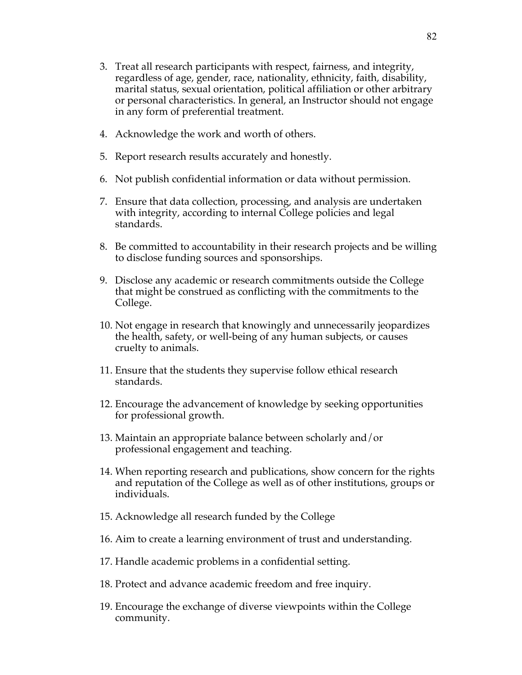- 3. Treat all research participants with respect, fairness, and integrity, regardless of age, gender, race, nationality, ethnicity, faith, disability, marital status, sexual orientation, political affiliation or other arbitrary or personal characteristics. In general, an Instructor should not engage in any form of preferential treatment.
- 4. Acknowledge the work and worth of others.
- 5. Report research results accurately and honestly.
- 6. Not publish confidential information or data without permission.
- 7. Ensure that data collection, processing, and analysis are undertaken with integrity, according to internal College policies and legal standards.
- 8. Be committed to accountability in their research projects and be willing to disclose funding sources and sponsorships.
- 9. Disclose any academic or research commitments outside the College that might be construed as conflicting with the commitments to the College.
- 10. Not engage in research that knowingly and unnecessarily jeopardizes the health, safety, or well-being of any human subjects, or causes cruelty to animals.
- 11. Ensure that the students they supervise follow ethical research standards.
- 12. Encourage the advancement of knowledge by seeking opportunities for professional growth.
- 13. Maintain an appropriate balance between scholarly and/or professional engagement and teaching.
- 14. When reporting research and publications, show concern for the rights and reputation of the College as well as of other institutions, groups or individuals.
- 15. Acknowledge all research funded by the College
- 16. Aim to create a learning environment of trust and understanding.
- 17. Handle academic problems in a confidential setting.
- 18. Protect and advance academic freedom and free inquiry.
- 19. Encourage the exchange of diverse viewpoints within the College community.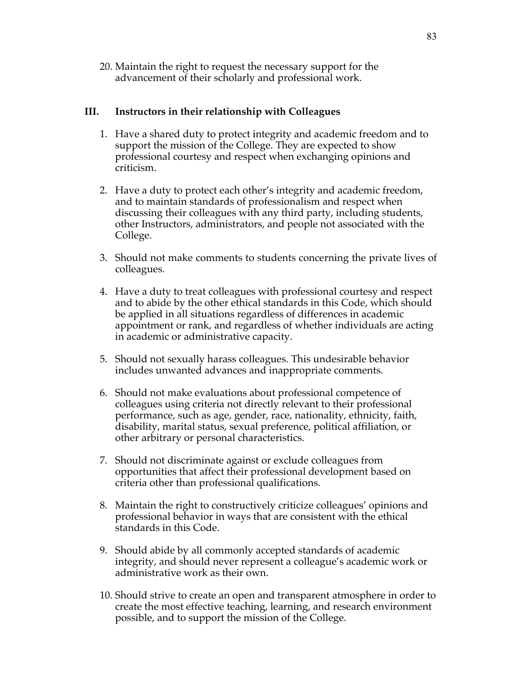20. Maintain the right to request the necessary support for the advancement of their scholarly and professional work.

#### **III. Instructors in their relationship with Colleagues**

- 1. Have a shared duty to protect integrity and academic freedom and to support the mission of the College. They are expected to show professional courtesy and respect when exchanging opinions and criticism.
- 2. Have a duty to protect each other's integrity and academic freedom, and to maintain standards of professionalism and respect when discussing their colleagues with any third party, including students, other Instructors, administrators, and people not associated with the College.
- 3. Should not make comments to students concerning the private lives of colleagues.
- 4. Have a duty to treat colleagues with professional courtesy and respect and to abide by the other ethical standards in this Code, which should be applied in all situations regardless of differences in academic appointment or rank, and regardless of whether individuals are acting in academic or administrative capacity.
- 5. Should not sexually harass colleagues. This undesirable behavior includes unwanted advances and inappropriate comments.
- 6. Should not make evaluations about professional competence of colleagues using criteria not directly relevant to their professional performance, such as age, gender, race, nationality, ethnicity, faith, disability, marital status, sexual preference, political affiliation, or other arbitrary or personal characteristics.
- 7. Should not discriminate against or exclude colleagues from opportunities that affect their professional development based on criteria other than professional qualifications.
- 8. Maintain the right to constructively criticize colleagues' opinions and professional behavior in ways that are consistent with the ethical standards in this Code.
- 9. Should abide by all commonly accepted standards of academic integrity, and should never represent a colleague's academic work or administrative work as their own.
- 10. Should strive to create an open and transparent atmosphere in order to create the most effective teaching, learning, and research environment possible, and to support the mission of the College.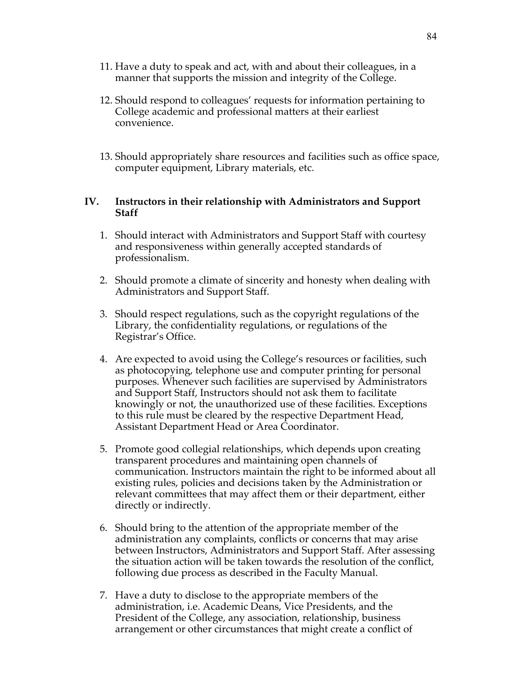- 11. Have a duty to speak and act, with and about their colleagues, in a manner that supports the mission and integrity of the College.
- 12. Should respond to colleagues' requests for information pertaining to College academic and professional matters at their earliest convenience.
- 13. Should appropriately share resources and facilities such as office space, computer equipment, Library materials, etc.

#### **IV. Instructors in their relationship with Administrators and Support Staff**

- 1. Should interact with Administrators and Support Staff with courtesy and responsiveness within generally accepted standards of professionalism.
- 2. Should promote a climate of sincerity and honesty when dealing with Administrators and Support Staff.
- 3. Should respect regulations, such as the copyright regulations of the Library, the confidentiality regulations, or regulations of the Registrar's Office.
- 4. Are expected to avoid using the College's resources or facilities, such as photocopying, telephone use and computer printing for personal purposes. Whenever such facilities are supervised by Administrators and Support Staff, Instructors should not ask them to facilitate knowingly or not, the unauthorized use of these facilities. Exceptions to this rule must be cleared by the respective Department Head, Assistant Department Head or Area Coordinator.
- 5. Promote good collegial relationships, which depends upon creating transparent procedures and maintaining open channels of communication. Instructors maintain the right to be informed about all existing rules, policies and decisions taken by the Administration or relevant committees that may affect them or their department, either directly or indirectly.
- 6. Should bring to the attention of the appropriate member of the administration any complaints, conflicts or concerns that may arise between Instructors, Administrators and Support Staff. After assessing the situation action will be taken towards the resolution of the conflict, following due process as described in the Faculty Manual.
- 7. Have a duty to disclose to the appropriate members of the administration, i.e. Academic Deans, Vice Presidents, and the President of the College, any association, relationship, business arrangement or other circumstances that might create a conflict of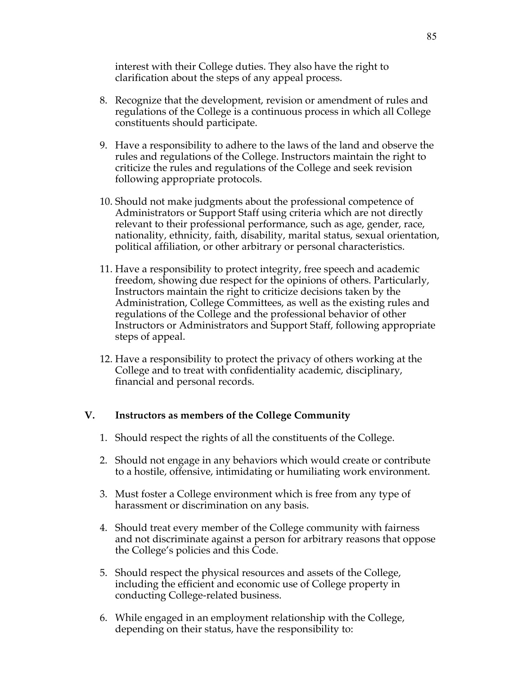interest with their College duties. They also have the right to clarification about the steps of any appeal process.

- 8. Recognize that the development, revision or amendment of rules and regulations of the College is a continuous process in which all College constituents should participate.
- 9. Have a responsibility to adhere to the laws of the land and observe the rules and regulations of the College. Instructors maintain the right to criticize the rules and regulations of the College and seek revision following appropriate protocols.
- 10. Should not make judgments about the professional competence of Administrators or Support Staff using criteria which are not directly relevant to their professional performance, such as age, gender, race, nationality, ethnicity, faith, disability, marital status, sexual orientation, political affiliation, or other arbitrary or personal characteristics.
- 11. Have a responsibility to protect integrity, free speech and academic freedom, showing due respect for the opinions of others. Particularly, Instructors maintain the right to criticize decisions taken by the Administration, College Committees, as well as the existing rules and regulations of the College and the professional behavior of other Instructors or Administrators and Support Staff, following appropriate steps of appeal.
- 12. Have a responsibility to protect the privacy of others working at the College and to treat with confidentiality academic, disciplinary, financial and personal records.

#### **V. Instructors as members of the College Community**

- 1. Should respect the rights of all the constituents of the College.
- 2. Should not engage in any behaviors which would create or contribute to a hostile, offensive, intimidating or humiliating work environment.
- 3. Must foster a College environment which is free from any type of harassment or discrimination on any basis.
- 4. Should treat every member of the College community with fairness and not discriminate against a person for arbitrary reasons that oppose the College's policies and this Code.
- 5. Should respect the physical resources and assets of the College, including the efficient and economic use of College property in conducting College-related business.
- 6. While engaged in an employment relationship with the College, depending on their status, have the responsibility to: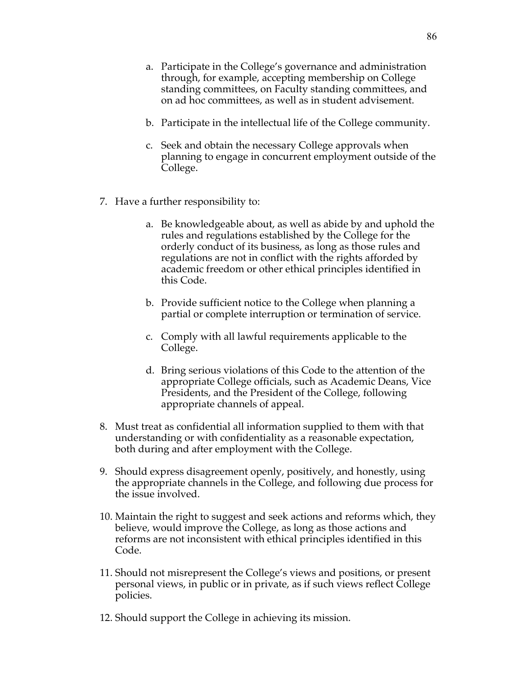- a. Participate in the College's governance and administration through, for example, accepting membership on College standing committees, on Faculty standing committees, and on ad hoc committees, as well as in student advisement.
- b. Participate in the intellectual life of the College community.
- c. Seek and obtain the necessary College approvals when planning to engage in concurrent employment outside of the College.
- 7. Have a further responsibility to:
	- a. Be knowledgeable about, as well as abide by and uphold the rules and regulations established by the College for the orderly conduct of its business, as long as those rules and regulations are not in conflict with the rights afforded by academic freedom or other ethical principles identified in this Code.
	- b. Provide sufficient notice to the College when planning a partial or complete interruption or termination of service.
	- c. Comply with all lawful requirements applicable to the College.
	- d. Bring serious violations of this Code to the attention of the appropriate College officials, such as Academic Deans, Vice Presidents, and the President of the College, following appropriate channels of appeal.
- 8. Must treat as confidential all information supplied to them with that understanding or with confidentiality as a reasonable expectation, both during and after employment with the College.
- 9. Should express disagreement openly, positively, and honestly, using the appropriate channels in the College, and following due process for the issue involved.
- 10. Maintain the right to suggest and seek actions and reforms which, they believe, would improve the College, as long as those actions and reforms are not inconsistent with ethical principles identified in this Code.
- 11. Should not misrepresent the College's views and positions, or present personal views, in public or in private, as if such views reflect College policies.
- 12. Should support the College in achieving its mission.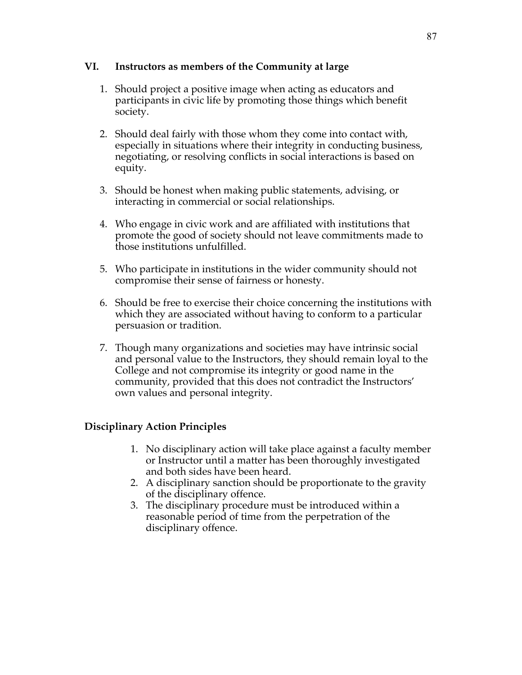#### **VI. Instructors as members of the Community at large**

- 1. Should project a positive image when acting as educators and participants in civic life by promoting those things which benefit society.
- 2. Should deal fairly with those whom they come into contact with, especially in situations where their integrity in conducting business, negotiating, or resolving conflicts in social interactions is based on equity.
- 3. Should be honest when making public statements, advising, or interacting in commercial or social relationships.
- 4. Who engage in civic work and are affiliated with institutions that promote the good of society should not leave commitments made to those institutions unfulfilled.
- 5. Who participate in institutions in the wider community should not compromise their sense of fairness or honesty.
- 6. Should be free to exercise their choice concerning the institutions with which they are associated without having to conform to a particular persuasion or tradition.
- 7. Though many organizations and societies may have intrinsic social and personal value to the Instructors, they should remain loyal to the College and not compromise its integrity or good name in the community, provided that this does not contradict the Instructors' own values and personal integrity.

#### **Disciplinary Action Principles**

- 1. No disciplinary action will take place against a faculty member or Instructor until a matter has been thoroughly investigated and both sides have been heard.
- 2. A disciplinary sanction should be proportionate to the gravity of the disciplinary offence.
- 3. The disciplinary procedure must be introduced within a reasonable period of time from the perpetration of the disciplinary offence.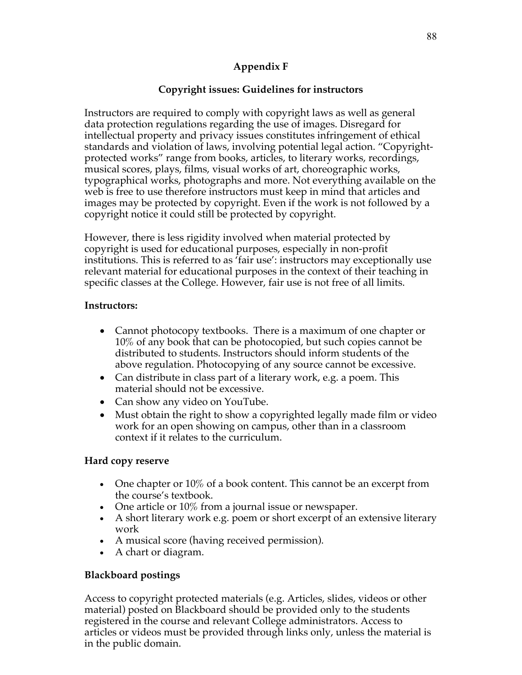## **Appendix F**

## **Copyright issues: Guidelines for instructors**

Instructors are required to comply with copyright laws as well as general data protection regulations regarding the use of images. Disregard for intellectual property and privacy issues constitutes infringement of ethical standards and violation of laws, involving potential legal action. "Copyrightprotected works" range from books, articles, to literary works, recordings, musical scores, plays, films, visual works of art, choreographic works, typographical works, photographs and more. Not everything available on the web is free to use therefore instructors must keep in mind that articles and images may be protected by copyright. Even if the work is not followed by a copyright notice it could still be protected by copyright.

However, there is less rigidity involved when material protected by copyright is used for educational purposes, especially in non-profit institutions. This is referred to as 'fair use': instructors may exceptionally use relevant material for educational purposes in the context of their teaching in specific classes at the College. However, fair use is not free of all limits.

#### **Instructors:**

- Cannot photocopy textbooks. There is a maximum of one chapter or 10% of any book that can be photocopied, but such copies cannot be distributed to students. Instructors should inform students of the above regulation. Photocopying of any source cannot be excessive.
- Can distribute in class part of a literary work, e.g. a poem. This material should not be excessive.
- Can show any video on YouTube.
- Must obtain the right to show a copyrighted legally made film or video work for an open showing on campus, other than in a classroom context if it relates to the curriculum.

## **Hard copy reserve**

- One chapter or 10% of a book content. This cannot be an excerpt from the course's textbook.
- One article or  $10\%$  from a journal issue or newspaper.
- A short literary work e.g. poem or short excerpt of an extensive literary work
- A musical score (having received permission).
- A chart or diagram.

## **Blackboard postings**

Access to copyright protected materials (e.g. Articles, slides, videos or other material) posted on Blackboard should be provided only to the students registered in the course and relevant College administrators. Access to articles or videos must be provided through links only, unless the material is in the public domain.